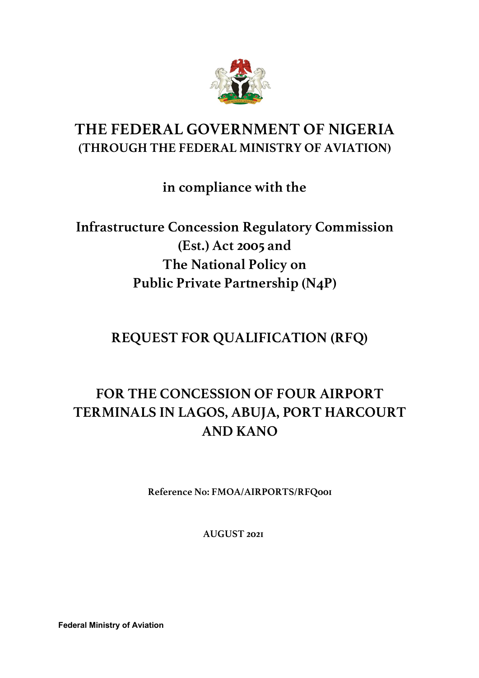

# **THE FEDERAL GOVERNMENT OF NIGERIA (THROUGH THE FEDERAL MINISTRY OF AVIATION)**

**in compliance with the**

**Infrastructure Concession Regulatory Commission (Est.) Act 2005 and The National Policy on Public Private Partnership (N4P)**

**REQUEST FOR QUALIFICATION (RFQ)** 

# **FOR THE CONCESSION OF FOUR AIRPORT TERMINALS IN LAGOS, ABUJA, PORT HARCOURT AND KANO**

**Reference No: FMOA/AIRPORTS/RFQ001**

**AUGUST 2021**

**Federal Ministry of Aviation**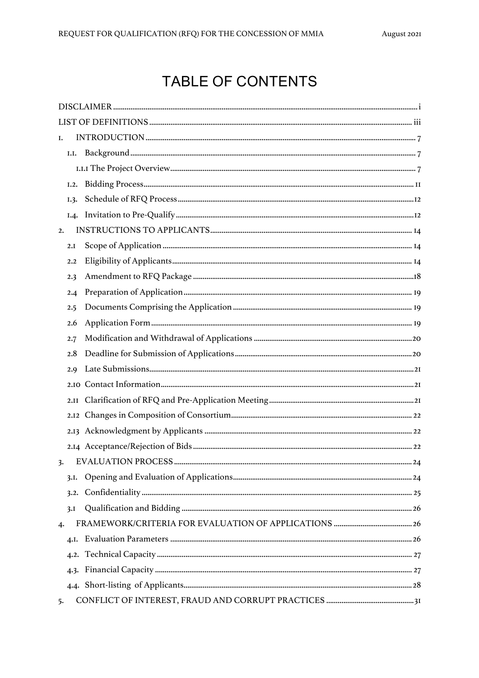# **TABLE OF CONTENTS**

| I.  |      |  |
|-----|------|--|
|     | I.I. |  |
|     |      |  |
|     | I.2. |  |
|     | I.3. |  |
|     |      |  |
| 2.  |      |  |
|     | 2.I  |  |
|     | 2.2  |  |
|     | 2.3  |  |
|     | 2.4  |  |
|     | 2.5  |  |
|     | 2.6  |  |
|     | 2.7  |  |
|     | 2.8  |  |
|     | 2.9  |  |
|     |      |  |
|     |      |  |
|     |      |  |
|     |      |  |
|     |      |  |
| 3.  |      |  |
|     | 3.I. |  |
|     | 3.2. |  |
|     | 3.I  |  |
| 4.  |      |  |
|     |      |  |
|     |      |  |
|     | 4.3. |  |
|     |      |  |
| -5. |      |  |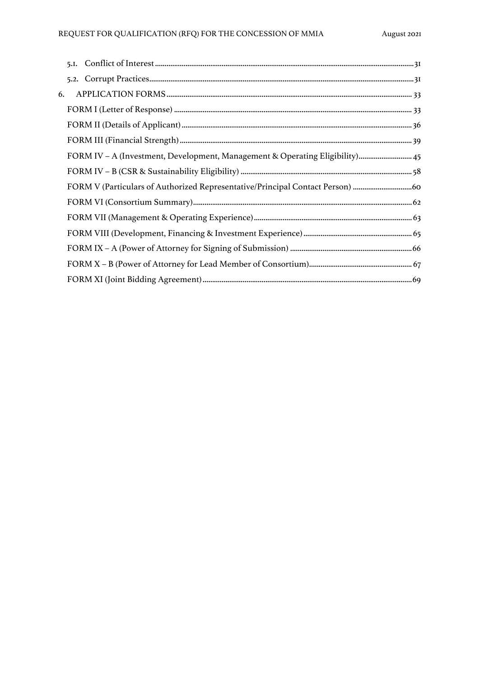### REQUEST FOR QUALIFICATION (RFQ) FOR THE CONCESSION OF MMIA

| 6. |                                                                              |  |
|----|------------------------------------------------------------------------------|--|
|    |                                                                              |  |
|    |                                                                              |  |
|    |                                                                              |  |
|    | FORM IV - A (Investment, Development, Management & Operating Eligibility) 45 |  |
|    |                                                                              |  |
|    | FORM V (Particulars of Authorized Representative/Principal Contact Person)   |  |
|    |                                                                              |  |
|    |                                                                              |  |
|    |                                                                              |  |
|    |                                                                              |  |
|    |                                                                              |  |
|    |                                                                              |  |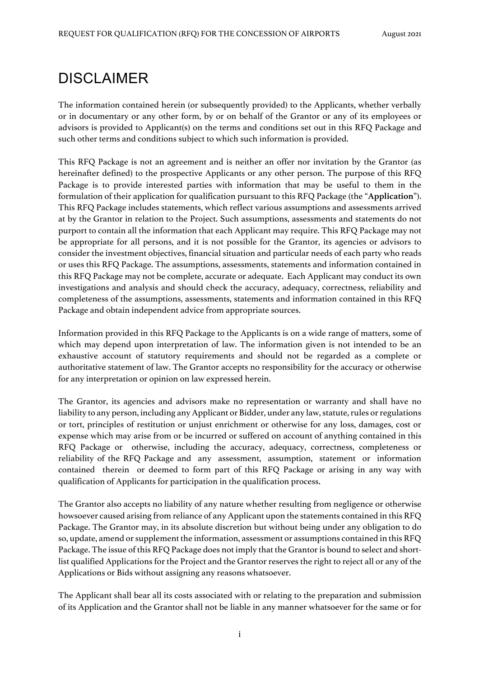# DISCLAIMER

The information contained herein (or subsequently provided) to the Applicants, whether verbally or in documentary or any other form, by or on behalf of the Grantor or any of its employees or advisors is provided to Applicant(s) on the terms and conditions set out in this RFQ Package and such other terms and conditions subject to which such information is provided.

This RFQ Package is not an agreement and is neither an offer nor invitation by the Grantor (as hereinafter defined) to the prospective Applicants or any other person. The purpose of this RFQ Package is to provide interested parties with information that may be useful to them in the formulation of their application for qualification pursuant to this RFQ Package (the "**Application**"). This RFQ Package includes statements, which reflect various assumptions and assessments arrived at by the Grantor in relation to the Project. Such assumptions, assessments and statements do not purport to contain all the information that each Applicant may require. This RFQ Package may not be appropriate for all persons, and it is not possible for the Grantor, its agencies or advisors to consider the investment objectives, financial situation and particular needs of each party who reads or uses this RFQ Package. The assumptions, assessments, statements and information contained in this RFQ Package may not be complete, accurate or adequate. Each Applicant may conduct its own investigations and analysis and should check the accuracy, adequacy, correctness, reliability and completeness of the assumptions, assessments, statements and information contained in this RFQ Package and obtain independent advice from appropriate sources.

Information provided in this RFQ Package to the Applicants is on a wide range of matters, some of which may depend upon interpretation of law. The information given is not intended to be an exhaustive account of statutory requirements and should not be regarded as a complete or authoritative statement of law. The Grantor accepts no responsibility for the accuracy or otherwise for any interpretation or opinion on law expressed herein.

The Grantor, its agencies and advisors make no representation or warranty and shall have no liability to any person, including any Applicant or Bidder, under any law, statute, rules or regulations or tort, principles of restitution or unjust enrichment or otherwise for any loss, damages, cost or expense which may arise from or be incurred or suffered on account of anything contained in this RFQ Package or otherwise, including the accuracy, adequacy, correctness, completeness or reliability of the RFQ Package and any assessment, assumption, statement or information contained therein or deemed to form part of this RFQ Package or arising in any way with qualification of Applicants for participation in the qualification process.

The Grantor also accepts no liability of any nature whether resulting from negligence or otherwise howsoever caused arising from reliance of any Applicant upon the statements contained in this RFQ Package. The Grantor may, in its absolute discretion but without being under any obligation to do so, update, amend or supplement the information, assessment or assumptions contained in this RFQ Package. The issue of this RFQ Package does not imply that the Grantor is bound to select and shortlist qualified Applications for the Project and the Grantor reserves the right to reject all or any of the Applications or Bids without assigning any reasons whatsoever.

The Applicant shall bear all its costs associated with or relating to the preparation and submission of its Application and the Grantor shall not be liable in any manner whatsoever for the same or for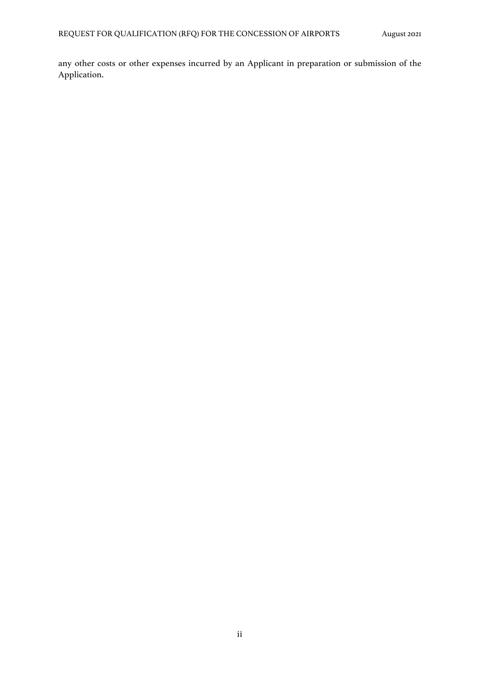any other costs or other expenses incurred by an Applicant in preparation or submission of the Application.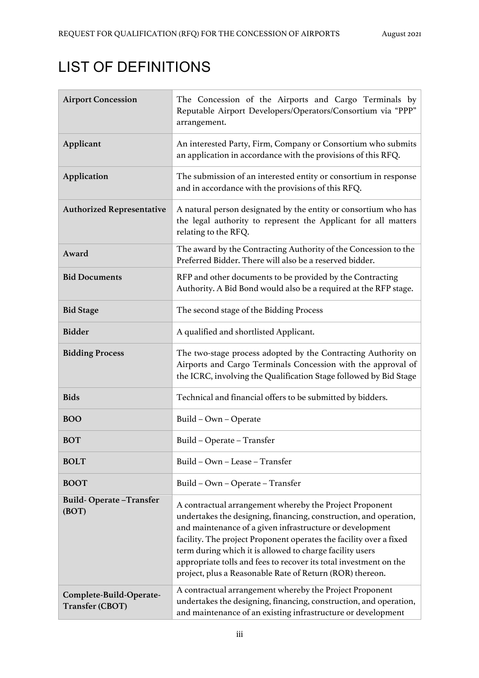# LIST OF DEFINITIONS

| <b>Airport Concession</b>                  | The Concession of the Airports and Cargo Terminals by<br>Reputable Airport Developers/Operators/Consortium via "PPP"<br>arrangement.                                                                                                                                                                                                                                                                                                                        |
|--------------------------------------------|-------------------------------------------------------------------------------------------------------------------------------------------------------------------------------------------------------------------------------------------------------------------------------------------------------------------------------------------------------------------------------------------------------------------------------------------------------------|
| Applicant                                  | An interested Party, Firm, Company or Consortium who submits<br>an application in accordance with the provisions of this RFQ.                                                                                                                                                                                                                                                                                                                               |
| Application                                | The submission of an interested entity or consortium in response<br>and in accordance with the provisions of this RFQ.                                                                                                                                                                                                                                                                                                                                      |
| <b>Authorized Representative</b>           | A natural person designated by the entity or consortium who has<br>the legal authority to represent the Applicant for all matters<br>relating to the RFQ.                                                                                                                                                                                                                                                                                                   |
| Award                                      | The award by the Contracting Authority of the Concession to the<br>Preferred Bidder. There will also be a reserved bidder.                                                                                                                                                                                                                                                                                                                                  |
| <b>Bid Documents</b>                       | RFP and other documents to be provided by the Contracting<br>Authority. A Bid Bond would also be a required at the RFP stage.                                                                                                                                                                                                                                                                                                                               |
| <b>Bid Stage</b>                           | The second stage of the Bidding Process                                                                                                                                                                                                                                                                                                                                                                                                                     |
| <b>Bidder</b>                              | A qualified and shortlisted Applicant.                                                                                                                                                                                                                                                                                                                                                                                                                      |
| <b>Bidding Process</b>                     | The two-stage process adopted by the Contracting Authority on<br>Airports and Cargo Terminals Concession with the approval of<br>the ICRC, involving the Qualification Stage followed by Bid Stage                                                                                                                                                                                                                                                          |
| <b>Bids</b>                                | Technical and financial offers to be submitted by bidders.                                                                                                                                                                                                                                                                                                                                                                                                  |
| <b>BOO</b>                                 | Build - Own - Operate                                                                                                                                                                                                                                                                                                                                                                                                                                       |
| <b>BOT</b>                                 | Build - Operate - Transfer                                                                                                                                                                                                                                                                                                                                                                                                                                  |
| <b>BOLT</b>                                | Build - Own - Lease - Transfer                                                                                                                                                                                                                                                                                                                                                                                                                              |
| <b>BOOT</b>                                | Build – Own – Operate – Transfer                                                                                                                                                                                                                                                                                                                                                                                                                            |
| <b>Build-Operate-Transfer</b><br>(BOT)     | A contractual arrangement whereby the Project Proponent<br>undertakes the designing, financing, construction, and operation,<br>and maintenance of a given infrastructure or development<br>facility. The project Proponent operates the facility over a fixed<br>term during which it is allowed to charge facility users<br>appropriate tolls and fees to recover its total investment on the<br>project, plus a Reasonable Rate of Return (ROR) thereon. |
| Complete-Build-Operate-<br>Transfer (CBOT) | A contractual arrangement whereby the Project Proponent<br>undertakes the designing, financing, construction, and operation,<br>and maintenance of an existing infrastructure or development                                                                                                                                                                                                                                                                |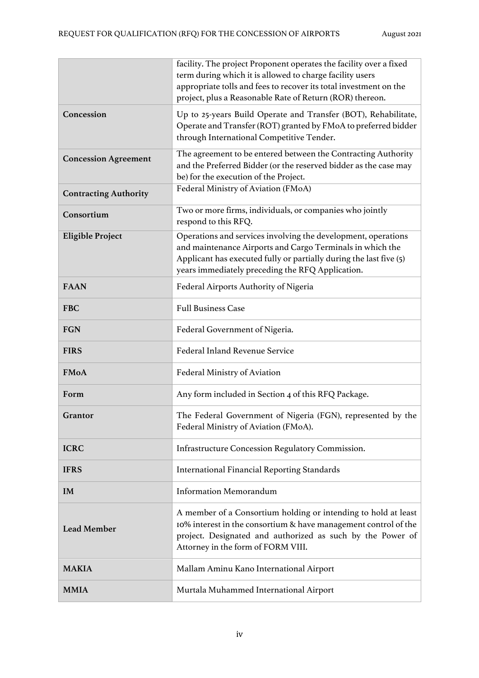|                              | facility. The project Proponent operates the facility over a fixed<br>term during which it is allowed to charge facility users<br>appropriate tolls and fees to recover its total investment on the<br>project, plus a Reasonable Rate of Return (ROR) thereon. |
|------------------------------|-----------------------------------------------------------------------------------------------------------------------------------------------------------------------------------------------------------------------------------------------------------------|
| Concession                   | Up to 25-years Build Operate and Transfer (BOT), Rehabilitate,<br>Operate and Transfer (ROT) granted by FMoA to preferred bidder<br>through International Competitive Tender.                                                                                   |
| <b>Concession Agreement</b>  | The agreement to be entered between the Contracting Authority<br>and the Preferred Bidder (or the reserved bidder as the case may<br>be) for the execution of the Project.                                                                                      |
| <b>Contracting Authority</b> | Federal Ministry of Aviation (FMoA)                                                                                                                                                                                                                             |
| Consortium                   | Two or more firms, individuals, or companies who jointly<br>respond to this RFQ.                                                                                                                                                                                |
| <b>Eligible Project</b>      | Operations and services involving the development, operations<br>and maintenance Airports and Cargo Terminals in which the<br>Applicant has executed fully or partially during the last five (5)<br>years immediately preceding the RFQ Application.            |
| <b>FAAN</b>                  | Federal Airports Authority of Nigeria                                                                                                                                                                                                                           |
| <b>FBC</b>                   | <b>Full Business Case</b>                                                                                                                                                                                                                                       |
| <b>FGN</b>                   | Federal Government of Nigeria.                                                                                                                                                                                                                                  |
| <b>FIRS</b>                  | Federal Inland Revenue Service                                                                                                                                                                                                                                  |
| <b>FMoA</b>                  | Federal Ministry of Aviation                                                                                                                                                                                                                                    |
| Form                         | Any form included in Section 4 of this RFQ Package.                                                                                                                                                                                                             |
| Grantor                      | The Federal Government of Nigeria (FGN), represented by the<br>Federal Ministry of Aviation (FMoA).                                                                                                                                                             |
| <b>ICRC</b>                  | Infrastructure Concession Regulatory Commission.                                                                                                                                                                                                                |
| <b>IFRS</b>                  | <b>International Financial Reporting Standards</b>                                                                                                                                                                                                              |
| IM                           | <b>Information Memorandum</b>                                                                                                                                                                                                                                   |
| <b>Lead Member</b>           | A member of a Consortium holding or intending to hold at least<br>10% interest in the consortium & have management control of the<br>project. Designated and authorized as such by the Power of<br>Attorney in the form of FORM VIII.                           |
| <b>MAKIA</b>                 | Mallam Aminu Kano International Airport                                                                                                                                                                                                                         |
| <b>MMIA</b>                  | Murtala Muhammed International Airport                                                                                                                                                                                                                          |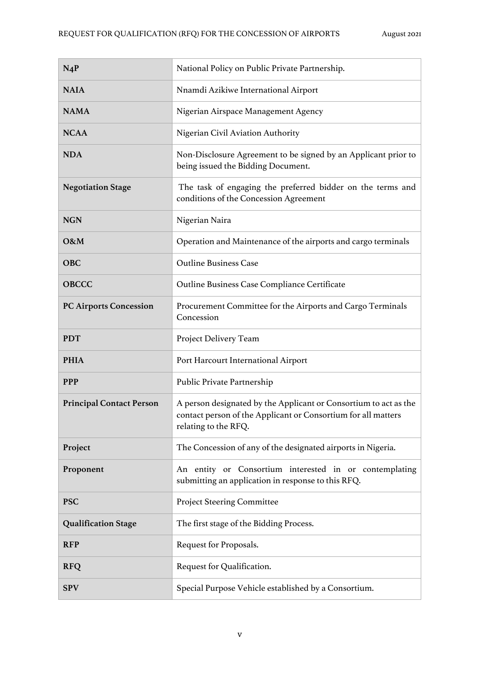| $N_4P$                          | National Policy on Public Private Partnership.                                                                                                            |
|---------------------------------|-----------------------------------------------------------------------------------------------------------------------------------------------------------|
| <b>NAIA</b>                     | Nnamdi Azikiwe International Airport                                                                                                                      |
| <b>NAMA</b>                     | Nigerian Airspace Management Agency                                                                                                                       |
| <b>NCAA</b>                     | Nigerian Civil Aviation Authority                                                                                                                         |
| <b>NDA</b>                      | Non-Disclosure Agreement to be signed by an Applicant prior to<br>being issued the Bidding Document.                                                      |
| <b>Negotiation Stage</b>        | The task of engaging the preferred bidder on the terms and<br>conditions of the Concession Agreement                                                      |
| <b>NGN</b>                      | Nigerian Naira                                                                                                                                            |
| O&M                             | Operation and Maintenance of the airports and cargo terminals                                                                                             |
| <b>OBC</b>                      | <b>Outline Business Case</b>                                                                                                                              |
| <b>OBCCC</b>                    | Outline Business Case Compliance Certificate                                                                                                              |
| <b>PC Airports Concession</b>   | Procurement Committee for the Airports and Cargo Terminals<br>Concession                                                                                  |
| <b>PDT</b>                      | Project Delivery Team                                                                                                                                     |
| <b>PHIA</b>                     | Port Harcourt International Airport                                                                                                                       |
| <b>PPP</b>                      | Public Private Partnership                                                                                                                                |
| <b>Principal Contact Person</b> | A person designated by the Applicant or Consortium to act as the<br>contact person of the Applicant or Consortium for all matters<br>relating to the RFQ. |
| Project                         | The Concession of any of the designated airports in Nigeria.                                                                                              |
| Proponent                       | An entity or Consortium interested in or contemplating<br>submitting an application in response to this RFQ.                                              |
| <b>PSC</b>                      | <b>Project Steering Committee</b>                                                                                                                         |
| <b>Qualification Stage</b>      | The first stage of the Bidding Process.                                                                                                                   |
| <b>RFP</b>                      | Request for Proposals.                                                                                                                                    |
| <b>RFQ</b>                      | Request for Qualification.                                                                                                                                |
| <b>SPV</b>                      | Special Purpose Vehicle established by a Consortium.                                                                                                      |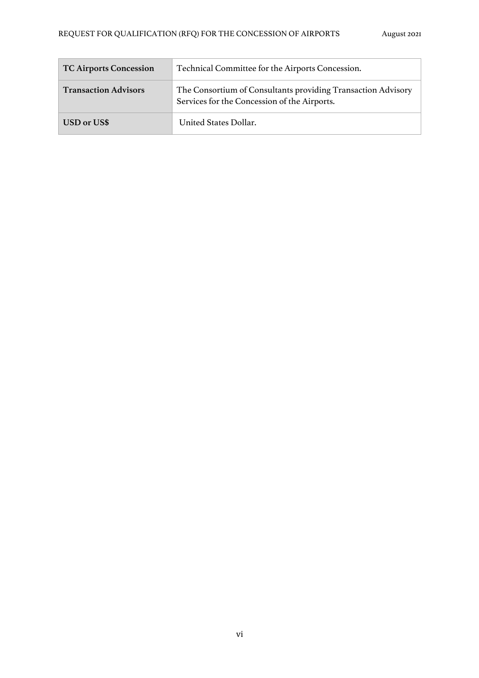| <b>TC Airports Concession</b> | Technical Committee for the Airports Concession.                                                             |
|-------------------------------|--------------------------------------------------------------------------------------------------------------|
| <b>Transaction Advisors</b>   | The Consortium of Consultants providing Transaction Advisory<br>Services for the Concession of the Airports. |
| USD or US\$                   | United States Dollar.                                                                                        |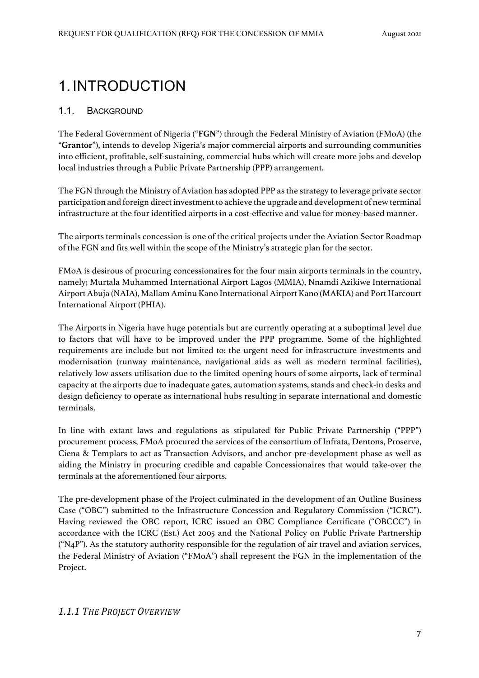# 1. INTRODUCTION

#### 1.1. BACKGROUND

The Federal Government of Nigeria ("**FGN**") through the Federal Ministry of Aviation (FMoA) (the "**Grantor**"), intends to develop Nigeria's major commercial airports and surrounding communities into efficient, profitable, self-sustaining, commercial hubs which will create more jobs and develop local industries through a Public Private Partnership (PPP) arrangement.

The FGN through the Ministry of Aviation has adopted PPP as the strategy to leverage private sector participation and foreign direct investment to achieve the upgrade and development of new terminal infrastructure at the four identified airports in a cost-effective and value for money-based manner.

The airports terminals concession is one of the critical projects under the Aviation Sector Roadmap of the FGN and fits well within the scope of the Ministry's strategic plan for the sector.

FMoA is desirous of procuring concessionaires for the four main airports terminals in the country, namely; Murtala Muhammed International Airport Lagos (MMIA), Nnamdi Azikiwe International Airport Abuja (NAIA), Mallam Aminu Kano International Airport Kano (MAKIA) and Port Harcourt International Airport (PHIA).

The Airports in Nigeria have huge potentials but are currently operating at a suboptimal level due to factors that will have to be improved under the PPP programme. Some of the highlighted requirements are include but not limited to: the urgent need for infrastructure investments and modernisation (runway maintenance, navigational aids as well as modern terminal facilities), relatively low assets utilisation due to the limited opening hours of some airports, lack of terminal capacity at the airports due to inadequate gates, automation systems, stands and check-in desks and design deficiency to operate as international hubs resulting in separate international and domestic terminals.

In line with extant laws and regulations as stipulated for Public Private Partnership ("PPP") procurement process, FMoA procured the services of the consortium of Infrata, Dentons, Proserve, Ciena & Templars to act as Transaction Advisors, and anchor pre-development phase as well as aiding the Ministry in procuring credible and capable Concessionaires that would take-over the terminals at the aforementioned four airports.

The pre-development phase of the Project culminated in the development of an Outline Business Case ("OBC") submitted to the Infrastructure Concession and Regulatory Commission ("ICRC"). Having reviewed the OBC report, ICRC issued an OBC Compliance Certificate ("OBCCC") in accordance with the ICRC (Est.) Act 2005 and the National Policy on Public Private Partnership  $({}^{\omega}N_4P$ "). As the statutory authority responsible for the regulation of air travel and aviation services, the Federal Ministry of Aviation ("FMoA") shall represent the FGN in the implementation of the Project.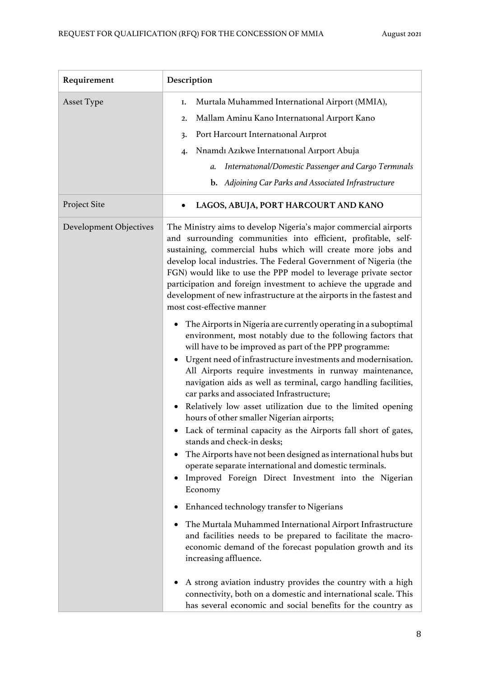| Requirement            | Description                                                                                                                                                                                                                                                                                                                                                                                                                                                                                                                                                                                                                                                                                                                                                                                                                                                                                                                                                                                                                                                                                                                                                                                                                                                                                                                                                                                                                                                                                                                                                                                                                                                                                            |
|------------------------|--------------------------------------------------------------------------------------------------------------------------------------------------------------------------------------------------------------------------------------------------------------------------------------------------------------------------------------------------------------------------------------------------------------------------------------------------------------------------------------------------------------------------------------------------------------------------------------------------------------------------------------------------------------------------------------------------------------------------------------------------------------------------------------------------------------------------------------------------------------------------------------------------------------------------------------------------------------------------------------------------------------------------------------------------------------------------------------------------------------------------------------------------------------------------------------------------------------------------------------------------------------------------------------------------------------------------------------------------------------------------------------------------------------------------------------------------------------------------------------------------------------------------------------------------------------------------------------------------------------------------------------------------------------------------------------------------------|
| <b>Asset Type</b>      | Murtala Muhammed International Airport (MMIA),<br>Ι.<br>Mallam Aminu Kano International Airport Kano<br>2.<br>Port Harcourt International Airprot<br>3.<br>Nnamdı Azıkwe International Airport Abuja<br>$\mathbf{4}$<br>International/Domestic Passenger and Cargo Terminals<br>a.<br><b>b.</b> Adjoining Car Parks and Associated Infrastructure                                                                                                                                                                                                                                                                                                                                                                                                                                                                                                                                                                                                                                                                                                                                                                                                                                                                                                                                                                                                                                                                                                                                                                                                                                                                                                                                                      |
| Project Site           | LAGOS, ABUJA, PORT HARCOURT AND KANO                                                                                                                                                                                                                                                                                                                                                                                                                                                                                                                                                                                                                                                                                                                                                                                                                                                                                                                                                                                                                                                                                                                                                                                                                                                                                                                                                                                                                                                                                                                                                                                                                                                                   |
| Development Objectives | The Ministry aims to develop Nigeria's major commercial airports<br>and surrounding communities into efficient, profitable, self-<br>sustaining, commercial hubs which will create more jobs and<br>develop local industries. The Federal Government of Nigeria (the<br>FGN) would like to use the PPP model to leverage private sector<br>participation and foreign investment to achieve the upgrade and<br>development of new infrastructure at the airports in the fastest and<br>most cost-effective manner<br>The Airports in Nigeria are currently operating in a suboptimal<br>٠<br>environment, most notably due to the following factors that<br>will have to be improved as part of the PPP programme:<br>Urgent need of infrastructure investments and modernisation.<br>All Airports require investments in runway maintenance,<br>navigation aids as well as terminal, cargo handling facilities,<br>car parks and associated Infrastructure;<br>Relatively low asset utilization due to the limited opening<br>hours of other smaller Nigerian airports;<br>• Lack of terminal capacity as the Airports fall short of gates,<br>stands and check-in desks;<br>The Airports have not been designed as international hubs but<br>operate separate international and domestic terminals.<br>Improved Foreign Direct Investment into the Nigerian<br>Economy<br>Enhanced technology transfer to Nigerians<br>The Murtala Muhammed International Airport Infrastructure<br>and facilities needs to be prepared to facilitate the macro-<br>economic demand of the forecast population growth and its<br>increasing affluence.<br>A strong aviation industry provides the country with a high |
|                        | connectivity, both on a domestic and international scale. This<br>has several economic and social benefits for the country as                                                                                                                                                                                                                                                                                                                                                                                                                                                                                                                                                                                                                                                                                                                                                                                                                                                                                                                                                                                                                                                                                                                                                                                                                                                                                                                                                                                                                                                                                                                                                                          |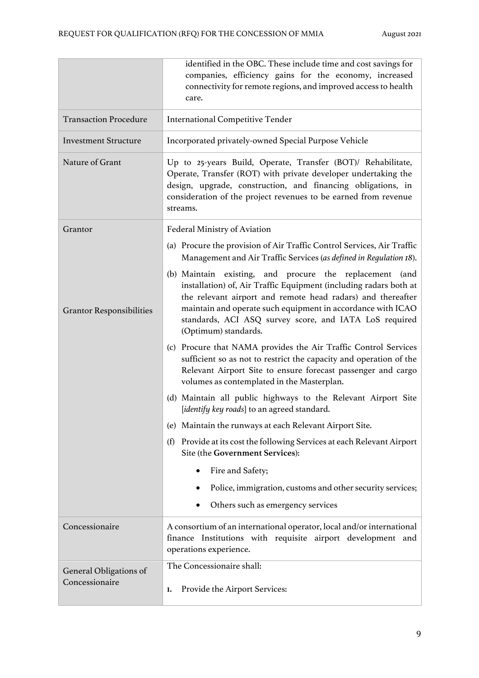|                                 | identified in the OBC. These include time and cost savings for<br>companies, efficiency gains for the economy, increased                                                                                                                                                                                                                     |  |
|---------------------------------|----------------------------------------------------------------------------------------------------------------------------------------------------------------------------------------------------------------------------------------------------------------------------------------------------------------------------------------------|--|
|                                 | connectivity for remote regions, and improved access to health<br>care.                                                                                                                                                                                                                                                                      |  |
| <b>Transaction Procedure</b>    | <b>International Competitive Tender</b>                                                                                                                                                                                                                                                                                                      |  |
| <b>Investment Structure</b>     | Incorporated privately-owned Special Purpose Vehicle                                                                                                                                                                                                                                                                                         |  |
| Nature of Grant                 | Up to 25-years Build, Operate, Transfer (BOT)/ Rehabilitate,<br>Operate, Transfer (ROT) with private developer undertaking the<br>design, upgrade, construction, and financing obligations, in<br>consideration of the project revenues to be earned from revenue<br>streams.                                                                |  |
| Grantor                         | Federal Ministry of Aviation                                                                                                                                                                                                                                                                                                                 |  |
|                                 | (a) Procure the provision of Air Traffic Control Services, Air Traffic<br>Management and Air Traffic Services (as defined in Regulation 18).                                                                                                                                                                                                 |  |
| <b>Grantor Responsibilities</b> | (b) Maintain existing, and procure the replacement (and<br>installation) of, Air Traffic Equipment (including radars both at<br>the relevant airport and remote head radars) and thereafter<br>maintain and operate such equipment in accordance with ICAO<br>standards, ACI ASQ survey score, and IATA LoS required<br>(Optimum) standards. |  |
|                                 | (c) Procure that NAMA provides the Air Traffic Control Services<br>sufficient so as not to restrict the capacity and operation of the<br>Relevant Airport Site to ensure forecast passenger and cargo<br>volumes as contemplated in the Masterplan.                                                                                          |  |
|                                 | (d) Maintain all public highways to the Relevant Airport Site<br>[identify key roads] to an agreed standard.                                                                                                                                                                                                                                 |  |
|                                 | (e) Maintain the runways at each Relevant Airport Site.                                                                                                                                                                                                                                                                                      |  |
|                                 | Provide at its cost the following Services at each Relevant Airport<br>(f)<br>Site (the Government Services):                                                                                                                                                                                                                                |  |
|                                 | Fire and Safety;                                                                                                                                                                                                                                                                                                                             |  |
|                                 | Police, immigration, customs and other security services;                                                                                                                                                                                                                                                                                    |  |
|                                 | Others such as emergency services<br>٠                                                                                                                                                                                                                                                                                                       |  |
| Concessionaire                  | A consortium of an international operator, local and/or international<br>finance Institutions with requisite airport development and<br>operations experience.                                                                                                                                                                               |  |
| General Obligations of          | The Concessionaire shall:                                                                                                                                                                                                                                                                                                                    |  |
| Concessionaire                  | Provide the Airport Services:<br>Ι.                                                                                                                                                                                                                                                                                                          |  |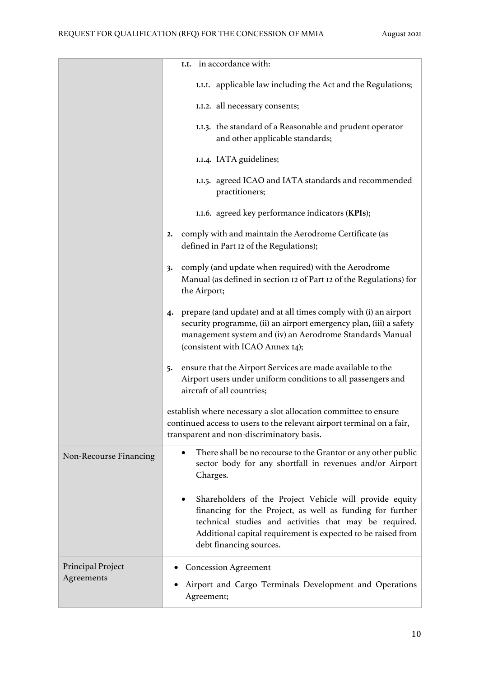|                        | in accordance with:<br>I.I.                                                                                                                                                                                                                                               |  |
|------------------------|---------------------------------------------------------------------------------------------------------------------------------------------------------------------------------------------------------------------------------------------------------------------------|--|
|                        |                                                                                                                                                                                                                                                                           |  |
|                        | I.I.I. applicable law including the Act and the Regulations;                                                                                                                                                                                                              |  |
|                        | I.I.2. all necessary consents;                                                                                                                                                                                                                                            |  |
|                        | I.I.3. the standard of a Reasonable and prudent operator<br>and other applicable standards;                                                                                                                                                                               |  |
|                        | I.I.4. IATA guidelines;                                                                                                                                                                                                                                                   |  |
|                        | I.I.5. agreed ICAO and IATA standards and recommended<br>practitioners;                                                                                                                                                                                                   |  |
|                        | I.I.6. agreed key performance indicators (KPIs);                                                                                                                                                                                                                          |  |
|                        | comply with and maintain the Aerodrome Certificate (as<br>2.<br>defined in Part 12 of the Regulations);                                                                                                                                                                   |  |
|                        | comply (and update when required) with the Aerodrome<br>3.<br>Manual (as defined in section 12 of Part 12 of the Regulations) for<br>the Airport;                                                                                                                         |  |
|                        | prepare (and update) and at all times comply with (i) an airport<br>4.<br>security programme, (ii) an airport emergency plan, (iii) a safety<br>management system and (iv) an Aerodrome Standards Manual<br>(consistent with ICAO Annex 14);                              |  |
|                        | ensure that the Airport Services are made available to the<br>5.<br>Airport users under uniform conditions to all passengers and<br>aircraft of all countries;                                                                                                            |  |
|                        | establish where necessary a slot allocation committee to ensure<br>continued access to users to the relevant airport terminal on a fair,<br>transparent and non-discriminatory basis.                                                                                     |  |
| Non-Recourse Financing | There shall be no recourse to the Grantor or any other public<br>sector body for any shortfall in revenues and/or Airport<br>Charges.                                                                                                                                     |  |
|                        | Shareholders of the Project Vehicle will provide equity<br>financing for the Project, as well as funding for further<br>technical studies and activities that may be required.<br>Additional capital requirement is expected to be raised from<br>debt financing sources. |  |
| Principal Project      | <b>Concession Agreement</b>                                                                                                                                                                                                                                               |  |
| Agreements             | Airport and Cargo Terminals Development and Operations<br>Agreement;                                                                                                                                                                                                      |  |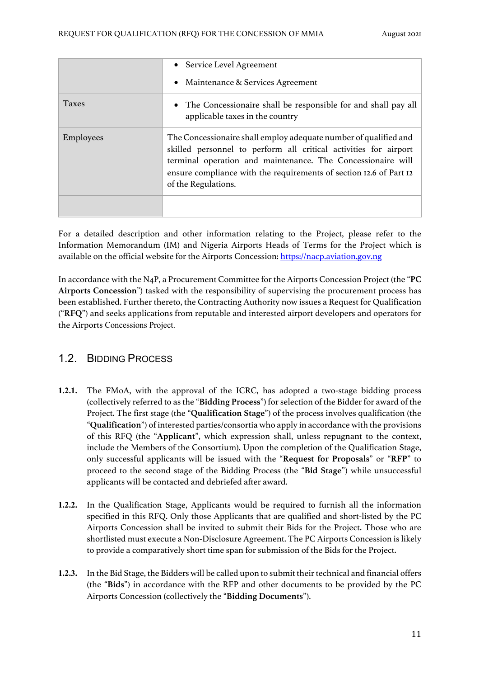|              | • Service Level Agreement                                                                                                                                                                                                                                                                        |
|--------------|--------------------------------------------------------------------------------------------------------------------------------------------------------------------------------------------------------------------------------------------------------------------------------------------------|
|              | Maintenance & Services Agreement<br>$\bullet$                                                                                                                                                                                                                                                    |
| <b>Taxes</b> | • The Concessionaire shall be responsible for and shall pay all<br>applicable taxes in the country                                                                                                                                                                                               |
| Employees    | The Concessionaire shall employ adequate number of qualified and<br>skilled personnel to perform all critical activities for airport<br>terminal operation and maintenance. The Concessionaire will<br>ensure compliance with the requirements of section 12.6 of Part 12<br>of the Regulations. |
|              |                                                                                                                                                                                                                                                                                                  |

For a detailed description and other information relating to the Project, please refer to the Information Memorandum (IM) and Nigeria Airports Heads of Terms for the Project which is available on the official website for the Airports Concession: https://nacp.aviation.gov.ng

In accordance with the N4P, a Procurement Committee for the Airports Concession Project (the "**PC Airports Concession**") tasked with the responsibility of supervising the procurement process has been established. Further thereto, the Contracting Authority now issues a Request for Qualification ("**RFQ**") and seeks applications from reputable and interested airport developers and operators for the Airports Concessions Project.

## 1.2. BIDDING PROCESS

- **1.2.1.** The FMoA, with the approval of the ICRC, has adopted a two-stage bidding process (collectively referred to as the "**Bidding Process**") for selection of the Bidder for award of the Project. The first stage (the "**Qualification Stage**") of the process involves qualification (the "**Qualification**") of interested parties/consortia who apply in accordance with the provisions of this RFQ (the "**Applicant**", which expression shall, unless repugnant to the context, include the Members of the Consortium). Upon the completion of the Qualification Stage, only successful applicants will be issued with the "**Request for Proposals**" or "**RFP**" to proceed to the second stage of the Bidding Process (the "**Bid Stage**") while unsuccessful applicants will be contacted and debriefed after award.
- **1.2.2.** In the Qualification Stage, Applicants would be required to furnish all the information specified in this RFQ. Only those Applicants that are qualified and short-listed by the PC Airports Concession shall be invited to submit their Bids for the Project. Those who are shortlisted must execute a Non-Disclosure Agreement. The PC Airports Concession is likely to provide a comparatively short time span for submission of the Bids for the Project.
- **1.2.3.** In the Bid Stage, the Bidders will be called upon to submit their technical and financial offers (the "**Bids**") in accordance with the RFP and other documents to be provided by the PC Airports Concession (collectively the "**Bidding Documents**").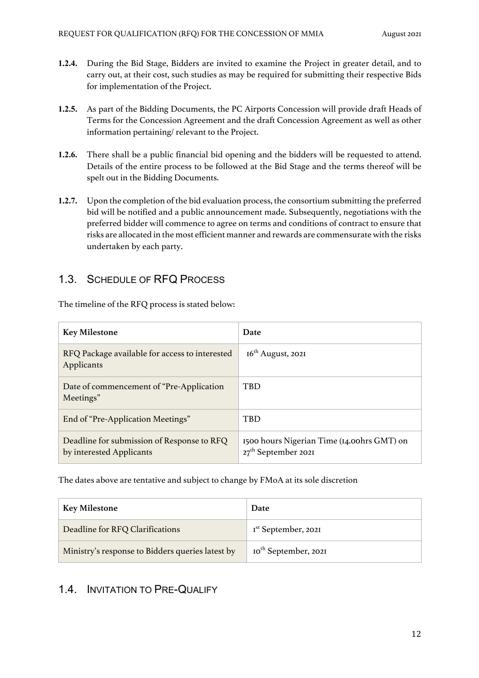- **1.2.4.** During the Bid Stage, Bidders are invited to examine the Project in greater detail, and to carry out, at their cost, such studies as may be required for submitting their respective Bids for implementation of the Project.
- **1.2.5.** As part of the Bidding Documents, the PC Airports Concession will provide draft Heads of Terms for the Concession Agreement and the draft Concession Agreement as well as other information pertaining/ relevant to the Project.
- **1.2.6.** There shall be a public financial bid opening and the bidders will be requested to attend. Details of the entire process to be followed at the Bid Stage and the terms thereof will be spelt out in the Bidding Documents.
- **1.2.7.** Upon the completion of the bid evaluation process, the consortium submitting the preferred bid will be notified and a public announcement made. Subsequently, negotiations with the preferred bidder will commence to agree on terms and conditions of contract to ensure that risks are allocated in the most efficient manner and rewards are commensurate with the risks undertaken by each party.

## 1.3. SCHEDULE OF RFQ PROCESS

The timeline of the RFQ process is stated below:

| <b>Key Milestone</b>                                                   | Date                                                                |
|------------------------------------------------------------------------|---------------------------------------------------------------------|
| RFQ Package available for access to interested<br>Applicants           | $16th$ August, 2021                                                 |
| Date of commencement of "Pre-Application"<br>Meetings"                 | TBD                                                                 |
| End of "Pre-Application Meetings"                                      | <b>TBD</b>                                                          |
| Deadline for submission of Response to RFQ<br>by interested Applicants | 1500 hours Nigerian Time (14.00hrs GMT) on<br>$27th$ September 2021 |

The dates above are tentative and subject to change by FMoA at its sole discretion

| <b>Key Milestone</b>                             | Date                             |
|--------------------------------------------------|----------------------------------|
| Deadline for RFQ Clarifications                  | I <sup>st</sup> September, 202I  |
| Ministry's response to Bidders queries latest by | Io <sup>th</sup> September, 2021 |

## 1.4. INVITATION TO PRE-QUALIFY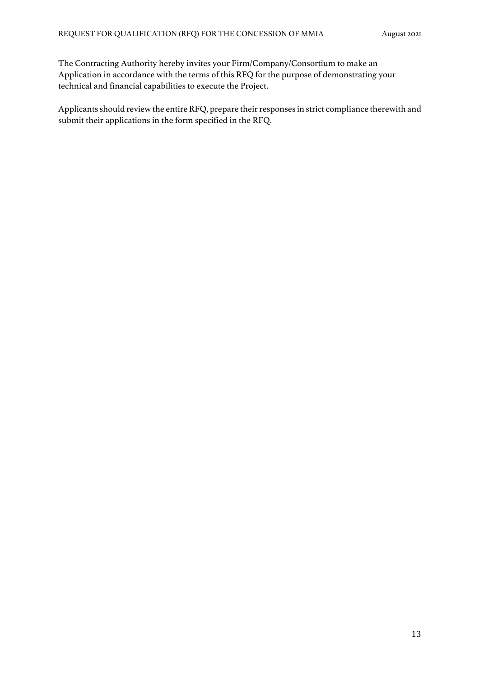The Contracting Authority hereby invites your Firm/Company/Consortium to make an Application in accordance with the terms of this RFQ for the purpose of demonstrating your technical and financial capabilities to execute the Project.

Applicants should review the entire RFQ, prepare their responses in strict compliance therewith and submit their applications in the form specified in the RFQ.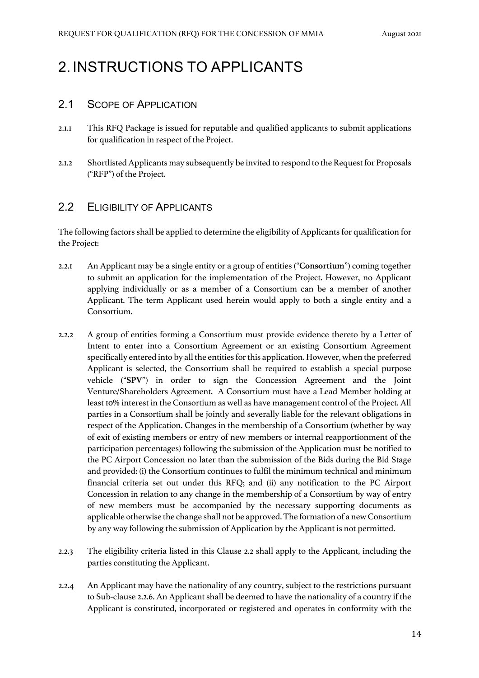# 2. INSTRUCTIONS TO APPLICANTS

#### 2.1 SCOPE OF APPLICATION

- 2.1.1 This RFQ Package is issued for reputable and qualified applicants to submit applications for qualification in respect of the Project.
- 2.1.2 Shortlisted Applicants may subsequently be invited to respond to the Request for Proposals ("RFP") of the Project.

#### 2.2 ELIGIBILITY OF APPLICANTS

The following factors shall be applied to determine the eligibility of Applicants for qualification for the Project:

- 2.2.1 An Applicant may be a single entity or a group of entities ("**Consortium**") coming together to submit an application for the implementation of the Project. However, no Applicant applying individually or as a member of a Consortium can be a member of another Applicant. The term Applicant used herein would apply to both a single entity and a Consortium.
- 2.2.2 A group of entities forming a Consortium must provide evidence thereto by a Letter of Intent to enter into a Consortium Agreement or an existing Consortium Agreement specifically entered into by all the entities for this application. However, when the preferred Applicant is selected, the Consortium shall be required to establish a special purpose vehicle ("**SPV**") in order to sign the Concession Agreement and the Joint Venture/Shareholders Agreement. A Consortium must have a Lead Member holding at least 10% interest in the Consortium as well as have management control of the Project. All parties in a Consortium shall be jointly and severally liable for the relevant obligations in respect of the Application. Changes in the membership of a Consortium (whether by way of exit of existing members or entry of new members or internal reapportionment of the participation percentages) following the submission of the Application must be notified to the PC Airport Concession no later than the submission of the Bids during the Bid Stage and provided: (i) the Consortium continues to fulfil the minimum technical and minimum financial criteria set out under this RFQ; and (ii) any notification to the PC Airport Concession in relation to any change in the membership of a Consortium by way of entry of new members must be accompanied by the necessary supporting documents as applicable otherwise the change shall not be approved. The formation of a new Consortium by any way following the submission of Application by the Applicant is not permitted.
- 2.2.3 The eligibility criteria listed in this Clause 2.2 shall apply to the Applicant, including the parties constituting the Applicant.
- 2.2.4 An Applicant may have the nationality of any country, subject to the restrictions pursuant to Sub-clause 2.2.6. An Applicant shall be deemed to have the nationality of a country if the Applicant is constituted, incorporated or registered and operates in conformity with the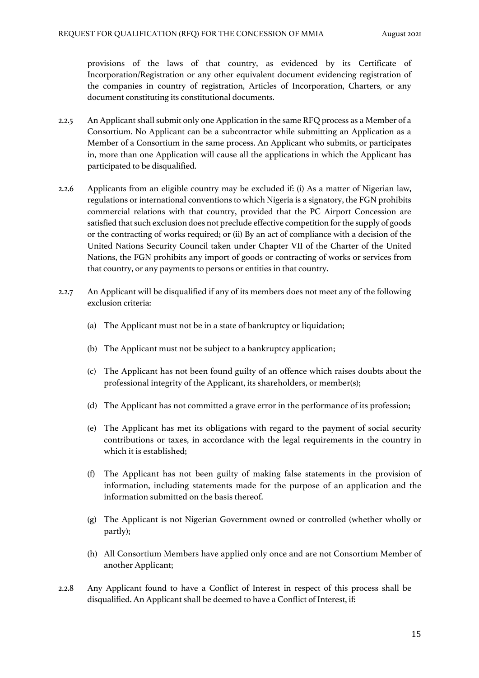provisions of the laws of that country, as evidenced by its Certificate of Incorporation/Registration or any other equivalent document evidencing registration of the companies in country of registration, Articles of Incorporation, Charters, or any document constituting its constitutional documents.

- 2.2.5 An Applicant shall submit only one Application in the same RFQ process as a Member of a Consortium. No Applicant can be a subcontractor while submitting an Application as a Member of a Consortium in the same process. An Applicant who submits, or participates in, more than one Application will cause all the applications in which the Applicant has participated to be disqualified.
- 2.2.6 Applicants from an eligible country may be excluded if: (i) As a matter of Nigerian law, regulations or international conventions to which Nigeria is a signatory, the FGN prohibits commercial relations with that country, provided that the PC Airport Concession are satisfied that such exclusion does not preclude effective competition for the supply of goods or the contracting of works required; or (ii) By an act of compliance with a decision of the United Nations Security Council taken under Chapter VII of the Charter of the United Nations, the FGN prohibits any import of goods or contracting of works or services from that country, or any payments to persons or entities in that country.
- 2.2.7 An Applicant will be disqualified if any of its members does not meet any of the following exclusion criteria:
	- (a) The Applicant must not be in a state of bankruptcy or liquidation;
	- (b) The Applicant must not be subject to a bankruptcy application;
	- (c) The Applicant has not been found guilty of an offence which raises doubts about the professional integrity of the Applicant, its shareholders, or member(s);
	- (d) The Applicant has not committed a grave error in the performance of its profession;
	- (e) The Applicant has met its obligations with regard to the payment of social security contributions or taxes, in accordance with the legal requirements in the country in which it is established;
	- (f) The Applicant has not been guilty of making false statements in the provision of information, including statements made for the purpose of an application and the information submitted on the basis thereof.
	- (g) The Applicant is not Nigerian Government owned or controlled (whether wholly or partly);
	- (h) All Consortium Members have applied only once and are not Consortium Member of another Applicant;
- 2.2.8 Any Applicant found to have a Conflict of Interest in respect of this process shall be disqualified. An Applicant shall be deemed to have a Conflict of Interest, if: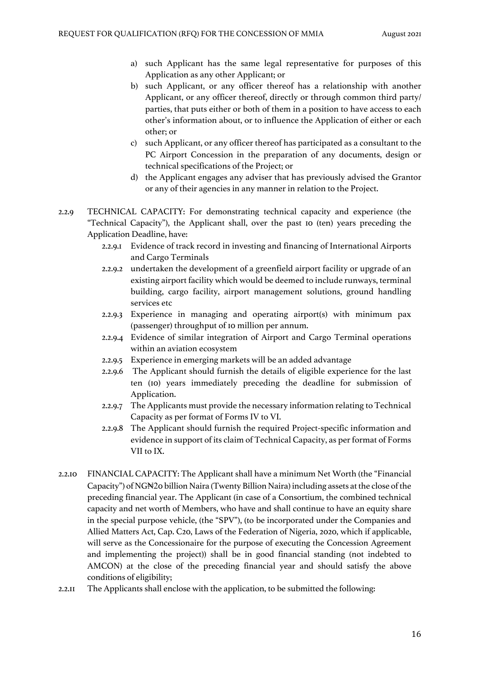- a) such Applicant has the same legal representative for purposes of this Application as any other Applicant; or
- b) such Applicant, or any officer thereof has a relationship with another Applicant, or any officer thereof, directly or through common third party/ parties, that puts either or both of them in a position to have access to each other's information about, or to influence the Application of either or each other; or
- c) such Applicant, or any officer thereof has participated as a consultant to the PC Airport Concession in the preparation of any documents, design or technical specifications of the Project; or
- d) the Applicant engages any adviser that has previously advised the Grantor or any of their agencies in any manner in relation to the Project.
- 2.2.9 TECHNICAL CAPACITY: For demonstrating technical capacity and experience (the "Technical Capacity"), the Applicant shall, over the past 10 (ten) years preceding the Application Deadline, have:
	- 2.2.9.1 Evidence of track record in investing and financing of International Airports and Cargo Terminals
	- 2.2.9.2 undertaken the development of a greenfield airport facility or upgrade of an existing airport facility which would be deemed to include runways, terminal building, cargo facility, airport management solutions, ground handling services etc
	- 2.2.9.3 Experience in managing and operating airport(s) with minimum pax (passenger) throughput of 10 million per annum.
	- 2.2.9.4 Evidence of similar integration of Airport and Cargo Terminal operations within an aviation ecosystem
	- 2.2.9.5 Experience in emerging markets will be an added advantage
	- 2.2.9.6 The Applicant should furnish the details of eligible experience for the last ten (10) years immediately preceding the deadline for submission of Application.
	- 2.2.9.7 The Applicants must provide the necessary information relating to Technical Capacity as per format of Forms IV to VI.
	- 2.2.9.8 The Applicant should furnish the required Project-specific information and evidence in support of its claim of Technical Capacity, as per format of Forms VII to IX.
- 2.2.10 FINANCIAL CAPACITY: The Applicant shall have a minimum Net Worth (the "Financial Capacity") of NG₦20 billion Naira (Twenty Billion Naira) including assets at the close of the preceding financial year. The Applicant (in case of a Consortium, the combined technical capacity and net worth of Members, who have and shall continue to have an equity share in the special purpose vehicle, (the "SPV"), (to be incorporated under the Companies and Allied Matters Act, Cap. C20, Laws of the Federation of Nigeria, 2020, which if applicable, will serve as the Concessionaire for the purpose of executing the Concession Agreement and implementing the project)) shall be in good financial standing (not indebted to AMCON) at the close of the preceding financial year and should satisfy the above conditions of eligibility;
- 2.2.11 The Applicants shall enclose with the application, to be submitted the following: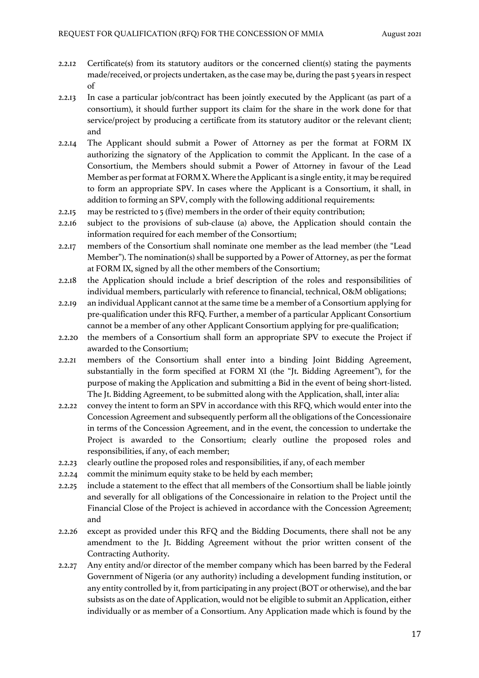- 2.2.12 Certificate(s) from its statutory auditors or the concerned client(s) stating the payments made/received, or projects undertaken, as the case may be, during the past 5 years in respect of
- 2.2.13 In case a particular job/contract has been jointly executed by the Applicant (as part of a consortium), it should further support its claim for the share in the work done for that service/project by producing a certificate from its statutory auditor or the relevant client; and
- 2.2.14 The Applicant should submit a Power of Attorney as per the format at FORM IX authorizing the signatory of the Application to commit the Applicant. In the case of a Consortium, the Members should submit a Power of Attorney in favour of the Lead Member as per format at FORM X. Where the Applicant is a single entity, it may be required to form an appropriate SPV. In cases where the Applicant is a Consortium, it shall, in addition to forming an SPV, comply with the following additional requirements:
- 2.2.15 may be restricted to 5 (five) members in the order of their equity contribution;
- 2.2.16 subject to the provisions of sub-clause (a) above, the Application should contain the information required for each member of the Consortium;
- 2.2.17 members of the Consortium shall nominate one member as the lead member (the "Lead Member"). The nomination(s) shall be supported by a Power of Attorney, as per the format at FORM IX, signed by all the other members of the Consortium;
- 2.2.18 the Application should include a brief description of the roles and responsibilities of individual members, particularly with reference to financial, technical, O&M obligations;
- 2.2.19 an individual Applicant cannot at the same time be a member of a Consortium applying for pre-qualification under this RFQ. Further, a member of a particular Applicant Consortium cannot be a member of any other Applicant Consortium applying for pre-qualification;
- 2.2.20 the members of a Consortium shall form an appropriate SPV to execute the Project if awarded to the Consortium;
- 2.2.21 members of the Consortium shall enter into a binding Joint Bidding Agreement, substantially in the form specified at FORM XI (the "Jt. Bidding Agreement"), for the purpose of making the Application and submitting a Bid in the event of being short-listed. The Jt. Bidding Agreement, to be submitted along with the Application, shall, inter alia:
- 2.2.22 convey the intent to form an SPV in accordance with this RFQ, which would enter into the Concession Agreement and subsequently perform all the obligations of the Concessionaire in terms of the Concession Agreement, and in the event, the concession to undertake the Project is awarded to the Consortium; clearly outline the proposed roles and responsibilities, if any, of each member;
- 2.2.23 clearly outline the proposed roles and responsibilities, if any, of each member
- 2.2.24 commit the minimum equity stake to be held by each member;
- 2.2.25 include a statement to the effect that all members of the Consortium shall be liable jointly and severally for all obligations of the Concessionaire in relation to the Project until the Financial Close of the Project is achieved in accordance with the Concession Agreement; and
- 2.2.26 except as provided under this RFQ and the Bidding Documents, there shall not be any amendment to the Jt. Bidding Agreement without the prior written consent of the Contracting Authority.
- 2.2.27 Any entity and/or director of the member company which has been barred by the Federal Government of Nigeria (or any authority) including a development funding institution, or any entity controlled by it, from participating in any project (BOT or otherwise), and the bar subsists as on the date of Application, would not be eligible to submit an Application, either individually or as member of a Consortium. Any Application made which is found by the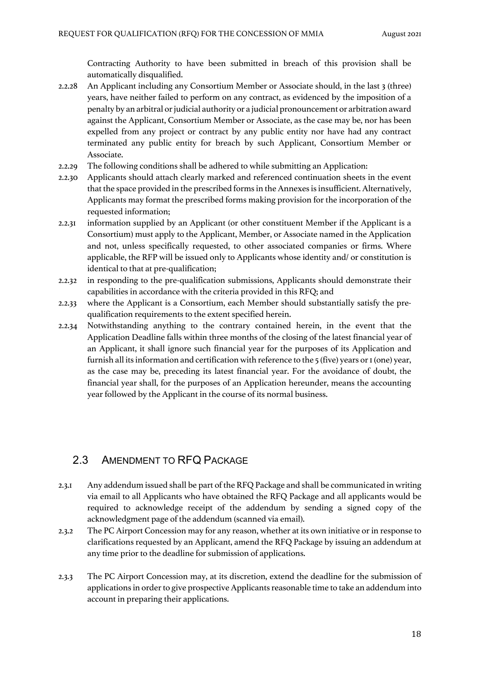Contracting Authority to have been submitted in breach of this provision shall be automatically disqualified.

- 2.2.28 An Applicant including any Consortium Member or Associate should, in the last 3 (three) years, have neither failed to perform on any contract, as evidenced by the imposition of a penalty by an arbitral or judicial authority or a judicial pronouncement or arbitration award against the Applicant, Consortium Member or Associate, as the case may be, nor has been expelled from any project or contract by any public entity nor have had any contract terminated any public entity for breach by such Applicant, Consortium Member or Associate.
- 2.2.29 The following conditions shall be adhered to while submitting an Application:
- 2.2.30 Applicants should attach clearly marked and referenced continuation sheets in the event that the space provided in the prescribed forms in the Annexes is insufficient. Alternatively, Applicants may format the prescribed forms making provision for the incorporation of the requested information;
- 2.2.31 information supplied by an Applicant (or other constituent Member if the Applicant is a Consortium) must apply to the Applicant, Member, or Associate named in the Application and not, unless specifically requested, to other associated companies or firms. Where applicable, the RFP will be issued only to Applicants whose identity and/ or constitution is identical to that at pre-qualification;
- 2.2.32 in responding to the pre-qualification submissions, Applicants should demonstrate their capabilities in accordance with the criteria provided in this RFQ; and
- 2.2.33 where the Applicant is a Consortium, each Member should substantially satisfy the prequalification requirements to the extent specified herein.
- 2.2.34 Notwithstanding anything to the contrary contained herein, in the event that the Application Deadline falls within three months of the closing of the latest financial year of an Applicant, it shall ignore such financial year for the purposes of its Application and furnish all its information and certification with reference to the 5 (five) years or 1 (one) year, as the case may be, preceding its latest financial year. For the avoidance of doubt, the financial year shall, for the purposes of an Application hereunder, means the accounting year followed by the Applicant in the course of its normal business.

## 2.3 AMENDMENT TO RFQ PACKAGE

- 2.3.1 Any addendum issued shall be part of the RFQ Package and shall be communicated in writing via email to all Applicants who have obtained the RFQ Package and all applicants would be required to acknowledge receipt of the addendum by sending a signed copy of the acknowledgment page of the addendum (scanned via email).
- 2.3.2 The PC Airport Concession may for any reason, whether at its own initiative or in response to clarifications requested by an Applicant, amend the RFQ Package by issuing an addendum at any time prior to the deadline for submission of applications.
- 2.3.3 The PC Airport Concession may, at its discretion, extend the deadline for the submission of applications in order to give prospective Applicants reasonable time to take an addendum into account in preparing their applications.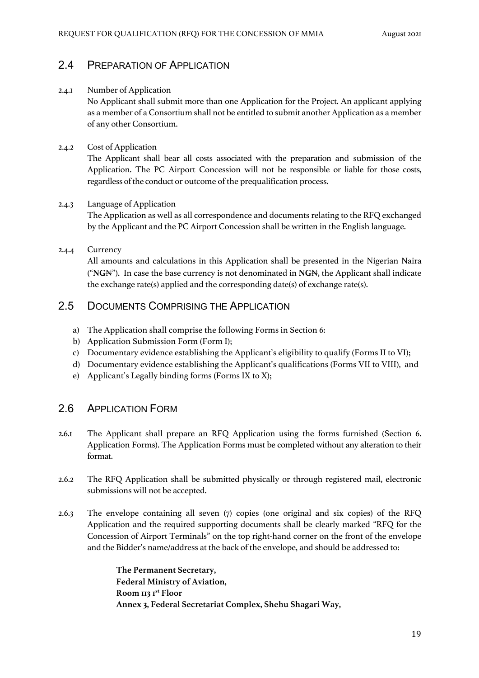#### 2.4 PREPARATION OF APPLICATION

#### 2.4.1 Number of Application

No Applicant shall submit more than one Application for the Project. An applicant applying as a member of a Consortium shall not be entitled to submit another Application as a member of any other Consortium.

#### 2.4.2 Cost of Application

The Applicant shall bear all costs associated with the preparation and submission of the Application. The PC Airport Concession will not be responsible or liable for those costs, regardless of the conduct or outcome of the prequalification process.

#### 2.4.3 Language of Application

The Application as well as all correspondence and documents relating to the RFQ exchanged by the Applicant and the PC Airport Concession shall be written in the English language.

#### 2.4.4 Currency

All amounts and calculations in this Application shall be presented in the Nigerian Naira ("**NG**₦"). In case the base currency is not denominated in **NG**₦, the Applicant shall indicate the exchange rate(s) applied and the corresponding date(s) of exchange rate(s).

### 2.5 DOCUMENTS COMPRISING THE APPLICATION

- a) The Application shall comprise the following Forms in Section 6:
- b) Application Submission Form (Form I);
- c) Documentary evidence establishing the Applicant's eligibility to qualify (Forms II to VI);
- d) Documentary evidence establishing the Applicant's qualifications (Forms VII to VIII), and
- e) Applicant's Legally binding forms (Forms IX to X);

#### 2.6 APPLICATION FORM

- 2.6.1 The Applicant shall prepare an RFQ Application using the forms furnished (Section 6. Application Forms). The Application Forms must be completed without any alteration to their format.
- 2.6.2 The RFQ Application shall be submitted physically or through registered mail, electronic submissions will not be accepted.
- 2.6.3 The envelope containing all seven (7) copies (one original and six copies) of the RFQ Application and the required supporting documents shall be clearly marked "RFQ for the Concession of Airport Terminals" on the top right-hand corner on the front of the envelope and the Bidder's name/address at the back of the envelope, and should be addressed to:

**The Permanent Secretary, Federal Ministry of Aviation, Room 113 1st Floor Annex 3, Federal Secretariat Complex, Shehu Shagari Way,**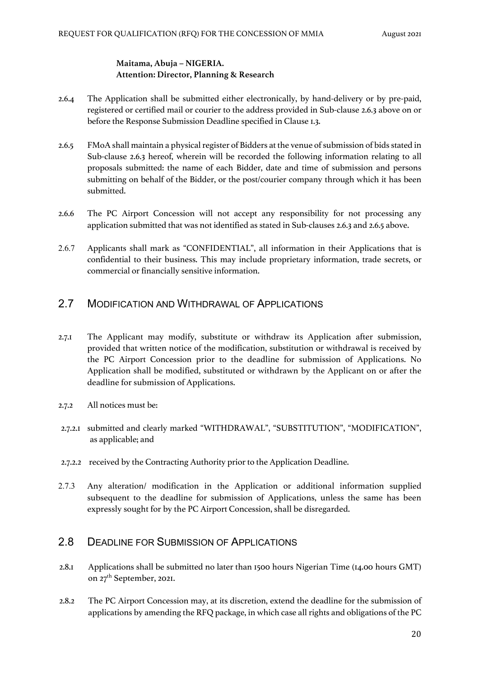#### **Maitama, Abuja – NIGERIA. Attention: Director, Planning & Research**

- 2.6.4 The Application shall be submitted either electronically, by hand-delivery or by pre-paid, registered or certified mail or courier to the address provided in Sub-clause 2.6.3 above on or before the Response Submission Deadline specified in Clause 1.3.
- 2.6.5 FMoA shall maintain a physical register of Bidders at the venue of submission of bids stated in Sub-clause 2.6.3 hereof, wherein will be recorded the following information relating to all proposals submitted: the name of each Bidder, date and time of submission and persons submitting on behalf of the Bidder, or the post/courier company through which it has been submitted.
- 2.6.6 The PC Airport Concession will not accept any responsibility for not processing any application submitted that was not identified as stated in Sub-clauses 2.6.3 and 2.6.5 above.
- 2.6.7 Applicants shall mark as "CONFIDENTIAL", all information in their Applications that is confidential to their business. This may include proprietary information, trade secrets, or commercial or financially sensitive information.

#### 2.7 MODIFICATION AND WITHDRAWAL OF APPLICATIONS

- 2.7.1 The Applicant may modify, substitute or withdraw its Application after submission, provided that written notice of the modification, substitution or withdrawal is received by the PC Airport Concession prior to the deadline for submission of Applications. No Application shall be modified, substituted or withdrawn by the Applicant on or after the deadline for submission of Applications.
- 2.7.2 All notices must be:
- 2.7.2.1 submitted and clearly marked "WITHDRAWAL", "SUBSTITUTION", "MODIFICATION", as applicable; and
- 2.7.2.2 received by the Contracting Authority prior to the Application Deadline.
- 2.7.3 Any alteration/ modification in the Application or additional information supplied subsequent to the deadline for submission of Applications, unless the same has been expressly sought for by the PC Airport Concession, shall be disregarded.

#### 2.8 DEADLINE FOR SUBMISSION OF APPLICATIONS

- 2.8.1 Applications shall be submitted no later than 1500 hours Nigerian Time (14.00 hours GMT) on 27<sup>th</sup> September, 2021.
- 2.8.2 The PC Airport Concession may, at its discretion, extend the deadline for the submission of applications by amending the RFQ package, in which case all rights and obligations of the PC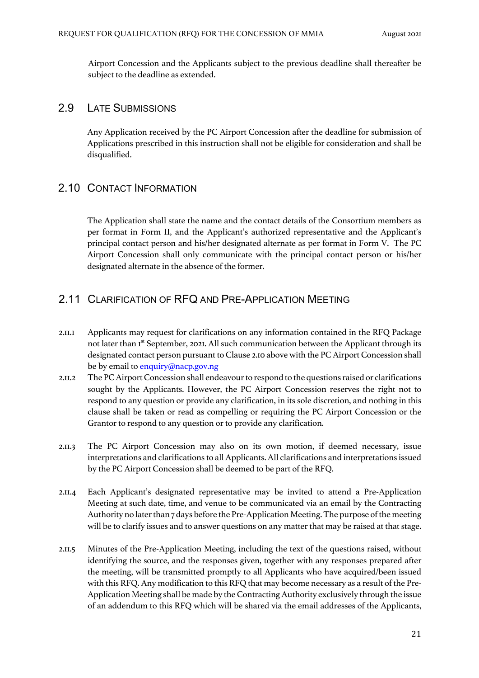Airport Concession and the Applicants subject to the previous deadline shall thereafter be subject to the deadline as extended.

#### 2.9 LATE SUBMISSIONS

Any Application received by the PC Airport Concession after the deadline for submission of Applications prescribed in this instruction shall not be eligible for consideration and shall be disqualified.

#### 2.10 CONTACT INFORMATION

The Application shall state the name and the contact details of the Consortium members as per format in Form II, and the Applicant's authorized representative and the Applicant's principal contact person and his/her designated alternate as per format in Form V. The PC Airport Concession shall only communicate with the principal contact person or his/her designated alternate in the absence of the former.

#### 2.11 CLARIFICATION OF RFQ AND PRE-APPLICATION MEETING

- 2.11.1 Applicants may request for clarifications on any information contained in the RFQ Package not later than Ist September, 2021. All such communication between the Applicant through its designated contact person pursuant to Clause 2.10 above with the PC Airport Concession shall be by email to **enquiry@nacp.gov.ng**
- 2.11.2 The PC Airport Concession shall endeavour to respond to the questions raised or clarifications sought by the Applicants. However, the PC Airport Concession reserves the right not to respond to any question or provide any clarification, in its sole discretion, and nothing in this clause shall be taken or read as compelling or requiring the PC Airport Concession or the Grantor to respond to any question or to provide any clarification.
- 2.11.3 The PC Airport Concession may also on its own motion, if deemed necessary, issue interpretations and clarifications to all Applicants. All clarifications and interpretations issued by the PC Airport Concession shall be deemed to be part of the RFQ.
- 2.11.4 Each Applicant's designated representative may be invited to attend a Pre-Application Meeting at such date, time, and venue to be communicated via an email by the Contracting Authority no later than 7 days before the Pre-Application Meeting. The purpose of the meeting will be to clarify issues and to answer questions on any matter that may be raised at that stage.
- 2.11.5 Minutes of the Pre-Application Meeting, including the text of the questions raised, without identifying the source, and the responses given, together with any responses prepared after the meeting, will be transmitted promptly to all Applicants who have acquired/been issued with this RFQ. Any modification to this RFQ that may become necessary as a result of the Pre-Application Meeting shall be made by the Contracting Authority exclusively through the issue of an addendum to this RFQ which will be shared via the email addresses of the Applicants,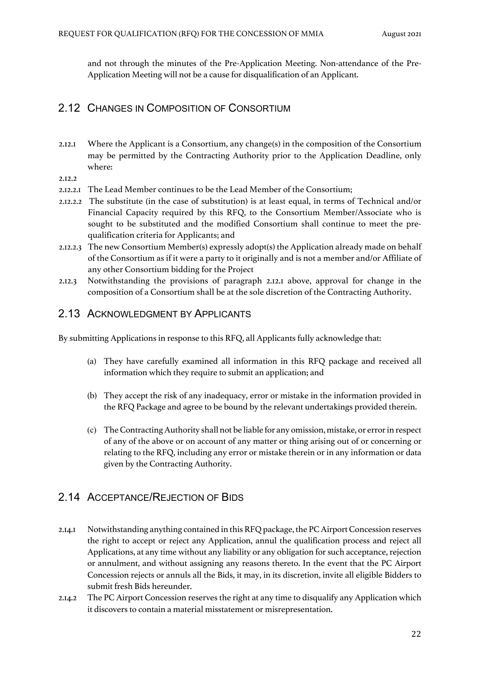and not through the minutes of the Pre-Application Meeting. Non-attendance of the Pre-Application Meeting will not be a cause for disqualification of an Applicant.

### 2.12 CHANGES IN COMPOSITION OF CONSORTIUM

- 2.12.1 Where the Applicant is a Consortium, any change(s) in the composition of the Consortium may be permitted by the Contracting Authority prior to the Application Deadline, only where:
- 2.12.2
- 2.12.2.1 The Lead Member continues to be the Lead Member of the Consortium;
- 2.12.2.2 The substitute (in the case of substitution) is at least equal, in terms of Technical and/or Financial Capacity required by this RFQ, to the Consortium Member/Associate who is sought to be substituted and the modified Consortium shall continue to meet the prequalification criteria for Applicants; and
- 2.12.2.3 The new Consortium Member(s) expressly adopt(s) the Application already made on behalf of the Consortium as if it were a party to it originally and is not a member and/or Affiliate of any other Consortium bidding for the Project
- 2.12.3 Notwithstanding the provisions of paragraph 2.12.1 above, approval for change in the composition of a Consortium shall be at the sole discretion of the Contracting Authority.

#### 2.13 ACKNOWLEDGMENT BY APPLICANTS

By submitting Applications in response to this RFQ, all Applicants fully acknowledge that:

- (a) They have carefully examined all information in this RFQ package and received all information which they require to submit an application; and
- (b) They accept the risk of any inadequacy, error or mistake in the information provided in the RFQ Package and agree to be bound by the relevant undertakings provided therein.
- (c) The Contracting Authority shall not be liable for any omission, mistake, or error in respect of any of the above or on account of any matter or thing arising out of or concerning or relating to the RFQ, including any error or mistake therein or in any information or data given by the Contracting Authority.

## 2.14 ACCEPTANCE/REJECTION OF BIDS

- 2.14.1 Notwithstanding anything contained in this RFQ package, the PC Airport Concession reserves the right to accept or reject any Application, annul the qualification process and reject all Applications, at any time without any liability or any obligation for such acceptance, rejection or annulment, and without assigning any reasons thereto. In the event that the PC Airport Concession rejects or annuls all the Bids, it may, in its discretion, invite all eligible Bidders to submit fresh Bids hereunder.
- 2.14.2 The PC Airport Concession reserves the right at any time to disqualify any Application which it discovers to contain a material misstatement or misrepresentation.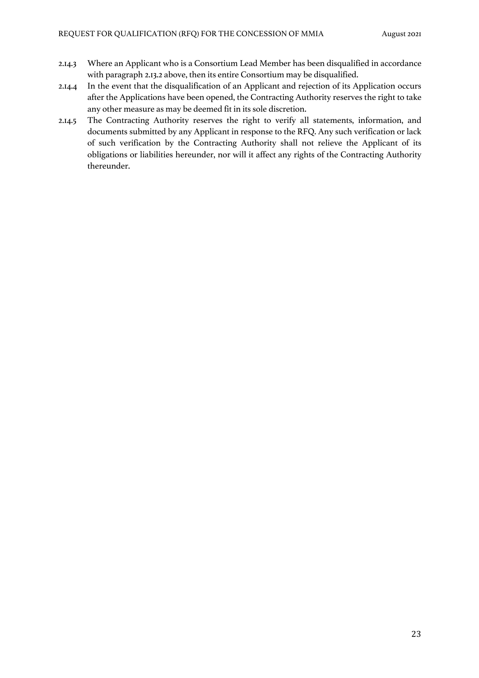- 2.14.3 Where an Applicant who is a Consortium Lead Member has been disqualified in accordance with paragraph 2.13.2 above, then its entire Consortium may be disqualified.
- 2.14.4 In the event that the disqualification of an Applicant and rejection of its Application occurs after the Applications have been opened, the Contracting Authority reserves the right to take any other measure as may be deemed fit in its sole discretion.
- 2.14.5 The Contracting Authority reserves the right to verify all statements, information, and documents submitted by any Applicant in response to the RFQ. Any such verification or lack of such verification by the Contracting Authority shall not relieve the Applicant of its obligations or liabilities hereunder, nor will it affect any rights of the Contracting Authority thereunder.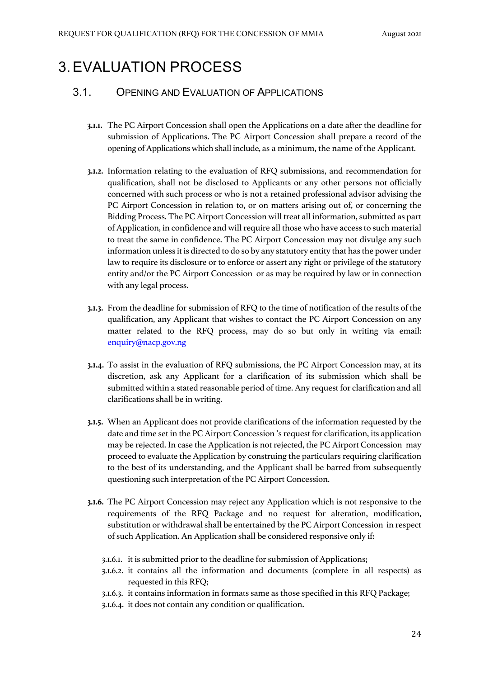# 3.EVALUATION PROCESS

#### 3.1. OPENING AND EVALUATION OF APPLICATIONS

- **3.1.1.** The PC Airport Concession shall open the Applications on a date after the deadline for submission of Applications. The PC Airport Concession shall prepare a record of the opening of Applications which shall include, as a minimum, the name of the Applicant.
- **3.1.2.** Information relating to the evaluation of RFQ submissions, and recommendation for qualification, shall not be disclosed to Applicants or any other persons not officially concerned with such process or who is not a retained professional advisor advising the PC Airport Concession in relation to, or on matters arising out of, or concerning the Bidding Process. The PC Airport Concession will treat all information, submitted as part of Application, in confidence and will require all those who have access to such material to treat the same in confidence. The PC Airport Concession may not divulge any such information unless it is directed to do so by any statutory entity that has the power under law to require its disclosure or to enforce or assert any right or privilege of the statutory entity and/or the PC Airport Concession or as may be required by law or in connection with any legal process.
- **3.1.3.** From the deadline for submission of RFQ to the time of notification of the results of the qualification, any Applicant that wishes to contact the PC Airport Concession on any matter related to the RFQ process, may do so but only in writing via email: enquiry@nacp.gov.ng
- **3.1.4.** To assist in the evaluation of RFQ submissions, the PC Airport Concession may, at its discretion, ask any Applicant for a clarification of its submission which shall be submitted within a stated reasonable period of time. Any request for clarification and all clarifications shall be in writing.
- **3.1.5.** When an Applicant does not provide clarifications of the information requested by the date and time set in the PC Airport Concession 's request for clarification, its application may be rejected. In case the Application is not rejected, the PC Airport Concession may proceed to evaluate the Application by construing the particulars requiring clarification to the best of its understanding, and the Applicant shall be barred from subsequently questioning such interpretation of the PC Airport Concession.
- **3.1.6.** The PC Airport Concession may reject any Application which is not responsive to the requirements of the RFQ Package and no request for alteration, modification, substitution or withdrawal shall be entertained by the PC Airport Concession in respect of such Application. An Application shall be considered responsive only if:
	- 3.1.6.1. it is submitted prior to the deadline for submission of Applications;
	- 3.1.6.2. it contains all the information and documents (complete in all respects) as requested in this RFQ;
	- 3.1.6.3. it contains information in formats same as those specified in this RFQ Package;
	- 3.1.6.4. it does not contain any condition or qualification.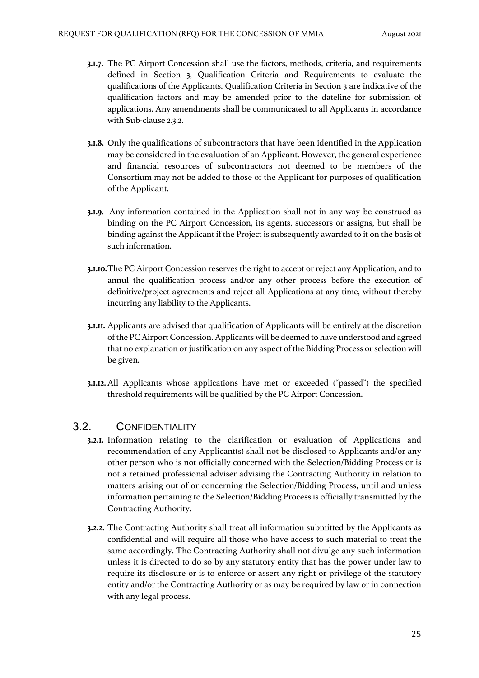- **3.1.7.** The PC Airport Concession shall use the factors, methods, criteria, and requirements defined in Section 3, Qualification Criteria and Requirements to evaluate the qualifications of the Applicants. Qualification Criteria in Section 3 are indicative of the qualification factors and may be amended prior to the dateline for submission of applications. Any amendments shall be communicated to all Applicants in accordance with Sub-clause 2.3.2.
- **3.1.8.** Only the qualifications of subcontractors that have been identified in the Application may be considered in the evaluation of an Applicant. However, the general experience and financial resources of subcontractors not deemed to be members of the Consortium may not be added to those of the Applicant for purposes of qualification of the Applicant.
- **3.1.9.** Any information contained in the Application shall not in any way be construed as binding on the PC Airport Concession, its agents, successors or assigns, but shall be binding against the Applicant if the Project is subsequently awarded to it on the basis of such information.
- **3.1.10.**The PC Airport Concession reserves the right to accept or reject any Application, and to annul the qualification process and/or any other process before the execution of definitive/project agreements and reject all Applications at any time, without thereby incurring any liability to the Applicants.
- **3.1.11.** Applicants are advised that qualification of Applicants will be entirely at the discretion of the PC Airport Concession. Applicants will be deemed to have understood and agreed that no explanation or justification on any aspect of the Bidding Process or selection will be given.
- **3.1.12.**All Applicants whose applications have met or exceeded ("passed") the specified threshold requirements will be qualified by the PC Airport Concession.

#### 3.2. CONFIDENTIALITY

- **3.2.1.** Information relating to the clarification or evaluation of Applications and recommendation of any Applicant(s) shall not be disclosed to Applicants and/or any other person who is not officially concerned with the Selection/Bidding Process or is not a retained professional adviser advising the Contracting Authority in relation to matters arising out of or concerning the Selection/Bidding Process, until and unless information pertaining to the Selection/Bidding Process is officially transmitted by the Contracting Authority.
- **3.2.2.** The Contracting Authority shall treat all information submitted by the Applicants as confidential and will require all those who have access to such material to treat the same accordingly. The Contracting Authority shall not divulge any such information unless it is directed to do so by any statutory entity that has the power under law to require its disclosure or is to enforce or assert any right or privilege of the statutory entity and/or the Contracting Authority or as may be required by law or in connection with any legal process.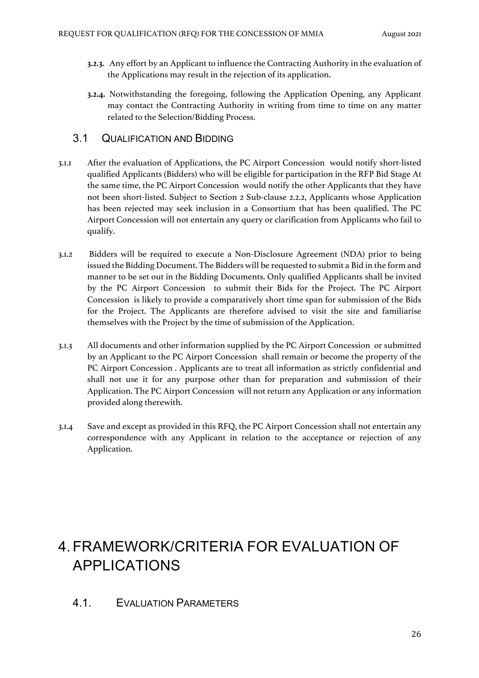- **3.2.3.** Any effort by an Applicant to influence the Contracting Authority in the evaluation of the Applications may result in the rejection of its application.
- **3.2.4.** Notwithstanding the foregoing, following the Application Opening, any Applicant may contact the Contracting Authority in writing from time to time on any matter related to the Selection/Bidding Process.

### 3.1 QUALIFICATION AND BIDDING

- 3.1.1 After the evaluation of Applications, the PC Airport Concession would notify short-listed qualified Applicants (Bidders) who will be eligible for participation in the RFP Bid Stage At the same time, the PC Airport Concession would notify the other Applicants that they have not been short-listed. Subject to Section 2 Sub-clause 2.2.2, Applicants whose Application has been rejected may seek inclusion in a Consortium that has been qualified. The PC Airport Concession will not entertain any query or clarification from Applicants who fail to qualify.
- 3.1.2 Bidders will be required to execute a Non-Disclosure Agreement (NDA) prior to being issued the Bidding Document. The Bidders will be requested to submit a Bid in the form and manner to be set out in the Bidding Documents. Only qualified Applicants shall be invited by the PC Airport Concession to submit their Bids for the Project. The PC Airport Concession is likely to provide a comparatively short time span for submission of the Bids for the Project. The Applicants are therefore advised to visit the site and familiarise themselves with the Project by the time of submission of the Application.
- 3.1.3 All documents and other information supplied by the PC Airport Concession or submitted by an Applicant to the PC Airport Concession shall remain or become the property of the PC Airport Concession . Applicants are to treat all information as strictly confidential and shall not use it for any purpose other than for preparation and submission of their Application. The PC Airport Concession will not return any Application or any information provided along therewith.
- 3.1.4 Save and except as provided in this RFQ, the PC Airport Concession shall not entertain any correspondence with any Applicant in relation to the acceptance or rejection of any Application.

# 4.FRAMEWORK/CRITERIA FOR EVALUATION OF APPLICATIONS

4.1. EVALUATION PARAMETERS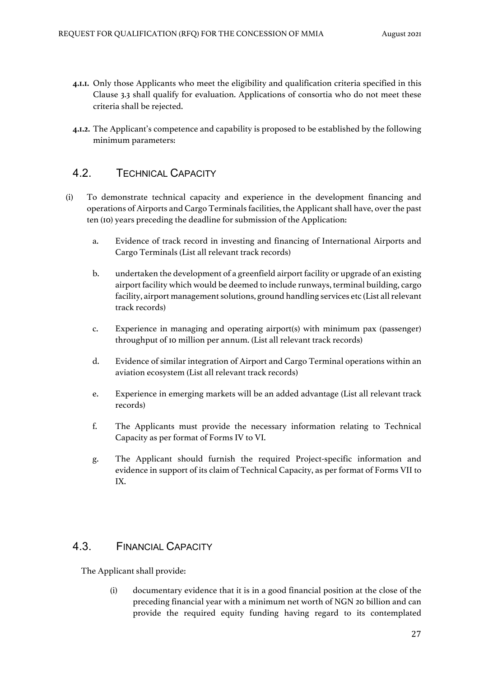- **4.1.1.** Only those Applicants who meet the eligibility and qualification criteria specified in this Clause 3.3 shall qualify for evaluation. Applications of consortia who do not meet these criteria shall be rejected.
- **4.1.2.** The Applicant's competence and capability is proposed to be established by the following minimum parameters:

## 4.2. TECHNICAL CAPACITY

- (i) To demonstrate technical capacity and experience in the development financing and operations of Airports and Cargo Terminals facilities, the Applicant shall have, over the past ten (10) years preceding the deadline for submission of the Application:
	- a. Evidence of track record in investing and financing of International Airports and Cargo Terminals (List all relevant track records)
	- b. undertaken the development of a greenfield airport facility or upgrade of an existing airport facility which would be deemed to include runways, terminal building, cargo facility, airport management solutions, ground handling services etc (List all relevant track records)
	- c. Experience in managing and operating airport(s) with minimum pax (passenger) throughput of 10 million per annum. (List all relevant track records)
	- d. Evidence of similar integration of Airport and Cargo Terminal operations within an aviation ecosystem (List all relevant track records)
	- e. Experience in emerging markets will be an added advantage (List all relevant track records)
	- f. The Applicants must provide the necessary information relating to Technical Capacity as per format of Forms IV to VI.
	- g. The Applicant should furnish the required Project-specific information and evidence in support of its claim of Technical Capacity, as per format of Forms VII to IX.

### 4.3. FINANCIAL CAPACITY

The Applicant shall provide:

(i) documentary evidence that it is in a good financial position at the close of the preceding financial year with a minimum net worth of NGN 20 billion and can provide the required equity funding having regard to its contemplated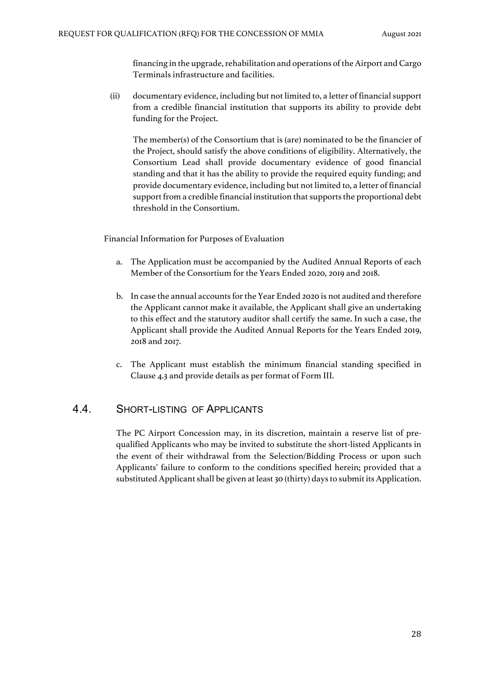financing in the upgrade, rehabilitation and operations of the Airport and Cargo Terminals infrastructure and facilities.

(ii) documentary evidence, including but not limited to, a letter of financial support from a credible financial institution that supports its ability to provide debt funding for the Project.

The member(s) of the Consortium that is (are) nominated to be the financier of the Project, should satisfy the above conditions of eligibility. Alternatively, the Consortium Lead shall provide documentary evidence of good financial standing and that it has the ability to provide the required equity funding; and provide documentary evidence, including but not limited to, a letter of financial support from a credible financial institution that supports the proportional debt threshold in the Consortium.

Financial Information for Purposes of Evaluation

- a. The Application must be accompanied by the Audited Annual Reports of each Member of the Consortium for the Years Ended 2020, 2019 and 2018.
- b. In case the annual accounts for the Year Ended 2020 is not audited and therefore the Applicant cannot make it available, the Applicant shall give an undertaking to this effect and the statutory auditor shall certify the same. In such a case, the Applicant shall provide the Audited Annual Reports for the Years Ended 2019, 2018 and 2017.
- c. The Applicant must establish the minimum financial standing specified in Clause 4.3 and provide details as per format of Form III.

#### 4.4. SHORT-LISTING OF APPLICANTS

The PC Airport Concession may, in its discretion, maintain a reserve list of prequalified Applicants who may be invited to substitute the short-listed Applicants in the event of their withdrawal from the Selection/Bidding Process or upon such Applicants' failure to conform to the conditions specified herein; provided that a substituted Applicant shall be given at least 30 (thirty) days to submit its Application.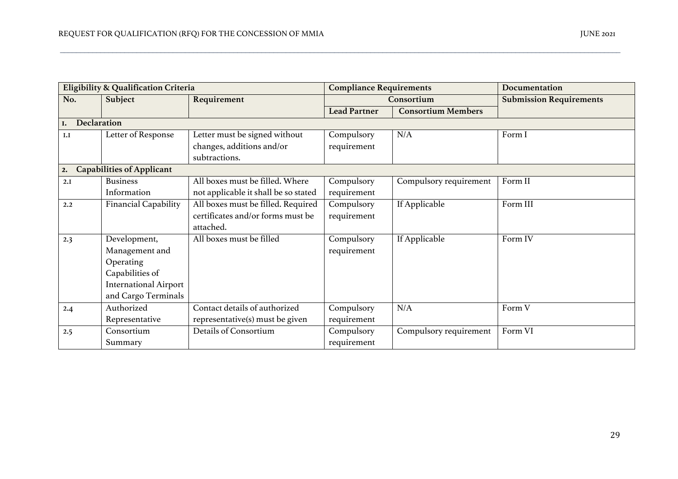| Eligibility & Qualification Criteria |                                  |                                      | <b>Compliance Requirements</b> |                           | Documentation                  |
|--------------------------------------|----------------------------------|--------------------------------------|--------------------------------|---------------------------|--------------------------------|
| No.                                  | Subject                          | Requirement                          | Consortium                     |                           | <b>Submission Requirements</b> |
|                                      |                                  |                                      | <b>Lead Partner</b>            | <b>Consortium Members</b> |                                |
| I.                                   | Declaration                      |                                      |                                |                           |                                |
| I.I                                  | Letter of Response               | Letter must be signed without        | Compulsory                     | N/A                       | Form I                         |
|                                      |                                  | changes, additions and/or            | requirement                    |                           |                                |
|                                      |                                  | subtractions.                        |                                |                           |                                |
| 2.                                   | <b>Capabilities of Applicant</b> |                                      |                                |                           |                                |
| 2.I                                  | <b>Business</b>                  | All boxes must be filled. Where      | Compulsory                     | Compulsory requirement    | Form II                        |
|                                      | Information                      | not applicable it shall be so stated | requirement                    |                           |                                |
| 2.2                                  | <b>Financial Capability</b>      | All boxes must be filled. Required   | Compulsory                     | If Applicable             | Form III                       |
|                                      |                                  | certificates and/or forms must be    | requirement                    |                           |                                |
|                                      |                                  | attached.                            |                                |                           |                                |
| 2.3                                  | Development,                     | All boxes must be filled             | Compulsory                     | If Applicable             | Form IV                        |
|                                      | Management and                   |                                      | requirement                    |                           |                                |
|                                      | Operating                        |                                      |                                |                           |                                |
|                                      | Capabilities of                  |                                      |                                |                           |                                |
|                                      | <b>International Airport</b>     |                                      |                                |                           |                                |
|                                      | and Cargo Terminals              |                                      |                                |                           |                                |
| 2.4                                  | Authorized                       | Contact details of authorized        | Compulsory                     | N/A                       | Form V                         |
|                                      | Representative                   | representative(s) must be given      | requirement                    |                           |                                |
| 2.5                                  | Consortium                       | Details of Consortium                | Compulsory                     | Compulsory requirement    | Form VI                        |
|                                      | Summary                          |                                      | requirement                    |                           |                                |

\_\_\_\_\_\_\_\_\_\_\_\_\_\_\_\_\_\_\_\_\_\_\_\_\_\_\_\_\_\_\_\_\_\_\_\_\_\_\_\_\_\_\_\_\_\_\_\_\_\_\_\_\_\_\_\_\_\_\_\_\_\_\_\_\_\_\_\_\_\_\_\_\_\_\_\_\_\_\_\_\_\_\_\_\_\_\_\_\_\_\_\_\_\_\_\_\_\_\_\_\_\_\_\_\_\_\_\_\_\_\_\_\_\_\_\_\_\_\_\_\_\_\_\_\_\_\_\_\_\_\_\_\_\_\_\_\_\_\_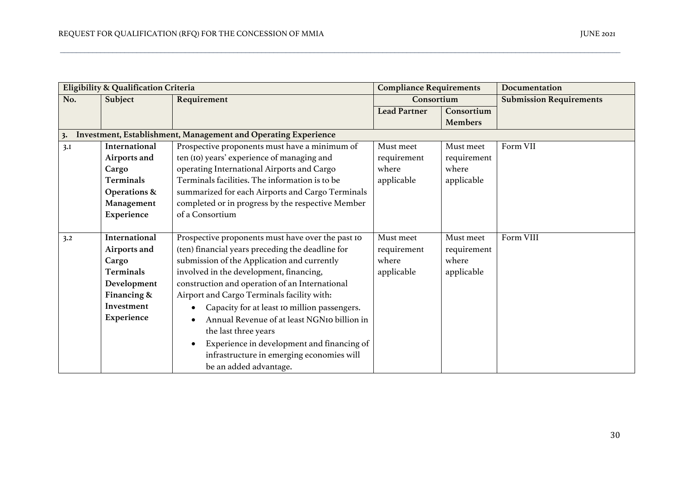| Eligibility & Qualification Criteria                                 |                         |                                                          | <b>Compliance Requirements</b> |                | Documentation                  |  |  |  |  |  |
|----------------------------------------------------------------------|-------------------------|----------------------------------------------------------|--------------------------------|----------------|--------------------------------|--|--|--|--|--|
| No.                                                                  | Subject                 | Requirement                                              | Consortium                     |                | <b>Submission Requirements</b> |  |  |  |  |  |
|                                                                      |                         |                                                          | <b>Lead Partner</b>            | Consortium     |                                |  |  |  |  |  |
|                                                                      |                         |                                                          |                                | <b>Members</b> |                                |  |  |  |  |  |
| Investment, Establishment, Management and Operating Experience<br>3. |                         |                                                          |                                |                |                                |  |  |  |  |  |
| 3.I                                                                  | International           | Prospective proponents must have a minimum of            | Must meet                      | Must meet      | Form VII                       |  |  |  |  |  |
|                                                                      | Airports and            | ten (IO) years' experience of managing and               | requirement                    | requirement    |                                |  |  |  |  |  |
|                                                                      | Cargo                   | operating International Airports and Cargo               | where                          | where          |                                |  |  |  |  |  |
|                                                                      | Terminals               | Terminals facilities. The information is to be           | applicable                     | applicable     |                                |  |  |  |  |  |
|                                                                      | <b>Operations &amp;</b> | summarized for each Airports and Cargo Terminals         |                                |                |                                |  |  |  |  |  |
|                                                                      | Management              | completed or in progress by the respective Member        |                                |                |                                |  |  |  |  |  |
|                                                                      | Experience              | of a Consortium                                          |                                |                |                                |  |  |  |  |  |
|                                                                      |                         |                                                          |                                |                |                                |  |  |  |  |  |
| 3.2                                                                  | International           | Prospective proponents must have over the past IO        | Must meet                      | Must meet      | Form VIII                      |  |  |  |  |  |
|                                                                      | Airports and            | (ten) financial years preceding the deadline for         | requirement                    | requirement    |                                |  |  |  |  |  |
|                                                                      | Cargo                   | submission of the Application and currently              | where                          | where          |                                |  |  |  |  |  |
|                                                                      | Terminals               | involved in the development, financing,                  | applicable                     | applicable     |                                |  |  |  |  |  |
|                                                                      | Development             | construction and operation of an International           |                                |                |                                |  |  |  |  |  |
|                                                                      | Financing &             | Airport and Cargo Terminals facility with:               |                                |                |                                |  |  |  |  |  |
|                                                                      | Investment              | Capacity for at least 10 million passengers.             |                                |                |                                |  |  |  |  |  |
|                                                                      | Experience              | Annual Revenue of at least NGNIo billion in<br>$\bullet$ |                                |                |                                |  |  |  |  |  |
|                                                                      |                         | the last three years                                     |                                |                |                                |  |  |  |  |  |
|                                                                      |                         | Experience in development and financing of<br>$\bullet$  |                                |                |                                |  |  |  |  |  |
|                                                                      |                         | infrastructure in emerging economies will                |                                |                |                                |  |  |  |  |  |
|                                                                      |                         | be an added advantage.                                   |                                |                |                                |  |  |  |  |  |

\_\_\_\_\_\_\_\_\_\_\_\_\_\_\_\_\_\_\_\_\_\_\_\_\_\_\_\_\_\_\_\_\_\_\_\_\_\_\_\_\_\_\_\_\_\_\_\_\_\_\_\_\_\_\_\_\_\_\_\_\_\_\_\_\_\_\_\_\_\_\_\_\_\_\_\_\_\_\_\_\_\_\_\_\_\_\_\_\_\_\_\_\_\_\_\_\_\_\_\_\_\_\_\_\_\_\_\_\_\_\_\_\_\_\_\_\_\_\_\_\_\_\_\_\_\_\_\_\_\_\_\_\_\_\_\_\_\_\_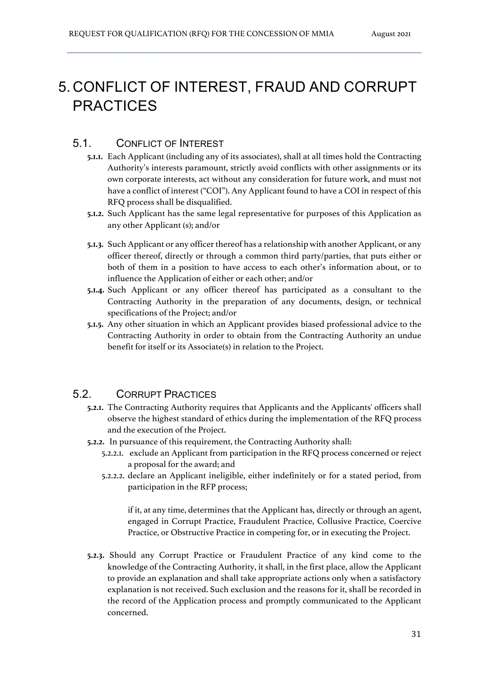# 5. CONFLICT OF INTEREST, FRAUD AND CORRUPT **PRACTICES**

 $\mathcal{L}_\mathcal{L} = \{ \mathcal{L}_\mathcal{L} = \{ \mathcal{L}_\mathcal{L} = \{ \mathcal{L}_\mathcal{L} = \{ \mathcal{L}_\mathcal{L} = \{ \mathcal{L}_\mathcal{L} = \{ \mathcal{L}_\mathcal{L} = \{ \mathcal{L}_\mathcal{L} = \{ \mathcal{L}_\mathcal{L} = \{ \mathcal{L}_\mathcal{L} = \{ \mathcal{L}_\mathcal{L} = \{ \mathcal{L}_\mathcal{L} = \{ \mathcal{L}_\mathcal{L} = \{ \mathcal{L}_\mathcal{L} = \{ \mathcal{L}_\mathcal{$ 

### 5.1. CONFLICT OF INTEREST

- **5.1.1.** Each Applicant (including any of its associates), shall at all times hold the Contracting Authority's interests paramount, strictly avoid conflicts with other assignments or its own corporate interests, act without any consideration for future work, and must not have a conflict of interest ("COI"). Any Applicant found to have a COI in respect of this RFQ process shall be disqualified.
- **5.1.2.** Such Applicant has the same legal representative for purposes of this Application as any other Applicant (s); and/or
- **5.1.3.** Such Applicant or any officer thereof has a relationship with another Applicant, or any officer thereof, directly or through a common third party/parties, that puts either or both of them in a position to have access to each other's information about, or to influence the Application of either or each other; and/or
- **5.1.4.** Such Applicant or any officer thereof has participated as a consultant to the Contracting Authority in the preparation of any documents, design, or technical specifications of the Project; and/or
- **5.1.5.** Any other situation in which an Applicant provides biased professional advice to the Contracting Authority in order to obtain from the Contracting Authority an undue benefit for itself or its Associate(s) in relation to the Project.

## 5.2. CORRUPT PRACTICES

- **5.2.1.** The Contracting Authority requires that Applicants and the Applicants' officers shall observe the highest standard of ethics during the implementation of the RFQ process and the execution of the Project.
- **5.2.2.** In pursuance of this requirement, the Contracting Authority shall:
	- 5.2.2.1. exclude an Applicant from participation in the RFQ process concerned or reject a proposal for the award; and
	- 5.2.2.2. declare an Applicant ineligible, either indefinitely or for a stated period, from participation in the RFP process;

if it, at any time, determines that the Applicant has, directly or through an agent, engaged in Corrupt Practice, Fraudulent Practice, Collusive Practice, Coercive Practice, or Obstructive Practice in competing for, or in executing the Project.

**5.2.3.** Should any Corrupt Practice or Fraudulent Practice of any kind come to the knowledge of the Contracting Authority, it shall, in the first place, allow the Applicant to provide an explanation and shall take appropriate actions only when a satisfactory explanation is not received. Such exclusion and the reasons for it, shall be recorded in the record of the Application process and promptly communicated to the Applicant concerned.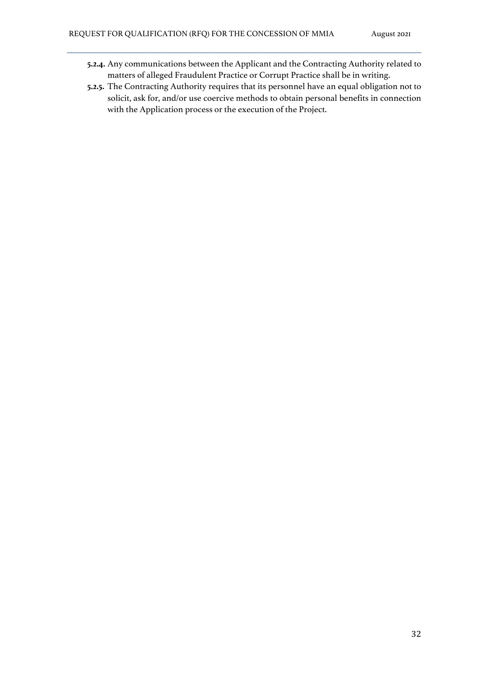**5.2.4.** Any communications between the Applicant and the Contracting Authority related to matters of alleged Fraudulent Practice or Corrupt Practice shall be in writing.

 $\mathcal{L}_\mathcal{L} = \{ \mathcal{L}_\mathcal{L} = \{ \mathcal{L}_\mathcal{L} = \{ \mathcal{L}_\mathcal{L} = \{ \mathcal{L}_\mathcal{L} = \{ \mathcal{L}_\mathcal{L} = \{ \mathcal{L}_\mathcal{L} = \{ \mathcal{L}_\mathcal{L} = \{ \mathcal{L}_\mathcal{L} = \{ \mathcal{L}_\mathcal{L} = \{ \mathcal{L}_\mathcal{L} = \{ \mathcal{L}_\mathcal{L} = \{ \mathcal{L}_\mathcal{L} = \{ \mathcal{L}_\mathcal{L} = \{ \mathcal{L}_\mathcal{$ 

**5.2.5.** The Contracting Authority requires that its personnel have an equal obligation not to solicit, ask for, and/or use coercive methods to obtain personal benefits in connection with the Application process or the execution of the Project.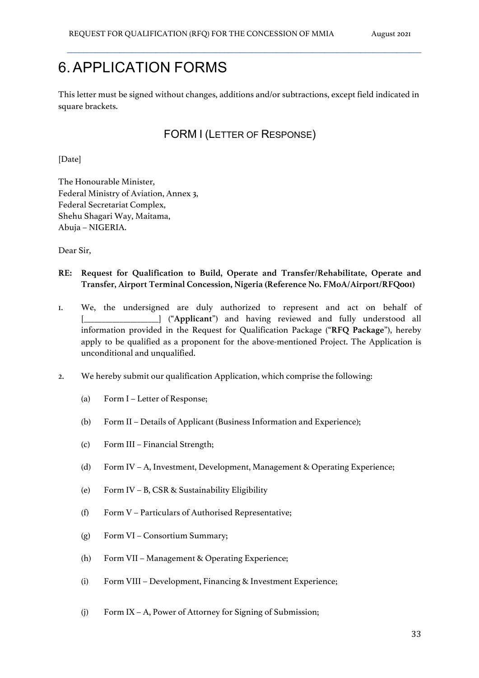# 6.APPLICATION FORMS

This letter must be signed without changes, additions and/or subtractions, except field indicated in square brackets.

 $\mathcal{L}_\mathcal{L} = \{ \mathcal{L}_\mathcal{L} = \{ \mathcal{L}_\mathcal{L} = \{ \mathcal{L}_\mathcal{L} = \{ \mathcal{L}_\mathcal{L} = \{ \mathcal{L}_\mathcal{L} = \{ \mathcal{L}_\mathcal{L} = \{ \mathcal{L}_\mathcal{L} = \{ \mathcal{L}_\mathcal{L} = \{ \mathcal{L}_\mathcal{L} = \{ \mathcal{L}_\mathcal{L} = \{ \mathcal{L}_\mathcal{L} = \{ \mathcal{L}_\mathcal{L} = \{ \mathcal{L}_\mathcal{L} = \{ \mathcal{L}_\mathcal{$ 

## FORM I (LETTER OF RESPONSE)

[Date]

The Honourable Minister, Federal Ministry of Aviation, Annex 3, Federal Secretariat Complex, Shehu Shagari Way, Maitama, Abuja – NIGERIA.

Dear Sir,

- **RE: Request for Qualification to Build, Operate and Transfer/Rehabilitate, Operate and Transfer, Airport Terminal Concession, Nigeria (Reference No. FMoA/Airport/RFQ001)**
- 1. We, the undersigned are duly authorized to represent and act on behalf of [\_\_\_\_\_\_\_\_\_\_\_\_\_\_\_\_\_\_\_\_\_] ("**Applicant**") and having reviewed and fully understood all information provided in the Request for Qualification Package ("**RFQ Package**"), hereby apply to be qualified as a proponent for the above-mentioned Project. The Application is unconditional and unqualified.
- 2. We hereby submit our qualification Application, which comprise the following:
	- (a) Form I Letter of Response;
	- (b) Form II Details of Applicant (Business Information and Experience);
	- (c) Form III Financial Strength;
	- (d) Form IV A, Investment, Development, Management & Operating Experience;
	- (e) Form IV B, CSR & Sustainability Eligibility
	- (f) Form V Particulars of Authorised Representative;
	- (g) Form VI Consortium Summary;
	- (h) Form VII Management & Operating Experience;
	- (i) Form VIII Development, Financing & Investment Experience;
	- (j) Form IX A, Power of Attorney for Signing of Submission;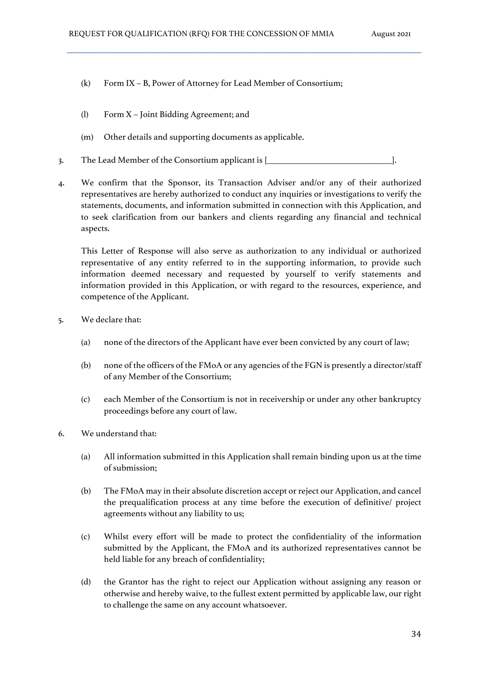- (k) Form IX B, Power of Attorney for Lead Member of Consortium;
- (l) Form X Joint Bidding Agreement; and
- (m) Other details and supporting documents as applicable.
- 3. The Lead Member of the Consortium applicant is  $[\underline{\hspace{1cm}} \underline{\hspace{1cm}} \underline{\hspace{1cm}} \underline{\hspace{1cm}} \underline{\hspace{1cm}} \underline{\hspace{1cm}} \underline{\hspace{1cm}} \underline{\hspace{1cm}}}$ .
- 4. We confirm that the Sponsor, its Transaction Adviser and/or any of their authorized representatives are hereby authorized to conduct any inquiries or investigations to verify the statements, documents, and information submitted in connection with this Application, and to seek clarification from our bankers and clients regarding any financial and technical aspects.

This Letter of Response will also serve as authorization to any individual or authorized representative of any entity referred to in the supporting information, to provide such information deemed necessary and requested by yourself to verify statements and information provided in this Application, or with regard to the resources, experience, and competence of the Applicant.

- 5. We declare that:
	- (a) none of the directors of the Applicant have ever been convicted by any court of law;
	- (b) none of the officers of the FMoA or any agencies of the FGN is presently a director/staff of any Member of the Consortium;
	- (c) each Member of the Consortium is not in receivership or under any other bankruptcy proceedings before any court of law.
- 6. We understand that:
	- (a) All information submitted in this Application shall remain binding upon us at the time of submission;
	- (b) The FMoA may in their absolute discretion accept or reject our Application, and cancel the prequalification process at any time before the execution of definitive/ project agreements without any liability to us;
	- (c) Whilst every effort will be made to protect the confidentiality of the information submitted by the Applicant, the FMoA and its authorized representatives cannot be held liable for any breach of confidentiality;
	- (d) the Grantor has the right to reject our Application without assigning any reason or otherwise and hereby waive, to the fullest extent permitted by applicable law, our right to challenge the same on any account whatsoever.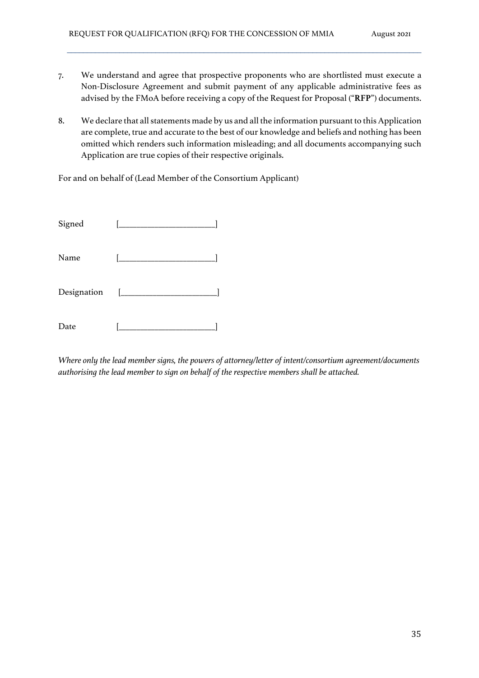7. We understand and agree that prospective proponents who are shortlisted must execute a Non-Disclosure Agreement and submit payment of any applicable administrative fees as advised by the FMoA before receiving a copy of the Request for Proposal ("**RFP**") documents.

 $\mathcal{L}_\mathcal{L} = \{ \mathcal{L}_\mathcal{L} = \{ \mathcal{L}_\mathcal{L} = \{ \mathcal{L}_\mathcal{L} = \{ \mathcal{L}_\mathcal{L} = \{ \mathcal{L}_\mathcal{L} = \{ \mathcal{L}_\mathcal{L} = \{ \mathcal{L}_\mathcal{L} = \{ \mathcal{L}_\mathcal{L} = \{ \mathcal{L}_\mathcal{L} = \{ \mathcal{L}_\mathcal{L} = \{ \mathcal{L}_\mathcal{L} = \{ \mathcal{L}_\mathcal{L} = \{ \mathcal{L}_\mathcal{L} = \{ \mathcal{L}_\mathcal{$ 

8. We declare that all statements made by us and all the information pursuant to this Application are complete, true and accurate to the best of our knowledge and beliefs and nothing has been omitted which renders such information misleading; and all documents accompanying such Application are true copies of their respective originals.

For and on behalf of (Lead Member of the Consortium Applicant)

| Signed |  |
|--------|--|
| Name   |  |
|        |  |
| Date   |  |

*Where only the lead member signs, the powers of attorney/letter of intent/consortium agreement/documents authorising the lead member to sign on behalf of the respective members shall be attached.*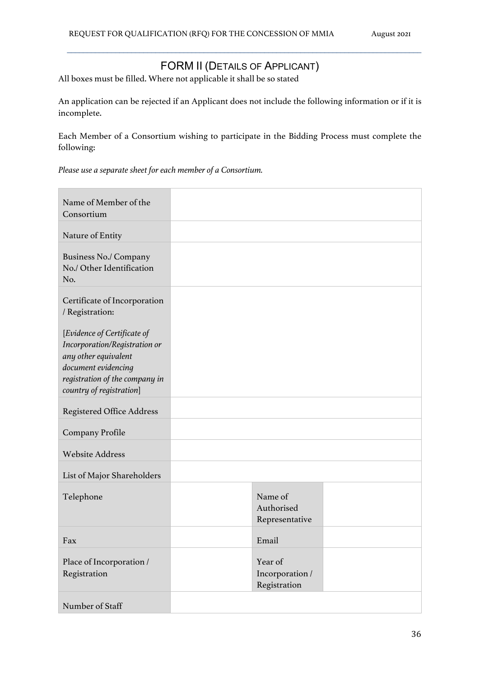# FORM II (DETAILS OF APPLICANT)

 $\mathcal{L}_\mathcal{L} = \{ \mathcal{L}_\mathcal{L} = \{ \mathcal{L}_\mathcal{L} = \{ \mathcal{L}_\mathcal{L} = \{ \mathcal{L}_\mathcal{L} = \{ \mathcal{L}_\mathcal{L} = \{ \mathcal{L}_\mathcal{L} = \{ \mathcal{L}_\mathcal{L} = \{ \mathcal{L}_\mathcal{L} = \{ \mathcal{L}_\mathcal{L} = \{ \mathcal{L}_\mathcal{L} = \{ \mathcal{L}_\mathcal{L} = \{ \mathcal{L}_\mathcal{L} = \{ \mathcal{L}_\mathcal{L} = \{ \mathcal{L}_\mathcal{$ 

All boxes must be filled. Where not applicable it shall be so stated

An application can be rejected if an Applicant does not include the following information or if it is incomplete.

Each Member of a Consortium wishing to participate in the Bidding Process must complete the following:

*Please use a separate sheet for each member of a Consortium.*

| Name of Member of the<br>Consortium                                                                                                                                       |                                            |  |
|---------------------------------------------------------------------------------------------------------------------------------------------------------------------------|--------------------------------------------|--|
| Nature of Entity                                                                                                                                                          |                                            |  |
| <b>Business No./ Company</b><br>No./ Other Identification<br>No.                                                                                                          |                                            |  |
| Certificate of Incorporation<br>/ Registration:                                                                                                                           |                                            |  |
| [Evidence of Certificate of<br>Incorporation/Registration or<br>any other equivalent<br>document evidencing<br>registration of the company in<br>country of registration] |                                            |  |
| <b>Registered Office Address</b>                                                                                                                                          |                                            |  |
| Company Profile                                                                                                                                                           |                                            |  |
| <b>Website Address</b>                                                                                                                                                    |                                            |  |
| List of Major Shareholders                                                                                                                                                |                                            |  |
| Telephone                                                                                                                                                                 | Name of<br>Authorised<br>Representative    |  |
| Fax                                                                                                                                                                       | Email                                      |  |
| Place of Incorporation /<br>Registration                                                                                                                                  | Year of<br>Incorporation /<br>Registration |  |
| Number of Staff                                                                                                                                                           |                                            |  |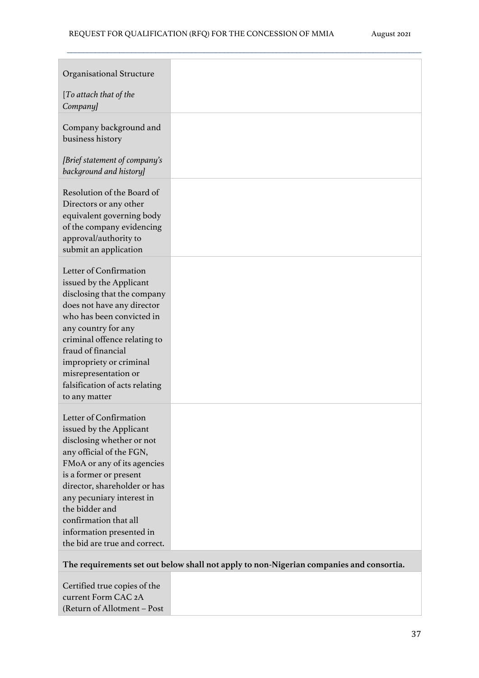| Organisational Structure                                                                                                                                                                                                                                                                                                                 |  |
|------------------------------------------------------------------------------------------------------------------------------------------------------------------------------------------------------------------------------------------------------------------------------------------------------------------------------------------|--|
| [To attach that of the<br>Company]                                                                                                                                                                                                                                                                                                       |  |
| Company background and<br>business history                                                                                                                                                                                                                                                                                               |  |
| [Brief statement of company's<br>background and history]                                                                                                                                                                                                                                                                                 |  |
| Resolution of the Board of<br>Directors or any other<br>equivalent governing body<br>of the company evidencing<br>approval/authority to<br>submit an application                                                                                                                                                                         |  |
| Letter of Confirmation<br>issued by the Applicant<br>disclosing that the company<br>does not have any director<br>who has been convicted in<br>any country for any<br>criminal offence relating to<br>fraud of financial<br>impropriety or criminal<br>misrepresentation or<br>falsification of acts relating<br>to any matter           |  |
| Letter of Confirmation<br>issued by the Applicant<br>disclosing whether or not<br>any official of the FGN,<br>FMoA or any of its agencies<br>is a former or present<br>director, shareholder or has<br>any pecuniary interest in<br>the bidder and<br>confirmation that all<br>information presented in<br>the bid are true and correct. |  |

#### **The requirements set out below shall not apply to non-Nigerian companies and consortia.**

Certified true copies of the current Form CAC 2A (Return of Allotment – Post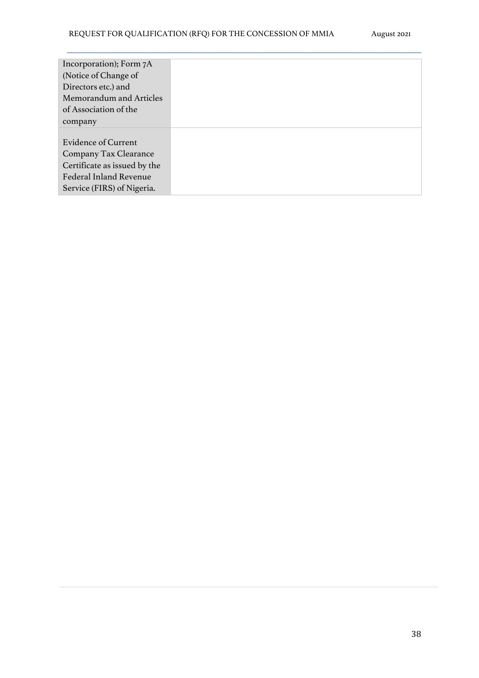| Incorporation); Form 7A       |  |
|-------------------------------|--|
| (Notice of Change of          |  |
| Directors etc.) and           |  |
| Memorandum and Articles       |  |
| of Association of the         |  |
| company                       |  |
|                               |  |
| <b>Evidence of Current</b>    |  |
| <b>Company Tax Clearance</b>  |  |
| Certificate as issued by the  |  |
| <b>Federal Inland Revenue</b> |  |
| Service (FIRS) of Nigeria.    |  |
|                               |  |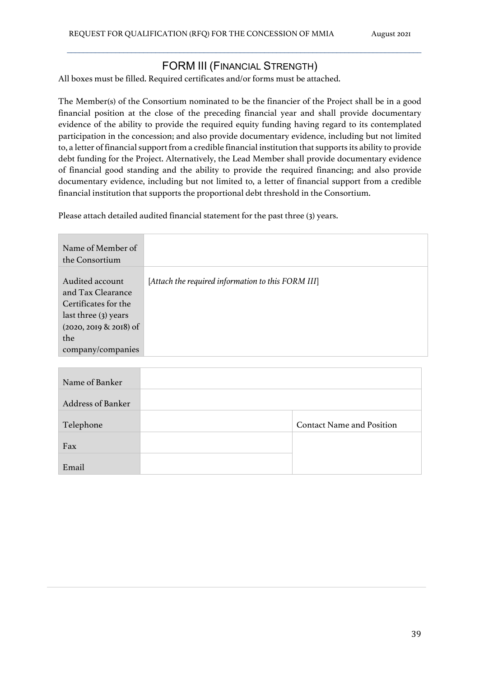### FORM III (FINANCIAL STRENGTH)

 $\mathcal{L}_\mathcal{L} = \{ \mathcal{L}_\mathcal{L} = \{ \mathcal{L}_\mathcal{L} = \{ \mathcal{L}_\mathcal{L} = \{ \mathcal{L}_\mathcal{L} = \{ \mathcal{L}_\mathcal{L} = \{ \mathcal{L}_\mathcal{L} = \{ \mathcal{L}_\mathcal{L} = \{ \mathcal{L}_\mathcal{L} = \{ \mathcal{L}_\mathcal{L} = \{ \mathcal{L}_\mathcal{L} = \{ \mathcal{L}_\mathcal{L} = \{ \mathcal{L}_\mathcal{L} = \{ \mathcal{L}_\mathcal{L} = \{ \mathcal{L}_\mathcal{$ 

All boxes must be filled. Required certificates and/or forms must be attached.

The Member(s) of the Consortium nominated to be the financier of the Project shall be in a good financial position at the close of the preceding financial year and shall provide documentary evidence of the ability to provide the required equity funding having regard to its contemplated participation in the concession; and also provide documentary evidence, including but not limited to, a letter of financial support from a credible financial institution that supports its ability to provide debt funding for the Project. Alternatively, the Lead Member shall provide documentary evidence of financial good standing and the ability to provide the required financing; and also provide documentary evidence, including but not limited to, a letter of financial support from a credible financial institution that supports the proportional debt threshold in the Consortium.

Please attach detailed audited financial statement for the past three (3) years.

| Name of Member of<br>the Consortium                                                                                                           |                                                    |
|-----------------------------------------------------------------------------------------------------------------------------------------------|----------------------------------------------------|
| Audited account<br>and Tax Clearance<br>Certificates for the<br>last three (3) years<br>$(2020, 2019 \& 2018)$ of<br>the<br>company/companies | [Attach the required information to this FORM III] |

| Name of Banker           |                                  |
|--------------------------|----------------------------------|
| <b>Address of Banker</b> |                                  |
| Telephone                | <b>Contact Name and Position</b> |
| Fax                      |                                  |
| Email                    |                                  |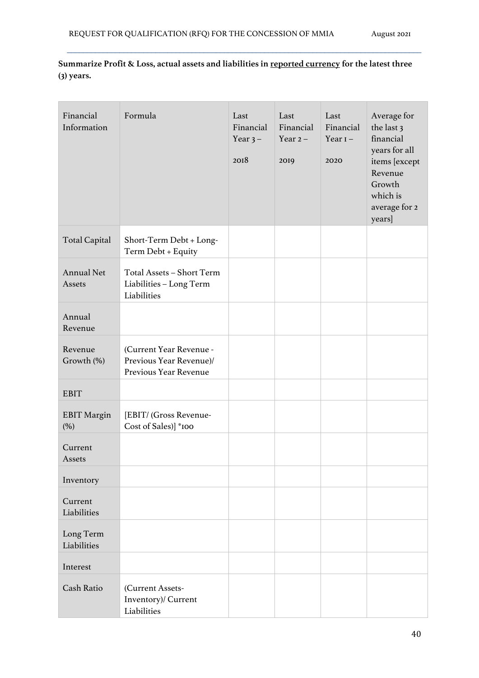**Summarize Profit & Loss, actual assets and liabilities in reported currency for the latest three (3) years.**

| Financial<br>Information    | Formula                                                                     | Last<br>Financial<br>Year $3-$<br>2018 | Last<br>Financial<br>Year $2-$<br>2019 | Last<br>Financial<br>Year $I -$<br>2020 | Average for<br>the last 3<br>financial<br>years for all<br>items [except<br>Revenue<br>Growth<br>which is<br>average for 2<br>years] |
|-----------------------------|-----------------------------------------------------------------------------|----------------------------------------|----------------------------------------|-----------------------------------------|--------------------------------------------------------------------------------------------------------------------------------------|
| <b>Total Capital</b>        | Short-Term Debt + Long-<br>Term Debt + Equity                               |                                        |                                        |                                         |                                                                                                                                      |
| <b>Annual Net</b><br>Assets | Total Assets - Short Term<br>Liabilities - Long Term<br>Liabilities         |                                        |                                        |                                         |                                                                                                                                      |
| Annual<br>Revenue           |                                                                             |                                        |                                        |                                         |                                                                                                                                      |
| Revenue<br>Growth (%)       | (Current Year Revenue -<br>Previous Year Revenue)/<br>Previous Year Revenue |                                        |                                        |                                         |                                                                                                                                      |
| <b>EBIT</b>                 |                                                                             |                                        |                                        |                                         |                                                                                                                                      |
| <b>EBIT Margin</b><br>(%)   | [EBIT/ (Gross Revenue-<br>Cost of Sales)] *100                              |                                        |                                        |                                         |                                                                                                                                      |
| Current<br>Assets           |                                                                             |                                        |                                        |                                         |                                                                                                                                      |
| Inventory                   |                                                                             |                                        |                                        |                                         |                                                                                                                                      |
| Current<br>Liabilities      |                                                                             |                                        |                                        |                                         |                                                                                                                                      |
| Long Term<br>Liabilities    |                                                                             |                                        |                                        |                                         |                                                                                                                                      |
| Interest                    |                                                                             |                                        |                                        |                                         |                                                                                                                                      |
| Cash Ratio                  | (Current Assets-<br>Inventory)/ Current<br>Liabilities                      |                                        |                                        |                                         |                                                                                                                                      |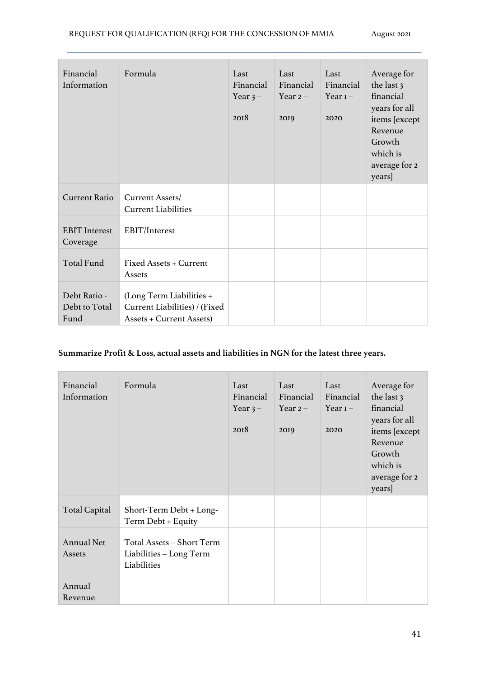| Financial<br>Information              | Formula                                                                                      | Last<br>Financial<br>Year $3-$<br>2018 | Last<br>Financial<br>Year $2-$<br>2019 | Last<br>Financial<br>Year $I -$<br>2020 | Average for<br>the last 3<br>financial<br>years for all<br>items [except<br>Revenue<br>Growth<br>which is<br>average for 2<br>years] |
|---------------------------------------|----------------------------------------------------------------------------------------------|----------------------------------------|----------------------------------------|-----------------------------------------|--------------------------------------------------------------------------------------------------------------------------------------|
| <b>Current Ratio</b>                  | Current Assets/<br><b>Current Liabilities</b>                                                |                                        |                                        |                                         |                                                                                                                                      |
| <b>EBIT</b> Interest<br>Coverage      | EBIT/Interest                                                                                |                                        |                                        |                                         |                                                                                                                                      |
| <b>Total Fund</b>                     | Fixed Assets + Current<br>Assets                                                             |                                        |                                        |                                         |                                                                                                                                      |
| Debt Ratio -<br>Debt to Total<br>Fund | (Long Term Liabilities +<br>Current Liabilities) / (Fixed<br><b>Assets + Current Assets)</b> |                                        |                                        |                                         |                                                                                                                                      |

### **Summarize Profit & Loss, actual assets and liabilities in NGN for the latest three years.**

| Financial<br>Information    | Formula                                                             | Last<br>Financial<br>Year $3-$<br>2018 | Last<br>Financial<br>Year $2-$<br>2019 | Last<br>Financial<br>Year $I -$<br>2020 | Average for<br>the last 3<br>financial<br>years for all<br>items [except<br>Revenue<br>Growth<br>which is<br>average for 2<br>years] |
|-----------------------------|---------------------------------------------------------------------|----------------------------------------|----------------------------------------|-----------------------------------------|--------------------------------------------------------------------------------------------------------------------------------------|
| <b>Total Capital</b>        | Short-Term Debt + Long-<br>Term Debt + Equity                       |                                        |                                        |                                         |                                                                                                                                      |
| <b>Annual Net</b><br>Assets | Total Assets - Short Term<br>Liabilities – Long Term<br>Liabilities |                                        |                                        |                                         |                                                                                                                                      |
| Annual<br>Revenue           |                                                                     |                                        |                                        |                                         |                                                                                                                                      |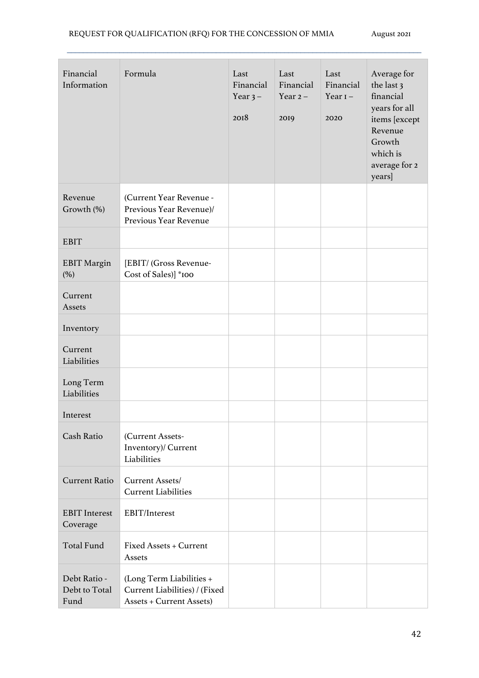| Financial<br>Information              | Formula                                                                                      | Last<br>Financial<br>Year $3-$<br>2018 | Last<br>Financial<br>Year $2-$<br>2019 | Last<br>Financial<br>Year $I -$<br>2020 | Average for<br>the last 3<br>financial<br>years for all<br>items [except<br>Revenue<br>Growth<br>which is<br>average for 2<br>years] |
|---------------------------------------|----------------------------------------------------------------------------------------------|----------------------------------------|----------------------------------------|-----------------------------------------|--------------------------------------------------------------------------------------------------------------------------------------|
| Revenue<br>Growth (%)                 | (Current Year Revenue -<br>Previous Year Revenue)/<br>Previous Year Revenue                  |                                        |                                        |                                         |                                                                                                                                      |
| <b>EBIT</b>                           |                                                                                              |                                        |                                        |                                         |                                                                                                                                      |
| <b>EBIT Margin</b><br>(%)             | [EBIT/ (Gross Revenue-<br>Cost of Sales)] *100                                               |                                        |                                        |                                         |                                                                                                                                      |
| Current<br>Assets                     |                                                                                              |                                        |                                        |                                         |                                                                                                                                      |
| Inventory                             |                                                                                              |                                        |                                        |                                         |                                                                                                                                      |
| Current<br>Liabilities                |                                                                                              |                                        |                                        |                                         |                                                                                                                                      |
| Long Term<br>Liabilities              |                                                                                              |                                        |                                        |                                         |                                                                                                                                      |
| Interest                              |                                                                                              |                                        |                                        |                                         |                                                                                                                                      |
| <b>Cash Ratio</b>                     | (Current Assets-<br>Inventory)/ Current<br>Liabilities                                       |                                        |                                        |                                         |                                                                                                                                      |
| <b>Current Ratio</b>                  | Current Assets/<br><b>Current Liabilities</b>                                                |                                        |                                        |                                         |                                                                                                                                      |
| <b>EBIT</b> Interest<br>Coverage      | EBIT/Interest                                                                                |                                        |                                        |                                         |                                                                                                                                      |
| <b>Total Fund</b>                     | Fixed Assets + Current<br>Assets                                                             |                                        |                                        |                                         |                                                                                                                                      |
| Debt Ratio -<br>Debt to Total<br>Fund | (Long Term Liabilities +<br>Current Liabilities) / (Fixed<br><b>Assets + Current Assets)</b> |                                        |                                        |                                         |                                                                                                                                      |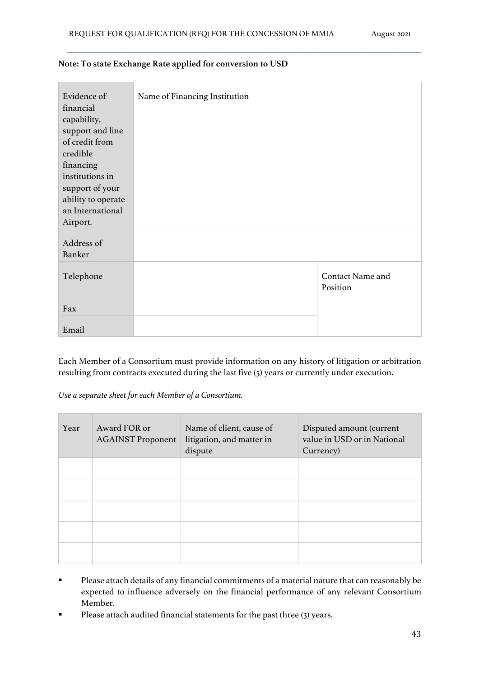| Evidence of<br>financial<br>capability,<br>support and line<br>of credit from<br>credible<br>financing<br>institutions in | Name of Financing Institution |                                     |
|---------------------------------------------------------------------------------------------------------------------------|-------------------------------|-------------------------------------|
| support of your<br>ability to operate                                                                                     |                               |                                     |
| an International<br>Airport.                                                                                              |                               |                                     |
| Address of<br><b>Banker</b>                                                                                               |                               |                                     |
| Telephone                                                                                                                 |                               | <b>Contact Name and</b><br>Position |
| Fax                                                                                                                       |                               |                                     |
| Email                                                                                                                     |                               |                                     |

#### **Note: To state Exchange Rate applied for conversion to USD**

Each Member of a Consortium must provide information on any history of litigation or arbitration resulting from contracts executed during the last five (5) years or currently under execution.

*Use a separate sheet for each Member of a Consortium.*

| Year | Award FOR or<br><b>AGAINST Proponent</b> | Name of client, cause of<br>litigation, and matter in<br>dispute | Disputed amount (current<br>value in USD or in National<br>Currency) |
|------|------------------------------------------|------------------------------------------------------------------|----------------------------------------------------------------------|
|      |                                          |                                                                  |                                                                      |
|      |                                          |                                                                  |                                                                      |
|      |                                          |                                                                  |                                                                      |
|      |                                          |                                                                  |                                                                      |
|      |                                          |                                                                  |                                                                      |

- § Please attach details of any financial commitments of a material nature that can reasonably be expected to influence adversely on the financial performance of any relevant Consortium Member.
- Please attach audited financial statements for the past three (3) years.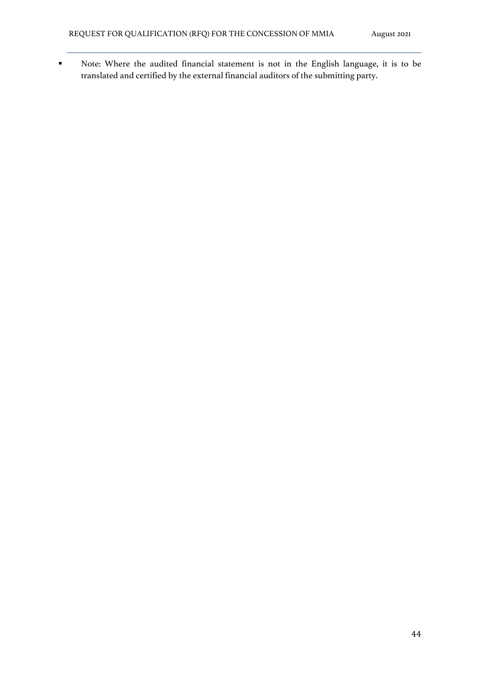§ Note: Where the audited financial statement is not in the English language, it is to be translated and certified by the external financial auditors of the submitting party.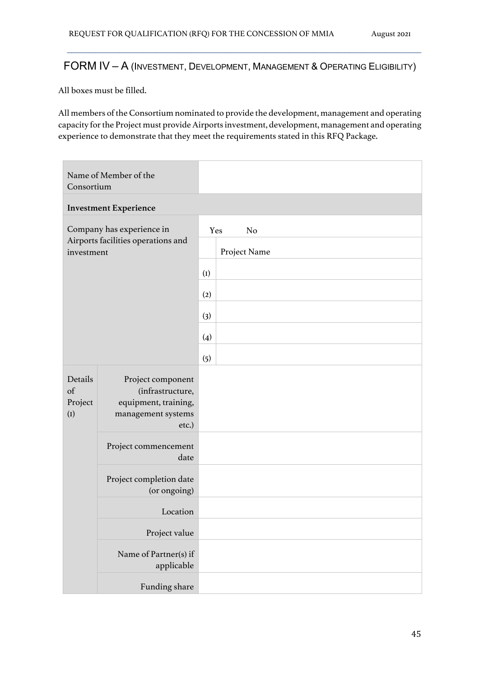## FORM IV – A (INVESTMENT, DEVELOPMENT, MANAGEMENT & OPERATING ELIGIBILITY)

 $\mathcal{L}_\mathcal{L} = \{ \mathcal{L}_\mathcal{L} = \{ \mathcal{L}_\mathcal{L} = \{ \mathcal{L}_\mathcal{L} = \{ \mathcal{L}_\mathcal{L} = \{ \mathcal{L}_\mathcal{L} = \{ \mathcal{L}_\mathcal{L} = \{ \mathcal{L}_\mathcal{L} = \{ \mathcal{L}_\mathcal{L} = \{ \mathcal{L}_\mathcal{L} = \{ \mathcal{L}_\mathcal{L} = \{ \mathcal{L}_\mathcal{L} = \{ \mathcal{L}_\mathcal{L} = \{ \mathcal{L}_\mathcal{L} = \{ \mathcal{L}_\mathcal{$ 

All boxes must be filled.

All members of the Consortium nominated to provide the development, management and operating capacity for the Project must provide Airports investment, development, management and operating experience to demonstrate that they meet the requirements stated in this RFQ Package.

| Name of Member of the<br>Consortium                                           |                                                                                              |     |                                       |
|-------------------------------------------------------------------------------|----------------------------------------------------------------------------------------------|-----|---------------------------------------|
|                                                                               | <b>Investment Experience</b>                                                                 |     |                                       |
| Company has experience in<br>Airports facilities operations and<br>investment |                                                                                              |     | Yes<br>N <sub>o</sub><br>Project Name |
|                                                                               |                                                                                              | (I) |                                       |
|                                                                               |                                                                                              | (2) |                                       |
|                                                                               |                                                                                              | (3) |                                       |
|                                                                               |                                                                                              | (4) |                                       |
|                                                                               |                                                                                              | (5) |                                       |
| Details<br>of<br>Project<br>(I)                                               | Project component<br>(infrastructure,<br>equipment, training,<br>management systems<br>etc.) |     |                                       |
|                                                                               | Project commencement<br>date                                                                 |     |                                       |
|                                                                               | Project completion date<br>(or ongoing)                                                      |     |                                       |
|                                                                               | Location                                                                                     |     |                                       |
|                                                                               | Project value                                                                                |     |                                       |
|                                                                               | Name of Partner(s) if<br>applicable                                                          |     |                                       |
|                                                                               | Funding share                                                                                |     |                                       |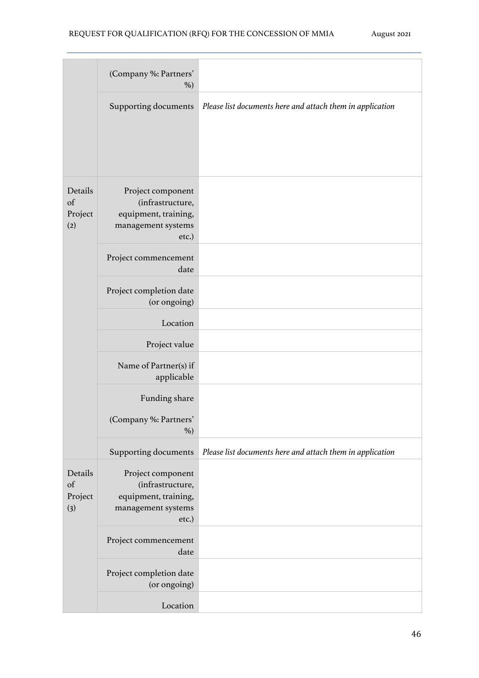|                                 | (Company %: Partners'<br>$\%$ )                                                              |                                                           |
|---------------------------------|----------------------------------------------------------------------------------------------|-----------------------------------------------------------|
|                                 | Supporting documents                                                                         | Please list documents here and attach them in application |
| Details<br>of<br>Project<br>(2) | Project component<br>(infrastructure,<br>equipment, training,<br>management systems<br>etc.) |                                                           |
|                                 | Project commencement<br>date                                                                 |                                                           |
|                                 | Project completion date<br>(or ongoing)                                                      |                                                           |
|                                 | Location                                                                                     |                                                           |
|                                 | Project value                                                                                |                                                           |
|                                 | Name of Partner(s) if<br>applicable                                                          |                                                           |
|                                 | Funding share                                                                                |                                                           |
|                                 | (Company %: Partners'<br>$\%$ )                                                              |                                                           |
|                                 | <b>Supporting documents</b>                                                                  | Please list documents here and attach them in application |
| Details<br>of<br>Project<br>(3) | Project component<br>(infrastructure,<br>equipment, training,<br>management systems<br>etc.) |                                                           |
|                                 | Project commencement<br>date                                                                 |                                                           |
|                                 | Project completion date<br>(or ongoing)                                                      |                                                           |
|                                 | Location                                                                                     |                                                           |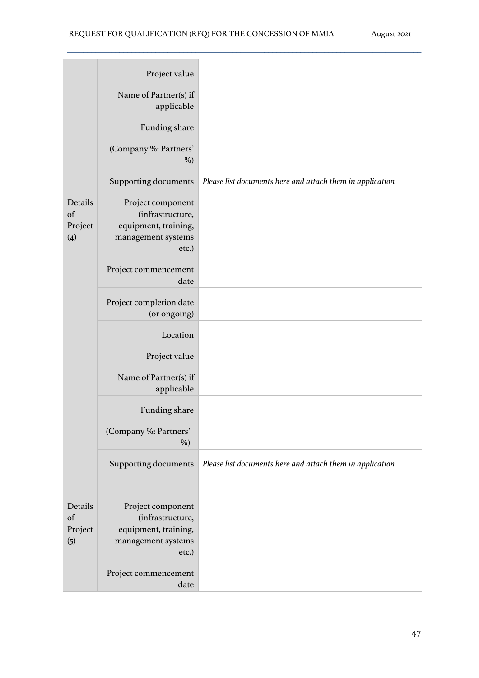|                                 | Project value                                                                                |                                                           |
|---------------------------------|----------------------------------------------------------------------------------------------|-----------------------------------------------------------|
|                                 | Name of Partner(s) if<br>applicable                                                          |                                                           |
|                                 | Funding share                                                                                |                                                           |
|                                 | (Company %: Partners'<br>$\%$ )                                                              |                                                           |
|                                 | Supporting documents                                                                         | Please list documents here and attach them in application |
| Details<br>of<br>Project<br>(4) | Project component<br>(infrastructure,<br>equipment, training,<br>management systems<br>etc.) |                                                           |
|                                 | Project commencement<br>date                                                                 |                                                           |
|                                 | Project completion date<br>(or ongoing)                                                      |                                                           |
|                                 | Location                                                                                     |                                                           |
|                                 | Project value                                                                                |                                                           |
|                                 | Name of Partner(s) if<br>applicable                                                          |                                                           |
|                                 | Funding share                                                                                |                                                           |
|                                 | (Company %: Partners'<br>$\%$ )                                                              |                                                           |
|                                 | Supporting documents                                                                         | Please list documents here and attach them in application |
| Details<br>of<br>Project<br>(5) | Project component<br>(infrastructure,<br>equipment, training,<br>management systems<br>etc.) |                                                           |
|                                 | Project commencement<br>date                                                                 |                                                           |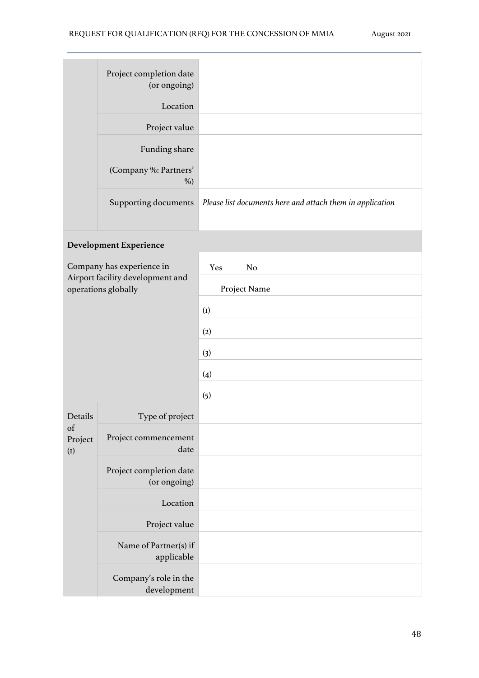| Project completion date<br>(or ongoing) |                                                           |
|-----------------------------------------|-----------------------------------------------------------|
| Location                                |                                                           |
| Project value                           |                                                           |
| Funding share                           |                                                           |
| (Company %: Partners'<br>$%$ )          |                                                           |
| Supporting documents                    | Please list documents here and attach them in application |

## **Development Experience**

| Company has experience in                               |                                         |     | Yes<br>N <sub>o</sub> |
|---------------------------------------------------------|-----------------------------------------|-----|-----------------------|
| Airport facility development and<br>operations globally |                                         |     | Project Name          |
|                                                         |                                         |     |                       |
|                                                         |                                         | (2) |                       |
|                                                         |                                         | (3) |                       |
|                                                         |                                         | (4) |                       |
|                                                         |                                         | (5) |                       |
| Details                                                 | Type of project                         |     |                       |
| of<br>Project<br>(I)                                    | Project commencement<br>date            |     |                       |
|                                                         | Project completion date<br>(or ongoing) |     |                       |
|                                                         | Location                                |     |                       |
|                                                         | Project value                           |     |                       |
|                                                         | Name of Partner(s) if<br>applicable     |     |                       |
|                                                         | Company's role in the<br>development    |     |                       |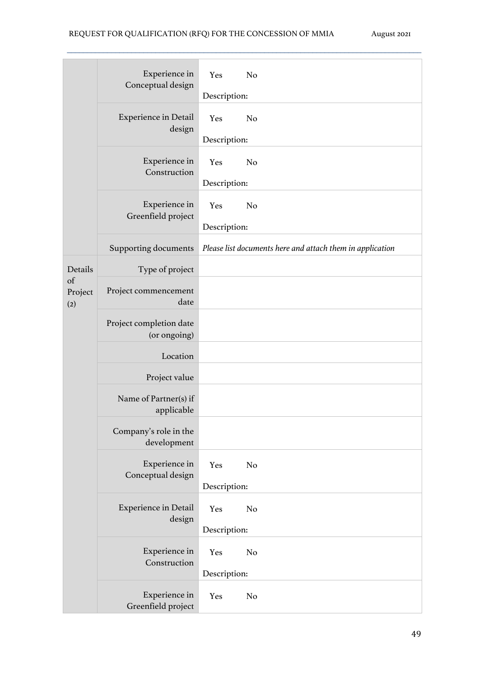|                      | Experience in<br>Conceptual design      | Yes<br>N <sub>o</sub><br>Description:                     |
|----------------------|-----------------------------------------|-----------------------------------------------------------|
|                      | <b>Experience in Detail</b><br>design   | N <sub>o</sub><br>Yes<br>Description:                     |
|                      | Experience in<br>Construction           | N <sub>o</sub><br>Yes<br>Description:                     |
|                      | Experience in<br>Greenfield project     | N <sub>o</sub><br>Yes<br>Description:                     |
|                      | Supporting documents                    | Please list documents here and attach them in application |
| Details              | Type of project                         |                                                           |
| of<br>Project<br>(2) | Project commencement<br>date            |                                                           |
|                      | Project completion date<br>(or ongoing) |                                                           |
|                      | Location                                |                                                           |
|                      | Project value                           |                                                           |
|                      | Name of Partner(s) if<br>applicable     |                                                           |
|                      | Company's role in the<br>development    |                                                           |
|                      | Experience in<br>Conceptual design      | Yes<br>N <sub>o</sub><br>Description:                     |
|                      | <b>Experience in Detail</b><br>design   | Yes<br>N <sub>o</sub><br>Description:                     |
|                      | Experience in<br>Construction           | Yes<br>N <sub>o</sub><br>Description:                     |
|                      | Experience in<br>Greenfield project     | Yes<br>N <sub>o</sub>                                     |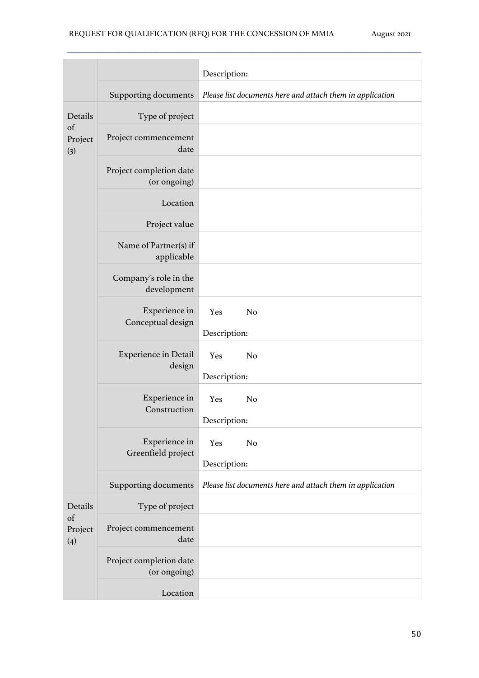|                                 |                                         | Description:                                              |
|---------------------------------|-----------------------------------------|-----------------------------------------------------------|
|                                 | <b>Supporting documents</b>             | Please list documents here and attach them in application |
| Details<br>of<br>Project<br>(3) | Type of project                         |                                                           |
|                                 | Project commencement<br>date            |                                                           |
|                                 | Project completion date<br>(or ongoing) |                                                           |
|                                 | Location                                |                                                           |
|                                 | Project value                           |                                                           |
|                                 | Name of Partner(s) if<br>applicable     |                                                           |
|                                 | Company's role in the<br>development    |                                                           |
|                                 | Experience in<br>Conceptual design      | Yes<br>N <sub>o</sub><br>Description:                     |
|                                 | <b>Experience in Detail</b><br>design   | N <sub>o</sub><br>Yes<br>Description:                     |
|                                 | Experience in<br>Construction           | Yes<br>N <sub>o</sub><br>Description:                     |
|                                 | Experience in<br>Greenfield project     | N <sub>o</sub><br>Yes<br>Description:                     |
|                                 | <b>Supporting documents</b>             | Please list documents here and attach them in application |
| Details<br>of<br>Project<br>(4) | Type of project                         |                                                           |
|                                 | Project commencement<br>date            |                                                           |
|                                 | Project completion date<br>(or ongoing) |                                                           |
|                                 | Location                                |                                                           |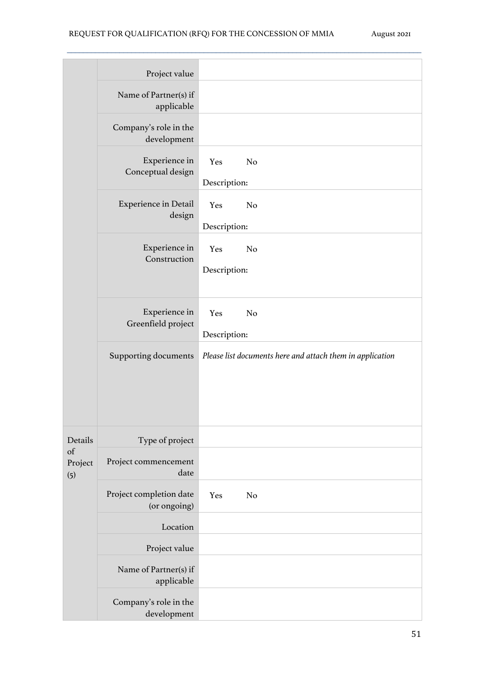|                      | Project value                                        |                                                           |
|----------------------|------------------------------------------------------|-----------------------------------------------------------|
|                      | Name of Partner(s) if<br>applicable                  |                                                           |
|                      | Company's role in the<br>development                 |                                                           |
|                      | Experience in<br>Conceptual design                   | Yes<br>N <sub>o</sub><br>Description:                     |
|                      | <b>Experience in Detail</b><br>design                | Yes<br>N <sub>o</sub><br>Description:                     |
|                      | Experience in<br>Construction                        | N <sub>o</sub><br>Yes<br>Description:                     |
|                      | Experience in<br>Greenfield project                  | Yes<br>N <sub>o</sub><br>Description:                     |
|                      | <b>Supporting documents</b>                          | Please list documents here and attach them in application |
| Details              | Type of project                                      |                                                           |
| of<br>Project<br>(5) | Project commencement<br>date                         |                                                           |
|                      | Project completion date<br>(or ongoing)              | Yes<br>N <sub>o</sub>                                     |
|                      | Location                                             |                                                           |
|                      | Project value<br>Name of Partner(s) if<br>applicable |                                                           |
|                      | Company's role in the<br>development                 |                                                           |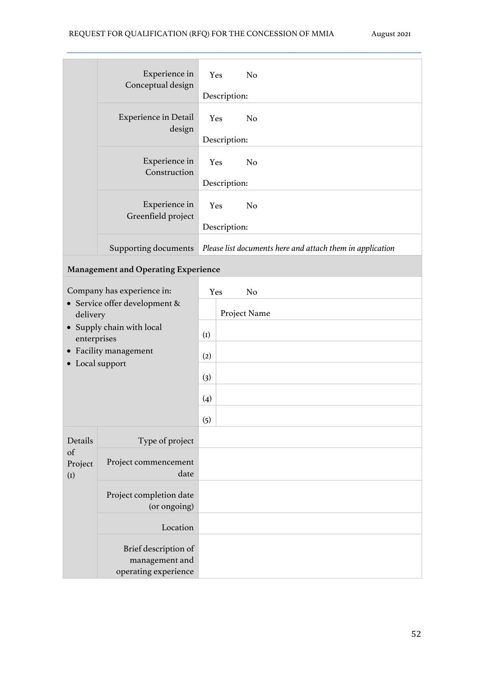|                      | Experience in<br>Conceptual design         | Yes                                                       | N <sub>o</sub> |  |  |  |
|----------------------|--------------------------------------------|-----------------------------------------------------------|----------------|--|--|--|
|                      |                                            | Description:                                              |                |  |  |  |
|                      | <b>Experience in Detail</b><br>design      | Yes                                                       | N <sub>o</sub> |  |  |  |
|                      |                                            |                                                           | Description:   |  |  |  |
|                      | Experience in<br>Construction              | Yes                                                       | N <sub>o</sub> |  |  |  |
|                      |                                            |                                                           | Description:   |  |  |  |
|                      | Experience in<br>Greenfield project        | Yes                                                       | N <sub>o</sub> |  |  |  |
|                      |                                            |                                                           | Description:   |  |  |  |
|                      | Supporting documents                       | Please list documents here and attach them in application |                |  |  |  |
|                      | <b>Management and Operating Experience</b> |                                                           |                |  |  |  |
|                      | Company has experience in:                 | Yes                                                       | N <sub>o</sub> |  |  |  |
| delivery             | • Service offer development &              |                                                           | Project Name   |  |  |  |
| enterprises          | • Supply chain with local                  | (I)                                                       |                |  |  |  |
|                      | • Facility management                      | (2)                                                       |                |  |  |  |
| • Local support      |                                            | (3)                                                       |                |  |  |  |
|                      |                                            | (4)                                                       |                |  |  |  |
|                      |                                            | (5)                                                       |                |  |  |  |
| Details              | Type of project                            |                                                           |                |  |  |  |
| of<br>Project<br>(I) | Project commencement                       |                                                           |                |  |  |  |
|                      | date                                       |                                                           |                |  |  |  |
|                      | Project completion date                    |                                                           |                |  |  |  |
|                      | (or ongoing)                               |                                                           |                |  |  |  |
|                      | Location                                   |                                                           |                |  |  |  |
|                      | Brief description of                       |                                                           |                |  |  |  |
|                      | management and<br>operating experience     |                                                           |                |  |  |  |
|                      |                                            |                                                           |                |  |  |  |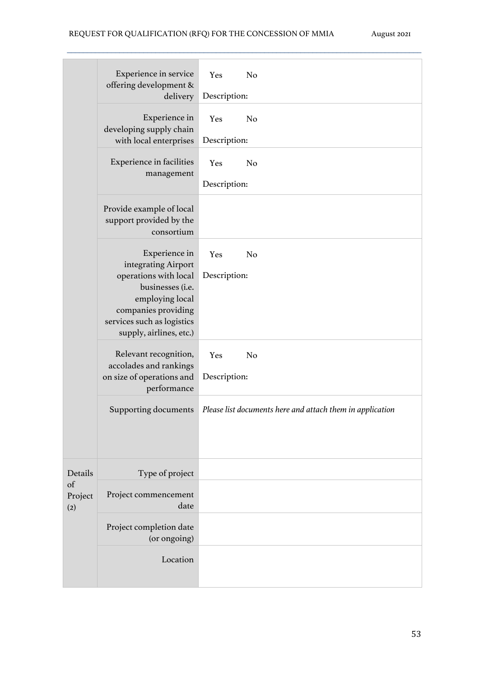|                      | Experience in service<br>offering development &<br>delivery                                                                                  | Yes<br>N <sub>o</sub><br>Description:                     |  |  |  |
|----------------------|----------------------------------------------------------------------------------------------------------------------------------------------|-----------------------------------------------------------|--|--|--|
|                      |                                                                                                                                              |                                                           |  |  |  |
|                      | Experience in<br>developing supply chain<br>with local enterprises                                                                           | Yes<br>N <sub>o</sub>                                     |  |  |  |
|                      |                                                                                                                                              | Description:                                              |  |  |  |
|                      | <b>Experience in facilities</b>                                                                                                              | Yes<br>N <sub>o</sub>                                     |  |  |  |
|                      | management                                                                                                                                   | Description:                                              |  |  |  |
|                      | Provide example of local<br>support provided by the<br>consortium                                                                            |                                                           |  |  |  |
|                      | Experience in<br>integrating Airport                                                                                                         | Yes<br>N <sub>o</sub>                                     |  |  |  |
|                      | operations with local<br>businesses (i.e.<br>employing local<br>companies providing<br>services such as logistics<br>supply, airlines, etc.) | Description:                                              |  |  |  |
|                      | Relevant recognition,                                                                                                                        | Yes<br>N <sub>o</sub>                                     |  |  |  |
|                      | accolades and rankings<br>on size of operations and<br>performance                                                                           | Description:                                              |  |  |  |
|                      | Supporting documents                                                                                                                         | Please list documents here and attach them in application |  |  |  |
| Details              | Type of project                                                                                                                              |                                                           |  |  |  |
| of<br>Project<br>(2) | Project commencement<br>date                                                                                                                 |                                                           |  |  |  |
|                      | Project completion date<br>(or ongoing)                                                                                                      |                                                           |  |  |  |
|                      | Location                                                                                                                                     |                                                           |  |  |  |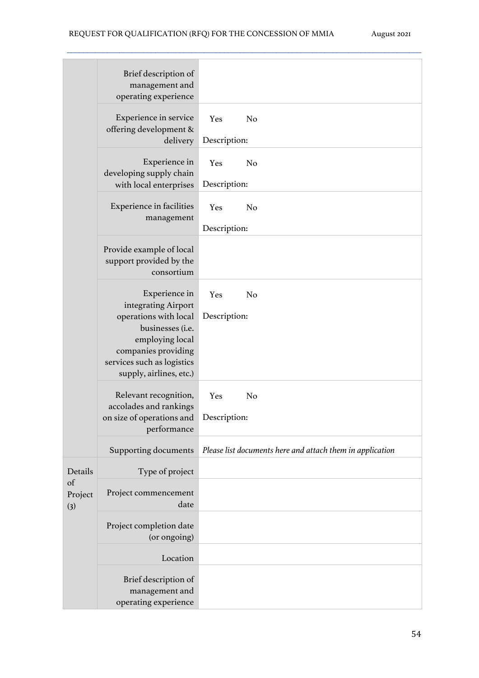|                      | Brief description of<br>management and<br>operating experience                                                      |                     |                                                           |  |  |  |  |
|----------------------|---------------------------------------------------------------------------------------------------------------------|---------------------|-----------------------------------------------------------|--|--|--|--|
|                      | Experience in service<br>offering development &<br>delivery                                                         | Yes<br>Description: | N <sub>o</sub>                                            |  |  |  |  |
|                      |                                                                                                                     |                     |                                                           |  |  |  |  |
|                      | Experience in<br>developing supply chain<br>with local enterprises                                                  | Yes<br>Description: | N <sub>o</sub>                                            |  |  |  |  |
|                      | <b>Experience in facilities</b><br>management                                                                       | Yes<br>Description: | N <sub>o</sub>                                            |  |  |  |  |
|                      |                                                                                                                     |                     |                                                           |  |  |  |  |
|                      | Provide example of local<br>support provided by the<br>consortium                                                   |                     |                                                           |  |  |  |  |
|                      | Experience in<br>integrating Airport<br>operations with local                                                       | Yes<br>Description: | N <sub>o</sub>                                            |  |  |  |  |
|                      | businesses (i.e.<br>employing local<br>companies providing<br>services such as logistics<br>supply, airlines, etc.) |                     |                                                           |  |  |  |  |
|                      | Relevant recognition,<br>accolades and rankings                                                                     | Yes                 | N <sub>o</sub>                                            |  |  |  |  |
|                      | on size of operations and                                                                                           | Description:        |                                                           |  |  |  |  |
|                      | performance                                                                                                         |                     |                                                           |  |  |  |  |
|                      | <b>Supporting documents</b>                                                                                         |                     | Please list documents here and attach them in application |  |  |  |  |
| Details              | Type of project                                                                                                     |                     |                                                           |  |  |  |  |
| of<br>Project<br>(3) | Project commencement<br>date                                                                                        |                     |                                                           |  |  |  |  |
|                      | Project completion date<br>(or ongoing)                                                                             |                     |                                                           |  |  |  |  |
|                      | Location                                                                                                            |                     |                                                           |  |  |  |  |
|                      |                                                                                                                     |                     |                                                           |  |  |  |  |
|                      | Brief description of<br>management and<br>operating experience                                                      |                     |                                                           |  |  |  |  |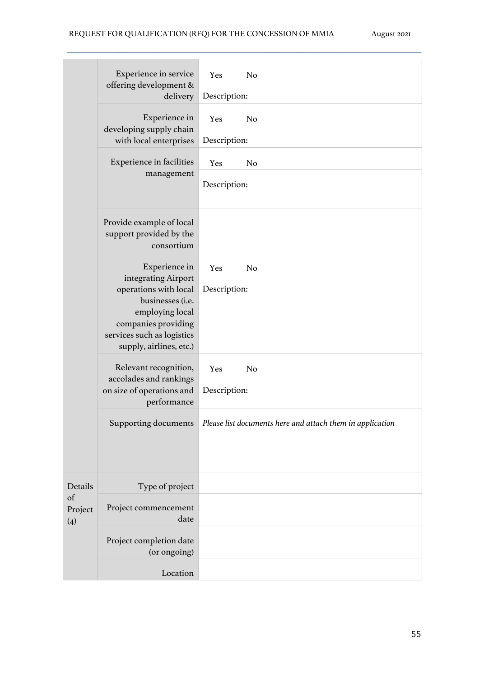|                      | Experience in service<br>offering development &<br>delivery                                                                                                                          | Yes<br>N <sub>o</sub><br>Description:                     |
|----------------------|--------------------------------------------------------------------------------------------------------------------------------------------------------------------------------------|-----------------------------------------------------------|
|                      | Experience in<br>developing supply chain<br>with local enterprises                                                                                                                   | N <sub>o</sub><br>Yes<br>Description:                     |
|                      | Experience in facilities<br>management                                                                                                                                               | Yes<br>N <sub>o</sub>                                     |
|                      |                                                                                                                                                                                      | Description:                                              |
|                      | Provide example of local<br>support provided by the<br>consortium                                                                                                                    |                                                           |
|                      | Experience in<br>integrating Airport<br>operations with local<br>businesses (i.e.<br>employing local<br>companies providing<br>services such as logistics<br>supply, airlines, etc.) | Yes<br>N <sub>o</sub><br>Description:                     |
|                      | Relevant recognition,<br>accolades and rankings<br>on size of operations and<br>performance                                                                                          | Yes<br>N <sub>o</sub><br>Description:                     |
|                      | Supporting documents                                                                                                                                                                 | Please list documents here and attach them in application |
| Details              | Type of project                                                                                                                                                                      |                                                           |
| of<br>Project<br>(4) | Project commencement<br>date                                                                                                                                                         |                                                           |
|                      | Project completion date<br>(or ongoing)                                                                                                                                              |                                                           |
|                      | Location                                                                                                                                                                             |                                                           |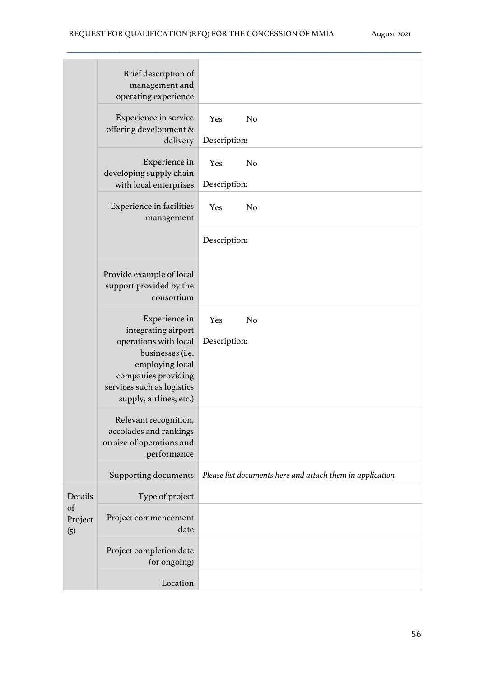|                      | Brief description of<br>management and<br>operating experience                                                                                                                       |                                                           |
|----------------------|--------------------------------------------------------------------------------------------------------------------------------------------------------------------------------------|-----------------------------------------------------------|
|                      | Experience in service<br>offering development &<br>delivery                                                                                                                          | N <sub>o</sub><br>Yes<br>Description:                     |
|                      | Experience in<br>developing supply chain<br>with local enterprises                                                                                                                   | N <sub>o</sub><br>Yes<br>Description:                     |
|                      | <b>Experience in facilities</b><br>management                                                                                                                                        | Yes<br>N <sub>o</sub>                                     |
|                      |                                                                                                                                                                                      | Description:                                              |
|                      | Provide example of local<br>support provided by the<br>consortium                                                                                                                    |                                                           |
|                      | Experience in<br>integrating airport<br>operations with local<br>businesses (i.e.<br>employing local<br>companies providing<br>services such as logistics<br>supply, airlines, etc.) | Yes<br>N <sub>o</sub><br>Description:                     |
|                      | Relevant recognition,<br>accolades and rankings<br>on size of operations and<br>performance                                                                                          |                                                           |
|                      | <b>Supporting documents</b>                                                                                                                                                          | Please list documents here and attach them in application |
| Details              | Type of project                                                                                                                                                                      |                                                           |
| of<br>Project<br>(5) | Project commencement<br>date                                                                                                                                                         |                                                           |
|                      | Project completion date<br>(or ongoing)                                                                                                                                              |                                                           |
|                      | Location                                                                                                                                                                             |                                                           |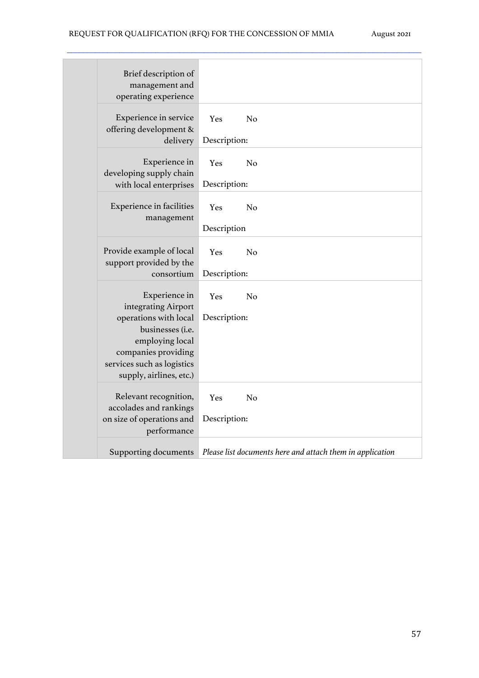| Brief description of<br>management and<br>operating experience                                                                                            |                     |                                                           |
|-----------------------------------------------------------------------------------------------------------------------------------------------------------|---------------------|-----------------------------------------------------------|
| Experience in service<br>offering development &<br>delivery                                                                                               | Yes<br>Description: | N <sub>o</sub>                                            |
| Experience in<br>developing supply chain<br>with local enterprises                                                                                        | Yes<br>Description: | N <sub>o</sub>                                            |
| <b>Experience in facilities</b><br>management                                                                                                             | Yes<br>Description  | N <sub>o</sub>                                            |
| Provide example of local<br>support provided by the<br>consortium                                                                                         | Yes<br>Description: | N <sub>o</sub>                                            |
| Experience in<br>integrating Airport<br>operations with local<br>businesses (i.e.<br>employing local<br>companies providing<br>services such as logistics | Yes<br>Description: | N <sub>o</sub>                                            |
| supply, airlines, etc.)<br>Relevant recognition,<br>accolades and rankings<br>on size of operations and<br>performance                                    | Yes<br>Description: | N <sub>o</sub>                                            |
| Supporting documents                                                                                                                                      |                     | Please list documents here and attach them in application |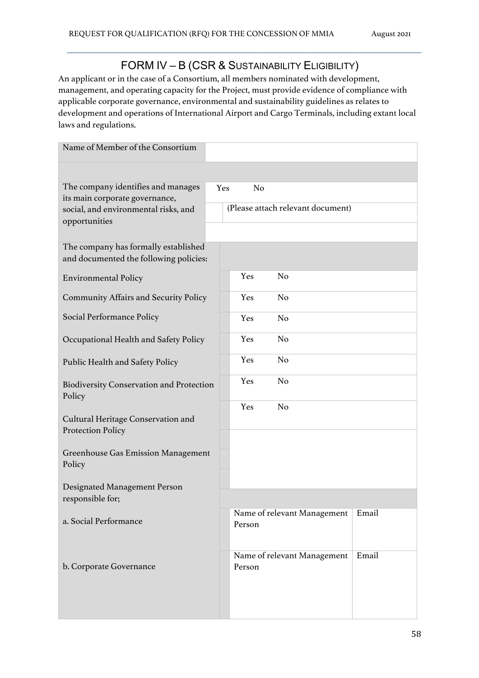## FORM IV – B (CSR & SUSTAINABILITY ELIGIBILITY)

 $\mathcal{L}_\mathcal{L} = \{ \mathcal{L}_\mathcal{L} = \{ \mathcal{L}_\mathcal{L} = \{ \mathcal{L}_\mathcal{L} = \{ \mathcal{L}_\mathcal{L} = \{ \mathcal{L}_\mathcal{L} = \{ \mathcal{L}_\mathcal{L} = \{ \mathcal{L}_\mathcal{L} = \{ \mathcal{L}_\mathcal{L} = \{ \mathcal{L}_\mathcal{L} = \{ \mathcal{L}_\mathcal{L} = \{ \mathcal{L}_\mathcal{L} = \{ \mathcal{L}_\mathcal{L} = \{ \mathcal{L}_\mathcal{L} = \{ \mathcal{L}_\mathcal{$ 

An applicant or in the case of a Consortium, all members nominated with development, management, and operating capacity for the Project, must provide evidence of compliance with applicable corporate governance, environmental and sustainability guidelines as relates to development and operations of International Airport and Cargo Terminals, including extant local laws and regulations.

| Name of Member of the Consortium                                               |     |                |                                   |       |
|--------------------------------------------------------------------------------|-----|----------------|-----------------------------------|-------|
|                                                                                |     |                |                                   |       |
| The company identifies and manages<br>its main corporate governance,           | Yes | N <sub>o</sub> |                                   |       |
| social, and environmental risks, and                                           |     |                | (Please attach relevant document) |       |
| opportunities                                                                  |     |                |                                   |       |
| The company has formally established<br>and documented the following policies: |     |                |                                   |       |
| <b>Environmental Policy</b>                                                    |     | Yes            | No                                |       |
| <b>Community Affairs and Security Policy</b>                                   |     | Yes            | N <sub>o</sub>                    |       |
| Social Performance Policy                                                      |     | Yes            | N <sub>o</sub>                    |       |
| Occupational Health and Safety Policy                                          |     | Yes            | N <sub>o</sub>                    |       |
| Public Health and Safety Policy                                                |     | Yes            | N <sub>o</sub>                    |       |
| <b>Biodiversity Conservation and Protection</b><br>Policy                      |     | Yes            | N <sub>o</sub>                    |       |
| Cultural Heritage Conservation and<br>Protection Policy                        |     | Yes            | N <sub>o</sub>                    |       |
| <b>Greenhouse Gas Emission Management</b><br>Policy                            |     |                |                                   |       |
| Designated Management Person<br>responsible for;                               |     |                |                                   |       |
| a. Social Performance                                                          |     | Person         | Name of relevant Management       | Email |
| b. Corporate Governance                                                        |     | Person         | Name of relevant Management       | Email |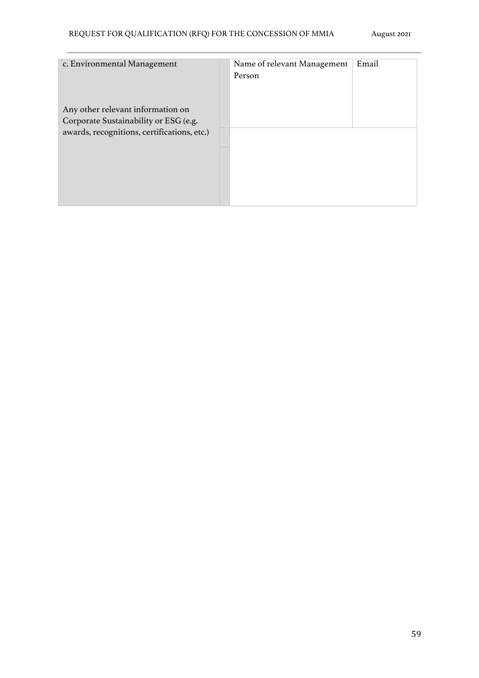| c. Environmental Management<br>Any other relevant information on<br>Corporate Sustainability or ESG (e.g. | Name of relevant Management<br>Person | Email |
|-----------------------------------------------------------------------------------------------------------|---------------------------------------|-------|
|                                                                                                           |                                       |       |
| awards, recognitions, certifications, etc.)                                                               |                                       |       |
|                                                                                                           |                                       |       |
|                                                                                                           |                                       |       |
|                                                                                                           |                                       |       |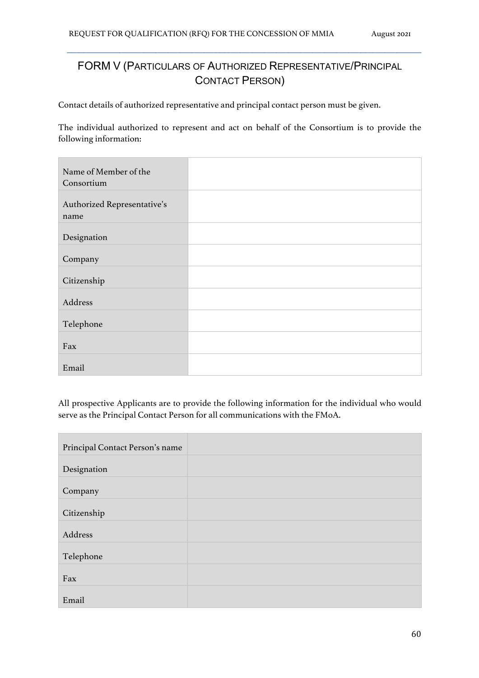# FORM V (PARTICULARS OF AUTHORIZED REPRESENTATIVE/PRINCIPAL CONTACT PERSON)

 $\mathcal{L}_\mathcal{L} = \{ \mathcal{L}_\mathcal{L} = \{ \mathcal{L}_\mathcal{L} = \{ \mathcal{L}_\mathcal{L} = \{ \mathcal{L}_\mathcal{L} = \{ \mathcal{L}_\mathcal{L} = \{ \mathcal{L}_\mathcal{L} = \{ \mathcal{L}_\mathcal{L} = \{ \mathcal{L}_\mathcal{L} = \{ \mathcal{L}_\mathcal{L} = \{ \mathcal{L}_\mathcal{L} = \{ \mathcal{L}_\mathcal{L} = \{ \mathcal{L}_\mathcal{L} = \{ \mathcal{L}_\mathcal{L} = \{ \mathcal{L}_\mathcal{$ 

Contact details of authorized representative and principal contact person must be given.

The individual authorized to represent and act on behalf of the Consortium is to provide the following information:

| Name of Member of the<br>Consortium |  |
|-------------------------------------|--|
| Authorized Representative's<br>name |  |
| Designation                         |  |
| Company                             |  |
| Citizenship                         |  |
| Address                             |  |
| Telephone                           |  |
| Fax                                 |  |
| Email                               |  |

All prospective Applicants are to provide the following information for the individual who would serve as the Principal Contact Person for all communications with the FMoA.

| Principal Contact Person's name |  |
|---------------------------------|--|
| Designation                     |  |
| Company                         |  |
| Citizenship                     |  |
| Address                         |  |
| Telephone                       |  |
| Fax                             |  |
| Email                           |  |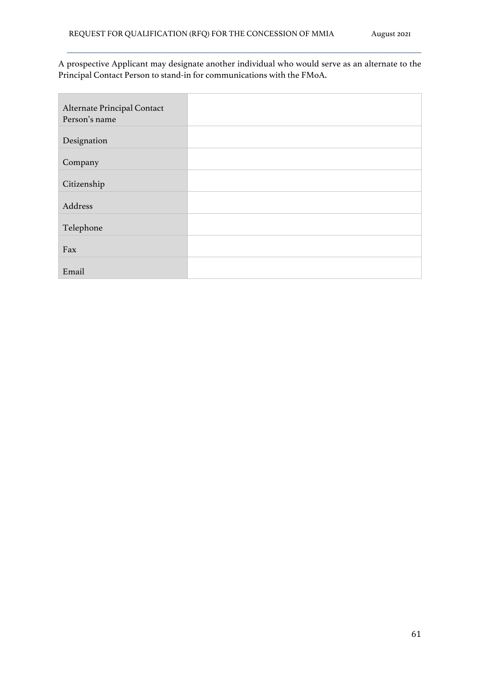A prospective Applicant may designate another individual who would serve as an alternate to the Principal Contact Person to stand-in for communications with the FMoA.

| Alternate Principal Contact<br>Person's name |  |
|----------------------------------------------|--|
| Designation                                  |  |
| Company                                      |  |
| Citizenship                                  |  |
| Address                                      |  |
| Telephone                                    |  |
| Fax                                          |  |
| Email                                        |  |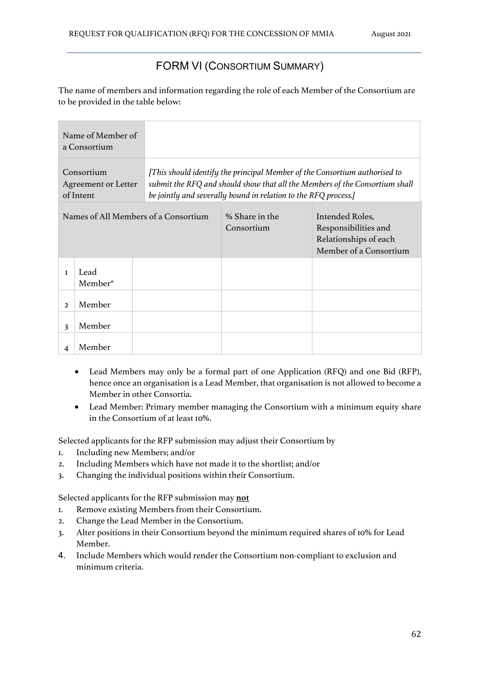## FORM VI (CONSORTIUM SUMMARY)

 $\mathcal{L}_\mathcal{L} = \{ \mathcal{L}_\mathcal{L} = \{ \mathcal{L}_\mathcal{L} = \{ \mathcal{L}_\mathcal{L} = \{ \mathcal{L}_\mathcal{L} = \{ \mathcal{L}_\mathcal{L} = \{ \mathcal{L}_\mathcal{L} = \{ \mathcal{L}_\mathcal{L} = \{ \mathcal{L}_\mathcal{L} = \{ \mathcal{L}_\mathcal{L} = \{ \mathcal{L}_\mathcal{L} = \{ \mathcal{L}_\mathcal{L} = \{ \mathcal{L}_\mathcal{L} = \{ \mathcal{L}_\mathcal{L} = \{ \mathcal{L}_\mathcal{$ 

The name of members and information regarding the role of each Member of the Consortium are to be provided in the table below:

|                                      | Name of Member of<br>a Consortium                     |  |                                                                 |                                                                                                                                                           |
|--------------------------------------|-------------------------------------------------------|--|-----------------------------------------------------------------|-----------------------------------------------------------------------------------------------------------------------------------------------------------|
|                                      | Consortium<br><b>Agreement or Letter</b><br>of Intent |  | be jointly and severally bound in relation to the RFQ process.] | [This should identify the principal Member of the Consortium authorised to<br>submit the RFQ and should show that all the Members of the Consortium shall |
| Names of All Members of a Consortium |                                                       |  | % Share in the<br>Consortium                                    | Intended Roles,<br>Responsibilities and<br>Relationships of each<br>Member of a Consortium                                                                |
| I                                    | Lead<br>Member*                                       |  |                                                                 |                                                                                                                                                           |
| $\overline{2}$                       | Member                                                |  |                                                                 |                                                                                                                                                           |
| 3                                    | Member                                                |  |                                                                 |                                                                                                                                                           |
| $\boldsymbol{4}$                     | Member                                                |  |                                                                 |                                                                                                                                                           |

- Lead Members may only be a formal part of one Application (RFQ) and one Bid (RFP), hence once an organisation is a Lead Member, that organisation is not allowed to become a Member in other Consortia.
- Lead Member: Primary member managing the Consortium with a minimum equity share in the Consortium of at least 10%.

Selected applicants for the RFP submission may adjust their Consortium by

- 1. Including new Members; and/or
- 2. Including Members which have not made it to the shortlist; and/or
- 3. Changing the individual positions within their Consortium.

Selected applicants for the RFP submission may **not**

- 1. Remove existing Members from their Consortium.
- 2. Change the Lead Member in the Consortium.
- 3. Alter positions in their Consortium beyond the minimum required shares of 10% for Lead Member.
- 4. Include Members which would render the Consortium non-compliant to exclusion and minimum criteria.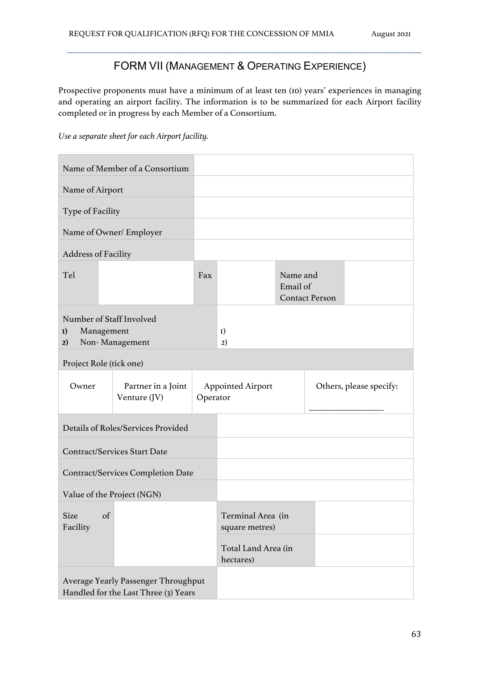## FORM VII (MANAGEMENT & OPERATING EXPERIENCE)

 $\mathcal{L}_\mathcal{L} = \{ \mathcal{L}_\mathcal{L} = \{ \mathcal{L}_\mathcal{L} = \{ \mathcal{L}_\mathcal{L} = \{ \mathcal{L}_\mathcal{L} = \{ \mathcal{L}_\mathcal{L} = \{ \mathcal{L}_\mathcal{L} = \{ \mathcal{L}_\mathcal{L} = \{ \mathcal{L}_\mathcal{L} = \{ \mathcal{L}_\mathcal{L} = \{ \mathcal{L}_\mathcal{L} = \{ \mathcal{L}_\mathcal{L} = \{ \mathcal{L}_\mathcal{L} = \{ \mathcal{L}_\mathcal{L} = \{ \mathcal{L}_\mathcal{$ 

Prospective proponents must have a minimum of at least ten (10) years' experiences in managing and operating an airport facility. The information is to be summarized for each Airport facility completed or in progress by each Member of a Consortium.

*Use a separate sheet for each Airport facility.*

|                                                    | Name of Member of a Consortium                                              |          |                                     |                      |                       |                         |
|----------------------------------------------------|-----------------------------------------------------------------------------|----------|-------------------------------------|----------------------|-----------------------|-------------------------|
| Name of Airport                                    |                                                                             |          |                                     |                      |                       |                         |
| Type of Facility                                   |                                                                             |          |                                     |                      |                       |                         |
| Name of Owner/ Employer                            |                                                                             |          |                                     |                      |                       |                         |
| <b>Address of Facility</b>                         |                                                                             |          |                                     |                      |                       |                         |
| Tel                                                |                                                                             | Fax      |                                     | Name and<br>Email of | <b>Contact Person</b> |                         |
| Number of Staff Involved<br>Management<br>I)<br>2) | Non-Management                                                              |          | I)<br>2)                            |                      |                       |                         |
| Project Role (tick one)                            |                                                                             |          |                                     |                      |                       |                         |
| Owner                                              | Partner in a Joint<br>Venture (JV)                                          | Operator | <b>Appointed Airport</b>            |                      |                       | Others, please specify: |
|                                                    | Details of Roles/Services Provided                                          |          |                                     |                      |                       |                         |
|                                                    | <b>Contract/Services Start Date</b>                                         |          |                                     |                      |                       |                         |
|                                                    | <b>Contract/Services Completion Date</b>                                    |          |                                     |                      |                       |                         |
| Value of the Project (NGN)                         |                                                                             |          |                                     |                      |                       |                         |
| Size of<br>Facility                                |                                                                             |          | Terminal Area (in<br>square metres) |                      |                       |                         |
|                                                    |                                                                             |          | Total Land Area (in<br>hectares)    |                      |                       |                         |
|                                                    | Average Yearly Passenger Throughput<br>Handled for the Last Three (3) Years |          |                                     |                      |                       |                         |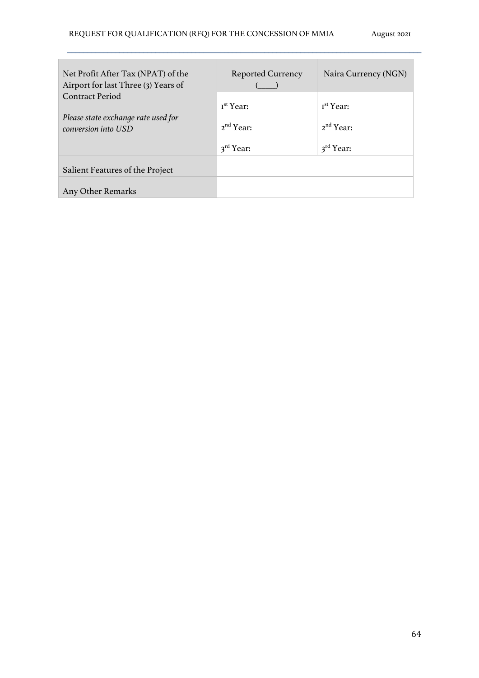| Net Profit After Tax (NPAT) of the<br>Airport for last Three (3) Years of            | <b>Reported Currency</b>                                                | Naira Currency (NGN)                                                    |
|--------------------------------------------------------------------------------------|-------------------------------------------------------------------------|-------------------------------------------------------------------------|
| <b>Contract Period</b><br>Please state exchange rate used for<br>conversion into USD | I <sup>st</sup> Year:<br>2 <sup>nd</sup> Year:<br>$3^{\text{rd}}$ Year: | I <sup>st</sup> Year:<br>2 <sup>nd</sup> Year:<br>$3^{\text{rd}}$ Year: |
| Salient Features of the Project<br>Any Other Remarks                                 |                                                                         |                                                                         |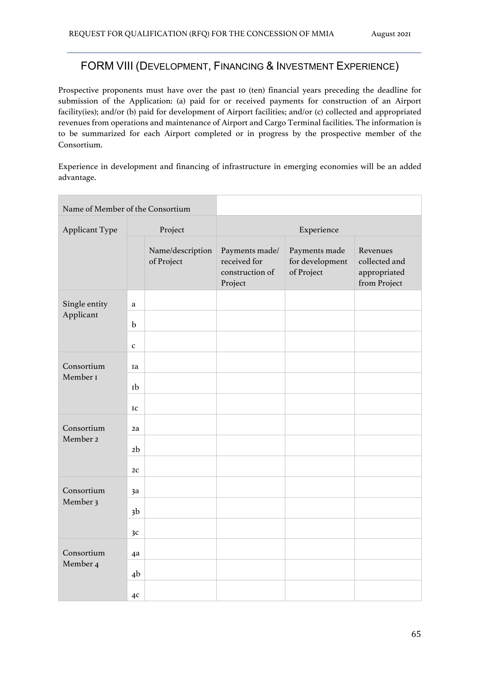### FORM VIII (DEVELOPMENT, FINANCING & INVESTMENT EXPERIENCE)

 $\mathcal{L}_\mathcal{L} = \{ \mathcal{L}_\mathcal{L} = \{ \mathcal{L}_\mathcal{L} = \{ \mathcal{L}_\mathcal{L} = \{ \mathcal{L}_\mathcal{L} = \{ \mathcal{L}_\mathcal{L} = \{ \mathcal{L}_\mathcal{L} = \{ \mathcal{L}_\mathcal{L} = \{ \mathcal{L}_\mathcal{L} = \{ \mathcal{L}_\mathcal{L} = \{ \mathcal{L}_\mathcal{L} = \{ \mathcal{L}_\mathcal{L} = \{ \mathcal{L}_\mathcal{L} = \{ \mathcal{L}_\mathcal{L} = \{ \mathcal{L}_\mathcal{$ 

Prospective proponents must have over the past 10 (ten) financial years preceding the deadline for submission of the Application: (a) paid for or received payments for construction of an Airport facility(ies); and/or (b) paid for development of Airport facilities; and/or (c) collected and appropriated revenues from operations and maintenance of Airport and Cargo Terminal facilities. The information is to be summarized for each Airport completed or in progress by the prospective member of the Consortium.

Experience in development and financing of infrastructure in emerging economies will be an added advantage.

| Name of Member of the Consortium |                |                                |                                                              |                                                |                                                           |  |  |
|----------------------------------|----------------|--------------------------------|--------------------------------------------------------------|------------------------------------------------|-----------------------------------------------------------|--|--|
| Applicant Type                   |                | Project                        | Experience                                                   |                                                |                                                           |  |  |
|                                  |                | Name/description<br>of Project | Payments made/<br>received for<br>construction of<br>Project | Payments made<br>for development<br>of Project | Revenues<br>collected and<br>appropriated<br>from Project |  |  |
| Single entity                    | $\mathbf a$    |                                |                                                              |                                                |                                                           |  |  |
| Applicant                        | $\mathbf b$    |                                |                                                              |                                                |                                                           |  |  |
|                                  | $\mathbf{C}$   |                                |                                                              |                                                |                                                           |  |  |
| Consortium                       | Ia             |                                |                                                              |                                                |                                                           |  |  |
| Member <sub>I</sub>              | Ib             |                                |                                                              |                                                |                                                           |  |  |
|                                  | IC             |                                |                                                              |                                                |                                                           |  |  |
| Consortium                       | 2a             |                                |                                                              |                                                |                                                           |  |  |
| Member 2                         | 2 <sub>b</sub> |                                |                                                              |                                                |                                                           |  |  |
|                                  | 2 <sub>C</sub> |                                |                                                              |                                                |                                                           |  |  |
| Consortium                       | 3a             |                                |                                                              |                                                |                                                           |  |  |
| Member 3                         | 3 <sub>b</sub> |                                |                                                              |                                                |                                                           |  |  |
|                                  | 3c             |                                |                                                              |                                                |                                                           |  |  |
| Consortium                       | 4a             |                                |                                                              |                                                |                                                           |  |  |
| Member 4                         | 4 <sup>b</sup> |                                |                                                              |                                                |                                                           |  |  |
|                                  | 4c             |                                |                                                              |                                                |                                                           |  |  |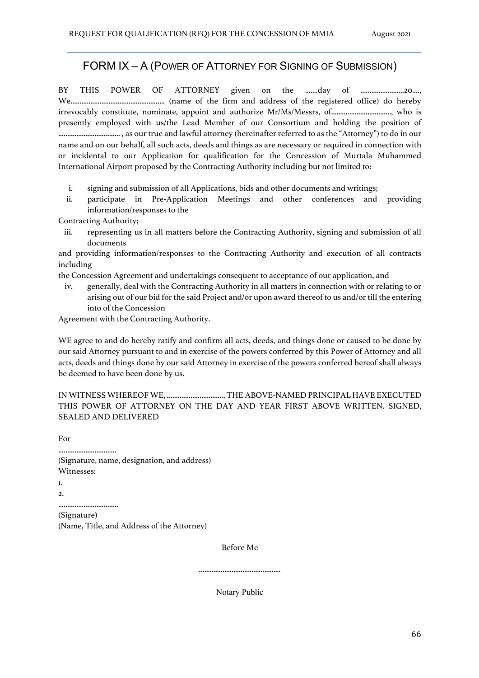### FORM IX – A (POWER OF ATTORNEY FOR SIGNING OF SUBMISSION)

 $\mathcal{L}_\mathcal{L} = \{ \mathcal{L}_\mathcal{L} = \{ \mathcal{L}_\mathcal{L} = \{ \mathcal{L}_\mathcal{L} = \{ \mathcal{L}_\mathcal{L} = \{ \mathcal{L}_\mathcal{L} = \{ \mathcal{L}_\mathcal{L} = \{ \mathcal{L}_\mathcal{L} = \{ \mathcal{L}_\mathcal{L} = \{ \mathcal{L}_\mathcal{L} = \{ \mathcal{L}_\mathcal{L} = \{ \mathcal{L}_\mathcal{L} = \{ \mathcal{L}_\mathcal{L} = \{ \mathcal{L}_\mathcal{L} = \{ \mathcal{L}_\mathcal{$ 

BY THIS POWER OF ATTORNEY given on the .......day of ........................20...., We.................................................... (name of the firm and address of the registered office) do hereby irrevocably constitute, nominate, appoint and authorize Mr/Ms/Messrs, of................................., who is presently employed with us/the Lead Member of our Consortium and holding the position of .................................. , as our true and lawful attorney (hereinafter referred to as the "Attorney") to do in our name and on our behalf, all such acts, deeds and things as are necessary or required in connection with or incidental to our Application for qualification for the Concession of Murtala Muhammed International Airport proposed by the Contracting Authority including but not limited to:

- i. signing and submission of all Applications, bids and other documents and writings;
- ii. participate in Pre-Application Meetings and other conferences and providing information/responses to the

Contracting Authority;

iii. representing us in all matters before the Contracting Authority, signing and submission of all documents

and providing information/responses to the Contracting Authority and execution of all contracts including

the Concession Agreement and undertakings consequent to acceptance of our application, and

iv. generally, deal with the Contracting Authority in all matters in connection with or relating to or arising out of our bid for the said Project and/or upon award thereof to us and/or till the entering into of the Concession

Agreement with the Contracting Authority.

WE agree to and do hereby ratify and confirm all acts, deeds, and things done or caused to be done by our said Attorney pursuant to and in exercise of the powers conferred by this Power of Attorney and all acts, deeds and things done by our said Attorney in exercise of the powers conferred hereof shall always be deemed to have been done by us.

#### IN WITNESS WHEREOF WE, ..............................., THE ABOVE-NAMED PRINCIPAL HAVE EXECUTED THIS POWER OF ATTORNEY ON THE DAY AND YEAR FIRST ABOVE WRITTEN. SIGNED, SEALED AND DELIVERED

................................ (Signature, name, designation, and address) Witnesses:

1.  $\mathcal{L}$ 

For

.................................

(Signature) (Name, Title, and Address of the Attorney)

Before Me

Notary Public

.............................................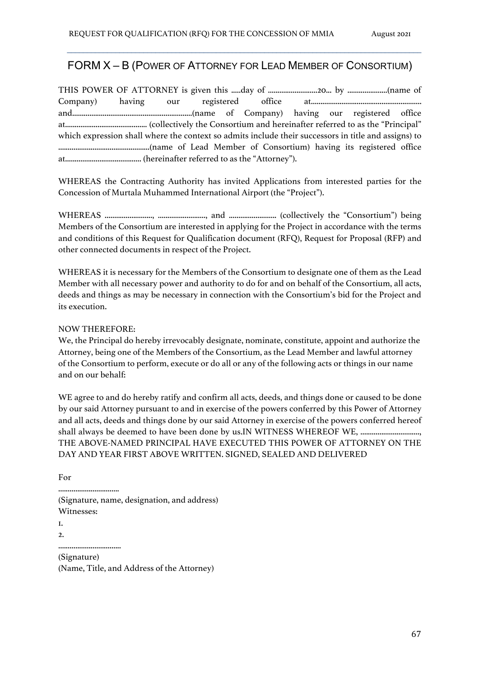## FORM X – B (POWER OF ATTORNEY FOR LEAD MEMBER OF CONSORTIUM)

 $\mathcal{L}_\mathcal{L} = \{ \mathcal{L}_\mathcal{L} = \{ \mathcal{L}_\mathcal{L} = \{ \mathcal{L}_\mathcal{L} = \{ \mathcal{L}_\mathcal{L} = \{ \mathcal{L}_\mathcal{L} = \{ \mathcal{L}_\mathcal{L} = \{ \mathcal{L}_\mathcal{L} = \{ \mathcal{L}_\mathcal{L} = \{ \mathcal{L}_\mathcal{L} = \{ \mathcal{L}_\mathcal{L} = \{ \mathcal{L}_\mathcal{L} = \{ \mathcal{L}_\mathcal{L} = \{ \mathcal{L}_\mathcal{L} = \{ \mathcal{L}_\mathcal{$ 

| which expression shall where the context so admits include their successors in title and assigns) to |  |  |  |  |  |
|------------------------------------------------------------------------------------------------------|--|--|--|--|--|
|                                                                                                      |  |  |  |  |  |
|                                                                                                      |  |  |  |  |  |

WHEREAS the Contracting Authority has invited Applications from interested parties for the Concession of Murtala Muhammed International Airport (the "Project").

WHEREAS ........................., ........................., and ......................... (collectively the "Consortium") being Members of the Consortium are interested in applying for the Project in accordance with the terms and conditions of this Request for Qualification document (RFQ), Request for Proposal (RFP) and other connected documents in respect of the Project.

WHEREAS it is necessary for the Members of the Consortium to designate one of them as the Lead Member with all necessary power and authority to do for and on behalf of the Consortium, all acts, deeds and things as may be necessary in connection with the Consortium's bid for the Project and its execution.

NOW THEREFORE:

We, the Principal do hereby irrevocably designate, nominate, constitute, appoint and authorize the Attorney, being one of the Members of the Consortium, as the Lead Member and lawful attorney of the Consortium to perform, execute or do all or any of the following acts or things in our name and on our behalf:

WE agree to and do hereby ratify and confirm all acts, deeds, and things done or caused to be done by our said Attorney pursuant to and in exercise of the powers conferred by this Power of Attorney and all acts, deeds and things done by our said Attorney in exercise of the powers conferred hereof shall always be deemed to have been done by us.IN WITNESS WHEREOF WE, .............................. THE ABOVE-NAMED PRINCIPAL HAVE EXECUTED THIS POWER OF ATTORNEY ON THE DAY AND YEAR FIRST ABOVE WRITTEN. SIGNED, SEALED AND DELIVERED

For

................................ (Signature, name, designation, and address) Witnesses: 1.

2.

.................................

(Signature) (Name, Title, and Address of the Attorney)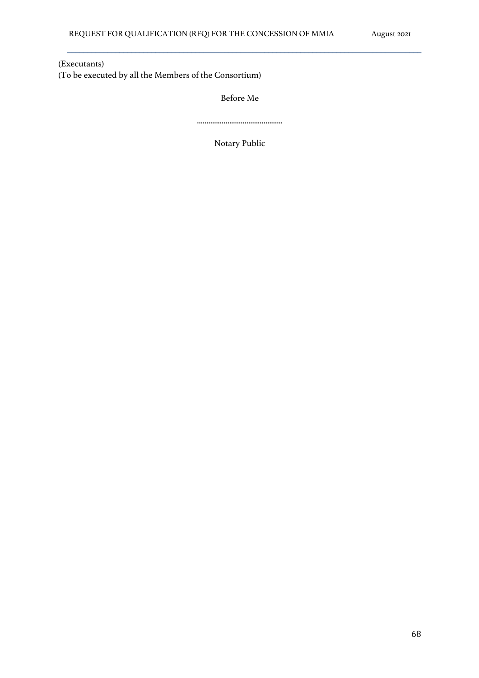(Executants) (To be executed by all the Members of the Consortium)

Before Me

 $\mathcal{L}_\mathcal{L} = \{ \mathcal{L}_\mathcal{L} = \{ \mathcal{L}_\mathcal{L} = \{ \mathcal{L}_\mathcal{L} = \{ \mathcal{L}_\mathcal{L} = \{ \mathcal{L}_\mathcal{L} = \{ \mathcal{L}_\mathcal{L} = \{ \mathcal{L}_\mathcal{L} = \{ \mathcal{L}_\mathcal{L} = \{ \mathcal{L}_\mathcal{L} = \{ \mathcal{L}_\mathcal{L} = \{ \mathcal{L}_\mathcal{L} = \{ \mathcal{L}_\mathcal{L} = \{ \mathcal{L}_\mathcal{L} = \{ \mathcal{L}_\mathcal{$ 

Notary Public

.............................................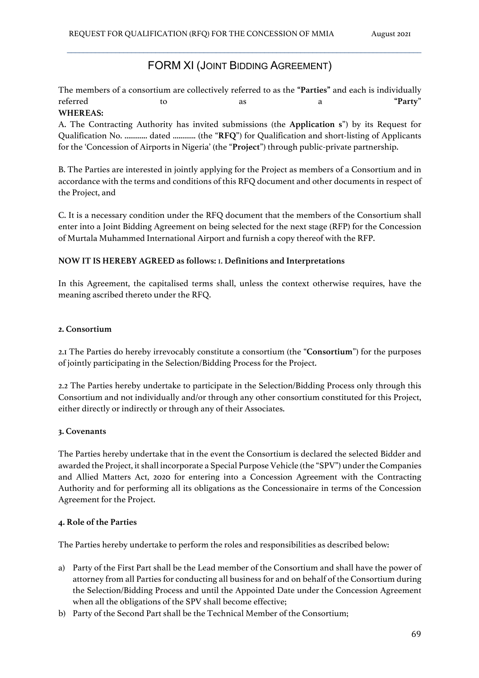### FORM XI (JOINT BIDDING AGREEMENT)

 $\mathcal{L}_\mathcal{L} = \{ \mathcal{L}_\mathcal{L} = \{ \mathcal{L}_\mathcal{L} = \{ \mathcal{L}_\mathcal{L} = \{ \mathcal{L}_\mathcal{L} = \{ \mathcal{L}_\mathcal{L} = \{ \mathcal{L}_\mathcal{L} = \{ \mathcal{L}_\mathcal{L} = \{ \mathcal{L}_\mathcal{L} = \{ \mathcal{L}_\mathcal{L} = \{ \mathcal{L}_\mathcal{L} = \{ \mathcal{L}_\mathcal{L} = \{ \mathcal{L}_\mathcal{L} = \{ \mathcal{L}_\mathcal{L} = \{ \mathcal{L}_\mathcal{$ 

The members of a consortium are collectively referred to as the **"Parties"** and each is individually referred to as a **"Party**" **WHEREAS:**

A. The Contracting Authority has invited submissions (the **Application s**") by its Request for Qualification No. ............ dated ............ (the "**RFQ**") for Qualification and short-listing of Applicants for the 'Concession of Airports in Nigeria' (the "**Project**") through public-private partnership.

B. The Parties are interested in jointly applying for the Project as members of a Consortium and in accordance with the terms and conditions of this RFQ document and other documents in respect of the Project, and

C. It is a necessary condition under the RFQ document that the members of the Consortium shall enter into a Joint Bidding Agreement on being selected for the next stage (RFP) for the Concession of Murtala Muhammed International Airport and furnish a copy thereof with the RFP.

#### **NOW IT IS HEREBY AGREED as follows:** 1. **Definitions and Interpretations**

In this Agreement, the capitalised terms shall, unless the context otherwise requires, have the meaning ascribed thereto under the RFQ.

#### **2. Consortium**

2.1 The Parties do hereby irrevocably constitute a consortium (the "**Consortium**") for the purposes of jointly participating in the Selection/Bidding Process for the Project.

2.2 The Parties hereby undertake to participate in the Selection/Bidding Process only through this Consortium and not individually and/or through any other consortium constituted for this Project, either directly or indirectly or through any of their Associates.

#### **3. Covenants**

The Parties hereby undertake that in the event the Consortium is declared the selected Bidder and awarded the Project, it shall incorporate a Special Purpose Vehicle (the "SPV") under the Companies and Allied Matters Act, 2020 for entering into a Concession Agreement with the Contracting Authority and for performing all its obligations as the Concessionaire in terms of the Concession Agreement for the Project.

#### **4. Role of the Parties**

The Parties hereby undertake to perform the roles and responsibilities as described below:

- a) Party of the First Part shall be the Lead member of the Consortium and shall have the power of attorney from all Parties for conducting all business for and on behalf of the Consortium during the Selection/Bidding Process and until the Appointed Date under the Concession Agreement when all the obligations of the SPV shall become effective;
- b) Party of the Second Part shall be the Technical Member of the Consortium;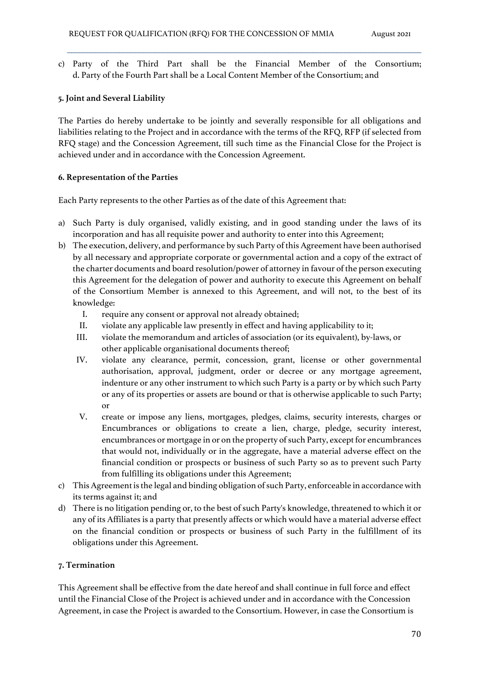c) Party of the Third Part shall be the Financial Member of the Consortium; d. Party of the Fourth Part shall be a Local Content Member of the Consortium; and

 $\mathcal{L}_\mathcal{L} = \{ \mathcal{L}_\mathcal{L} = \{ \mathcal{L}_\mathcal{L} = \{ \mathcal{L}_\mathcal{L} = \{ \mathcal{L}_\mathcal{L} = \{ \mathcal{L}_\mathcal{L} = \{ \mathcal{L}_\mathcal{L} = \{ \mathcal{L}_\mathcal{L} = \{ \mathcal{L}_\mathcal{L} = \{ \mathcal{L}_\mathcal{L} = \{ \mathcal{L}_\mathcal{L} = \{ \mathcal{L}_\mathcal{L} = \{ \mathcal{L}_\mathcal{L} = \{ \mathcal{L}_\mathcal{L} = \{ \mathcal{L}_\mathcal{$ 

## **5. Joint and Several Liability**

The Parties do hereby undertake to be jointly and severally responsible for all obligations and liabilities relating to the Project and in accordance with the terms of the RFQ, RFP (if selected from RFQ stage) and the Concession Agreement, till such time as the Financial Close for the Project is achieved under and in accordance with the Concession Agreement.

## **6. Representation of the Parties**

Each Party represents to the other Parties as of the date of this Agreement that:

- a) Such Party is duly organised, validly existing, and in good standing under the laws of its incorporation and has all requisite power and authority to enter into this Agreement;
- b) The execution, delivery, and performance by such Party of this Agreement have been authorised by all necessary and appropriate corporate or governmental action and a copy of the extract of the charter documents and board resolution/power of attorney in favour of the person executing this Agreement for the delegation of power and authority to execute this Agreement on behalf of the Consortium Member is annexed to this Agreement, and will not, to the best of its knowledge:
	- I. require any consent or approval not already obtained;
	- II. violate any applicable law presently in effect and having applicability to it;
	- III. violate the memorandum and articles of association (or its equivalent), by-laws, or other applicable organisational documents thereof;
	- IV. violate any clearance, permit, concession, grant, license or other governmental authorisation, approval, judgment, order or decree or any mortgage agreement, indenture or any other instrument to which such Party is a party or by which such Party or any of its properties or assets are bound or that is otherwise applicable to such Party; or
	- V. create or impose any liens, mortgages, pledges, claims, security interests, charges or Encumbrances or obligations to create a lien, charge, pledge, security interest, encumbrances or mortgage in or on the property of such Party, except for encumbrances that would not, individually or in the aggregate, have a material adverse effect on the financial condition or prospects or business of such Party so as to prevent such Party from fulfilling its obligations under this Agreement;
- c) This Agreement is the legal and binding obligation of such Party, enforceable in accordance with its terms against it; and
- d) There is no litigation pending or, to the best of such Party's knowledge, threatened to which it or any of its Affiliates is a party that presently affects or which would have a material adverse effect on the financial condition or prospects or business of such Party in the fulfillment of its obligations under this Agreement.

## **7. Termination**

This Agreement shall be effective from the date hereof and shall continue in full force and effect until the Financial Close of the Project is achieved under and in accordance with the Concession Agreement, in case the Project is awarded to the Consortium. However, in case the Consortium is